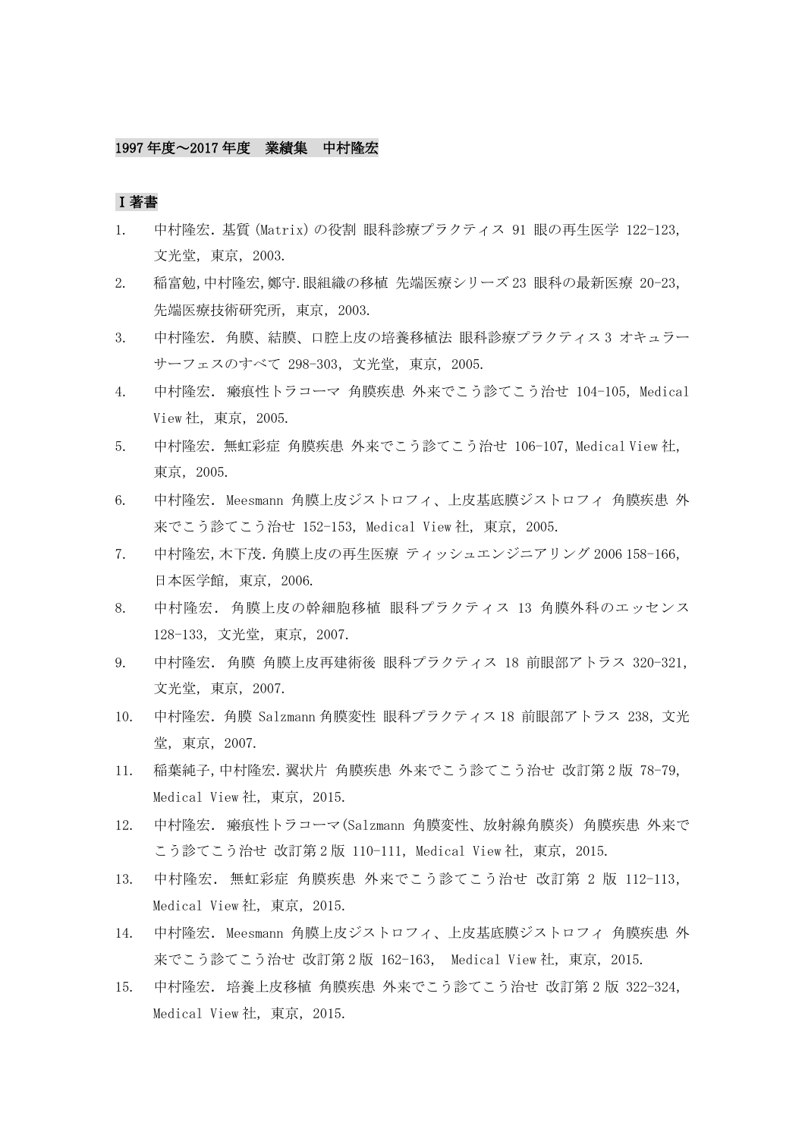## 1997 年度~2017 年度 業績集 中村隆宏

## Ⅰ著書

- 1. 中村隆宏.基質(Matrix)の役割 眼科診療プラクティス 91 眼の再生医学 122-123, 文光堂,東京,2003.
- 2. 稲富勉,中村隆宏,鄭守.眼組織の移植 先端医療シリーズ 23 眼科の最新医療 20-23, 先端医療技術研究所,東京,2003.
- 3. 中村降宏. 角膜、結膜、口腔上皮の培養移植法 眼科診療プラクティス 3 オキュラー サーフェスのすべて 298-303,文光堂,東京,2005.
- 4. 中村隆宏. 瘢痕性トラコーマ 角膜疾患 外来でこう診てこう治せ 104-105, Medical View 社,東京,2005.
- 5. 中村隆宏.無虹彩症 角膜疾患 外来でこう診てこう治せ 106-107,Medical View 社, 東京,2005.
- 6. 中村隆宏. Meesmann 角膜上皮ジストロフィ、上皮基底膜ジストロフィ 角膜疾患 外 来でこう診てこう治せ 152-153, Medical View 社, 東京, 2005.
- 7. 中村隆宏,木下茂.角膜上皮の再生医療 ティッシュエンジニアリング 2006 158-166, 日本医学館,東京,2006.
- 8. 中村隆宏.角膜上皮の幹細胞移植 眼科プラクティス 13 角膜外科のエッセンス 128-133,文光堂,東京,2007.
- 9. 中村隆宏.角膜 角膜上皮再建術後 眼科プラクティス 18 前眼部アトラス 320-321, 文光堂,東京,2007.
- 10. 中村隆宏.角膜 Salzmann 角膜変性 眼科プラクティス 18 前眼部アトラス 238,文光 堂,東京,2007.
- 11. 稲葉純子,中村隆宏.翼状片 角膜疾患 外来でこう診てこう治せ 改訂第 2 版 78-79, Medical View 社,東京,2015.
- 12. 中村隆宏.瘢痕性トラコーマ(Salzmann 角膜変性、放射線角膜炎) 角膜疾患 外来で こう診てこう治せ 改訂第2版 110-111, Medical View 社, 東京, 2015.
- 13. 中村隆宏.無虹彩症 角膜疾患 外来でこう診てこう治せ 改訂第 2 版 112-113, Medical View 社,東京,2015.
- 14. 中村隆宏. Meesmann 角膜上皮ジストロフィ、上皮基底膜ジストロフィ 角膜疾患 外 来でこう診てこう治せ 改訂第 2 版 162-163, Medical View 社,東京,2015.
- 15. 中村隆宏.培養上皮移植 角膜疾患 外来でこう診てこう治せ 改訂第 2 版 322-324, Medical View 社, 東京, 2015.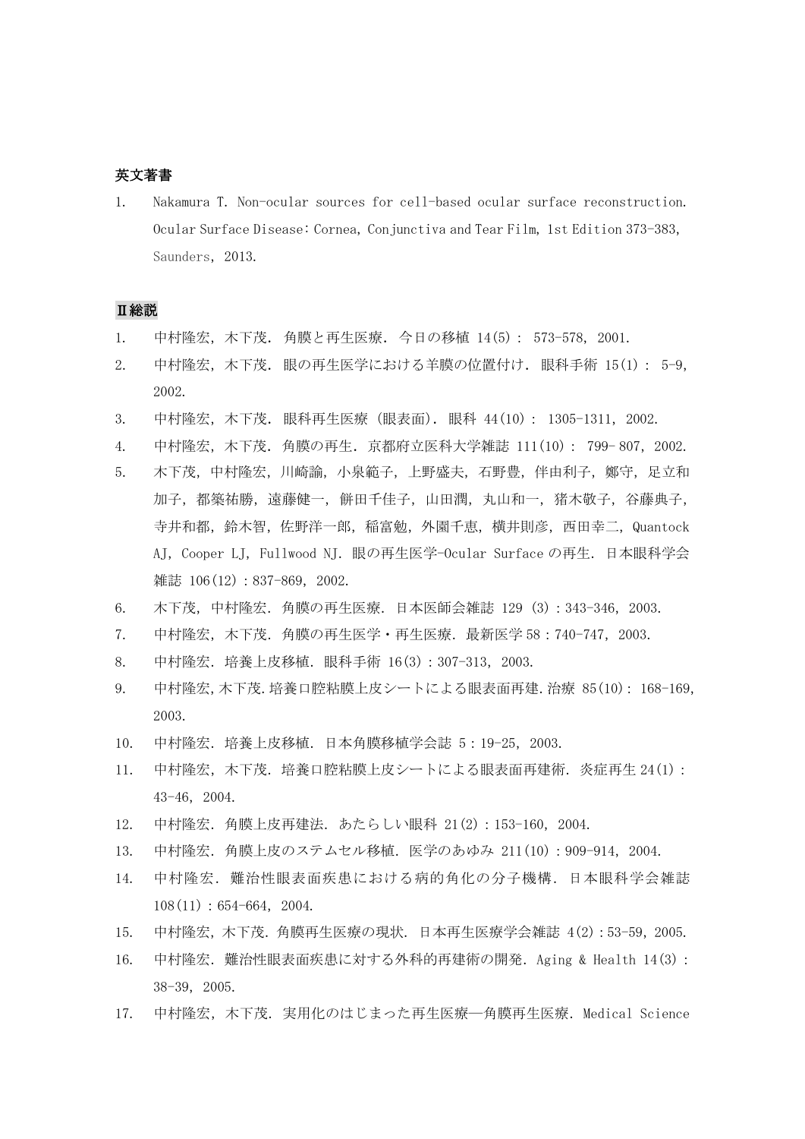## 英文著書

1. Nakamura T. Non-ocular sources for cell-based ocular surface reconstruction. Ocular Surface Disease: Cornea, Conjunctiva and Tear Film, 1st Edition 373-383, Saunders, 2013.

## Ⅱ総説

- 1. 中村隆宏,木下茂.角膜と再生医療.今日の移植 14(5): 573-578, 2001.
- 2. 中村隆宏,木下茂. 眼の再生医学における羊膜の位置付け. 眼科手術 15(1): 5-9, 2002.
- 3. 中村隆宏,木下茂.眼科再生医療(眼表面).眼科 44(10): 1305-1311,2002.
- 4. 中村隆宏,木下茂.角膜の再生.京都府立医科大学雑誌 111(10): 799- 807,2002.
- 5. 木下茂,中村隆宏,川崎諭,小泉範子,上野盛夫,石野豊,伴由利子,鄭守,足立和 加子,都築祐勝,遠藤健一,餅田千佳子,山田潤,丸山和一,猪木敬子,谷藤典子, 寺井和都,鈴木智,佐野洋一郎,稲富勉,外園千恵,横井則彦,西田幸二,Quantock AJ, Cooper LJ, Fullwood NJ. 眼の再生医学-Ocular Surface の再生. 日本眼科学会 雑誌 106(12): 837-869, 2002.
- 6. 木下茂,中村隆宏.角膜の再生医療.日本医師会雑誌 129 (3):343-346,2003.
- 7. 中村隆宏,木下茂.角膜の再生医学・再生医療.最新医学 58:740-747,2003.
- 8. 中村隆宏.培養上皮移植.眼科手術 16(3):307-313,2003.
- 9. 中村隆宏,木下茂.培養口腔粘膜上皮シートによる眼表面再建.治療 85(10): 168-169, 2003.
- 10. 中村隆宏.培養上皮移植.日本角膜移植学会誌 5:19-25,2003.
- 11. 中村隆宏,木下茂.培養口腔粘膜上皮シートによる眼表面再建術.炎症再生 24(1): 43-46,2004.
- 12. 中村隆宏.角膜上皮再建法.あたらしい眼科 21(2):153-160,2004.
- 13. 中村隆宏.角膜上皮のステムセル移植.医学のあゆみ 211(10):909-914,2004.
- 14. 中村隆宏.難治性眼表面疾患における病的角化の分子機構.日本眼科学会雑誌  $108(11): 654-664$ , 2004.
- 15. 中村隆宏,木下茂.角膜再生医療の現状. 日本再生医療学会雑誌 4(2):53-59,2005.
- 16. 中村隆宏.難治性眼表面疾患に対する外科的再建術の開発.Aging & Health 14(3): 38-39,2005.
- 17. 中村降宏, 木下茂. 実用化のはじまった再生医療––角膜再生医療. Medical Science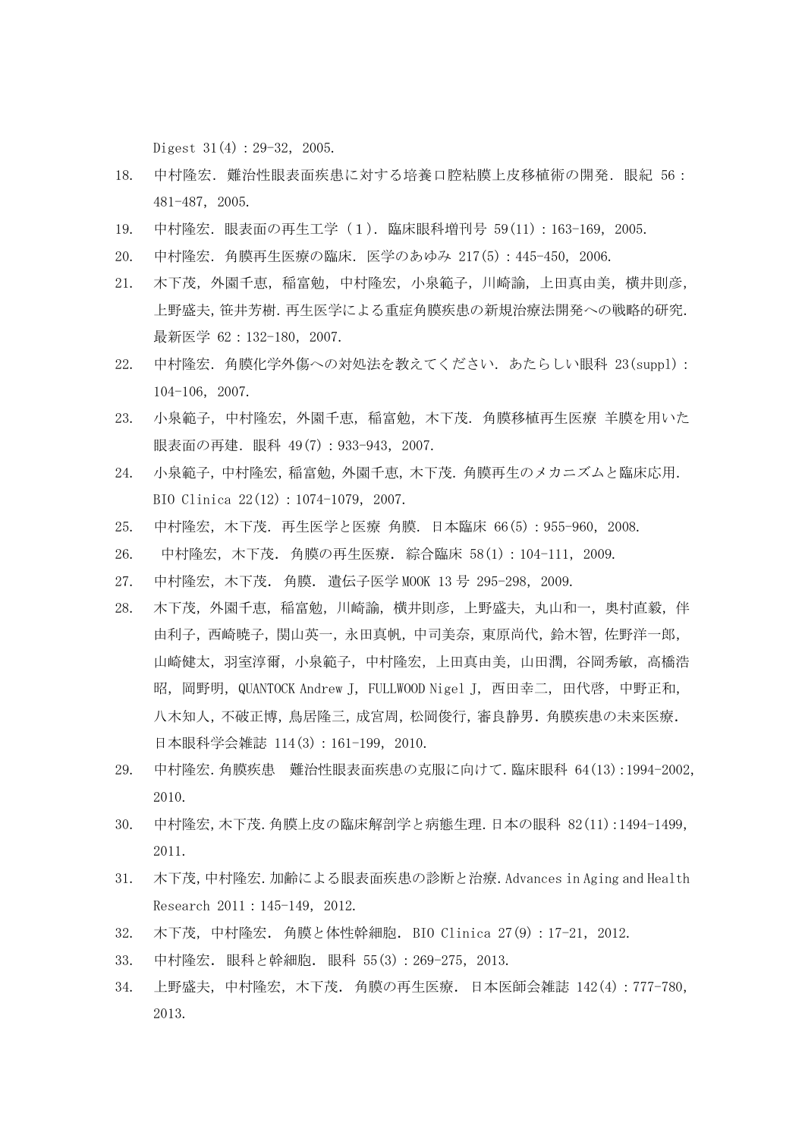Digest  $31(4):29-32,2005$ .

- 18. 中村隆宏.難治性眼表面疾患に対する培養口腔粘膜上皮移植術の開発.眼紀 56: 481-487,2005.
- 19. 中村隆宏.眼表面の再生工学(1).臨床眼科増刊号 59(11):163-169,2005.
- 20. 中村隆宏.角膜再生医療の臨床.医学のあゆみ 217(5):445-450,2006.
- 21. 木下茂,外園千恵,稲富勉,中村隆宏,小泉範子,川崎諭,上田真由美,横井則彦, 上野盛夫,笹井芳樹.再生医学による重症角膜疾患の新規治療法開発への戦略的研究. 最新医学 62:132-180, 2007.
- 22. 中村隆宏.角膜化学外傷への対処法を教えてください.あたらしい眼科 23(suppl): 104-106,2007.
- 23. 小泉範子,中村隆宏,外園千恵,稲富勉,木下茂.角膜移植再生医療 羊膜を用いた 眼表面の再建.眼科 49(7):933-943,2007.
- 24. 小泉範子,中村隆宏,稲富勉,外園千恵,木下茂.角膜再生のメカニズムと臨床応用. BIO Clinica 22(12):1074-1079,2007.
- 25. 中村隆宏,木下茂.再生医学と医療 角膜.日本臨床 66(5):955-960,2008.
- 26. 中村隆宏,木下茂.角膜の再生医療.綜合臨床 58(1):104-111,2009.
- 27. 中村隆宏,木下茂. 角膜. 遺伝子医学 MOOK 13 号 295-298, 2009.
- 28. 木下茂,外園千恵,稲富勉,川崎諭,横井則彦,上野盛夫,丸山和一,奥村直毅,伴 由利子,西崎暁子,関山英一,永田真帆,中司美奈,東原尚代,鈴木智,佐野洋一郎, 山崎健太,羽室淳爾,小泉範子,中村隆宏,上田真由美,山田潤,谷岡秀敏,高橋浩 昭, 岡野明, QUANTOCK Andrew J, FULLWOOD Nigel J, 西田幸二, 田代啓, 中野正和, 八木知人,不破正博,鳥居隆三,成宮周,松岡俊行,審良静男.角膜疾患の未来医療. 日本眼科学会雑誌 114(3): 161-199, 2010.
- 29. 中村隆宏.角膜疾患 難治性眼表面疾患の克服に向けて.臨床眼科 64(13):1994-2002, 2010.
- 30. 中村隆宏,木下茂.角膜上皮の臨床解剖学と病態生理.日本の眼科 82(11):1494-1499, 2011.
- 31. 木下茂,中村隆宏.加齢による眼表面疾患の診断と治療.Advances in Aging and Health Research 2011: 145-149, 2012.
- 32. 木下茂, 中村隆宏. 角膜と体性幹細胞. BIO Clinica 27(9): 17-21, 2012.
- 33. 中村隆宏.眼科と幹細胞.眼科 55(3):269-275,2013.
- 34. 上野盛夫,中村隆宏,木下茂.角膜の再生医療.日本医師会雑誌 142(4):777-780, 2013.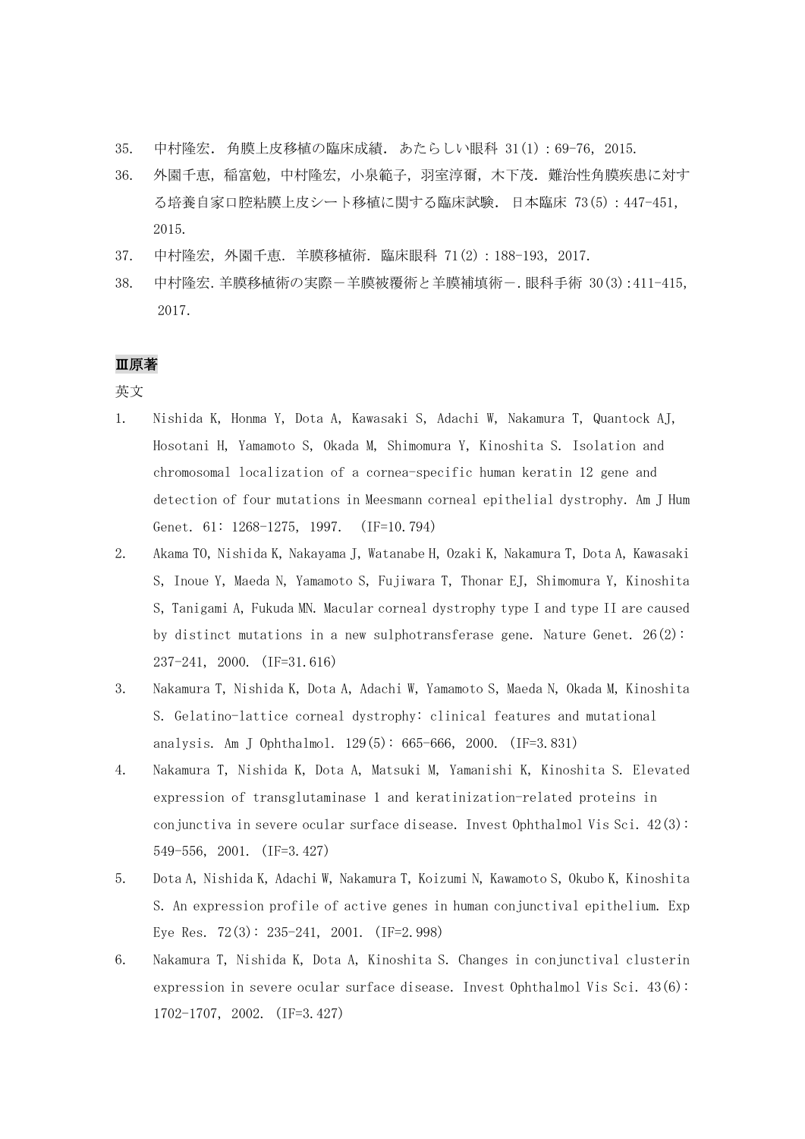- 35. 中村隆宏.角膜上皮移植の臨床成績.あたらしい眼科 31(1):69-76,2015.
- 36. 外園千恵,稲富勉,中村隆宏,小泉範子,羽室淳爾,木下茂.難治性角膜疾患に対す る培養自家口腔粘膜上皮シート移植に関する臨床試験.日本臨床 73(5):447-451, 2015.
- 37. 中村隆宏,外園千恵.羊膜移植術.臨床眼科 71(2):188-193,2017.
- 38. 中村隆宏.羊膜移植術の実際-羊膜被覆術と羊膜補填術-.眼科手術 30(3):411-415, 2017.

## Ⅲ原著

英文

- 1. Nishida K, Honma Y, Dota A, Kawasaki S, Adachi W, Nakamura T, Quantock AJ, Hosotani H, Yamamoto S, Okada M, Shimomura Y, Kinoshita S. Isolation and chromosomal localization of a cornea-specific human keratin 12 gene and detection of four mutations in Meesmann corneal epithelial dystrophy. Am J Hum Genet. 61: 1268-1275, 1997. (IF=10.794)
- 2. Akama TO, Nishida K, Nakayama J, Watanabe H, Ozaki K, Nakamura T, Dota A, Kawasaki S, Inoue Y, Maeda N, Yamamoto S, Fujiwara T, Thonar EJ, Shimomura Y, Kinoshita S, Tanigami A, Fukuda MN. Macular corneal dystrophy type I and type II are caused by distinct mutations in a new sulphotransferase gene. Nature Genet.  $26(2)$ : 237-241, 2000. (IF=31.616)
- 3. Nakamura T, Nishida K, Dota A, Adachi W, Yamamoto S, Maeda N, Okada M, Kinoshita S. Gelatino-lattice corneal dystrophy: clinical features and mutational analysis. Am J Ophthalmol. 129(5): 665-666, 2000. (IF=3.831)
- 4. Nakamura T, Nishida K, Dota A, Matsuki M, Yamanishi K, Kinoshita S. Elevated expression of transglutaminase 1 and keratinization-related proteins in conjunctiva in severe ocular surface disease. Invest Ophthalmol Vis Sci.  $42(3)$ : 549-556, 2001. (IF=3.427)
- 5. Dota A, Nishida K, Adachi W, Nakamura T, Koizumi N, Kawamoto S, Okubo K, Kinoshita S. An expression profile of active genes in human conjunctival epithelium. Exp Eye Res. 72(3): 235-241, 2001. (IF=2.998)
- 6. Nakamura T, Nishida K, Dota A, Kinoshita S. Changes in conjunctival clusterin expression in severe ocular surface disease. Invest Ophthalmol Vis Sci. 43(6): 1702-1707, 2002. (IF=3.427)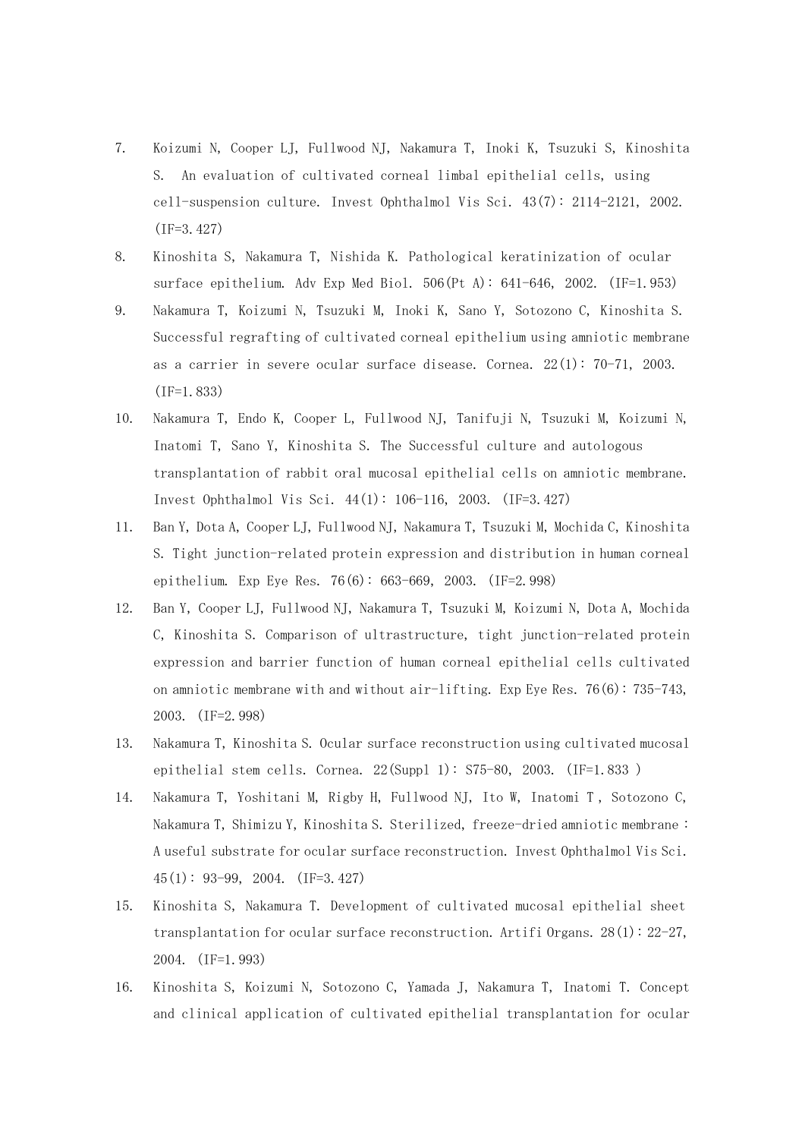- 7. Koizumi N, Cooper LJ, Fullwood NJ, Nakamura T, Inoki K, Tsuzuki S, Kinoshita S. An evaluation of cultivated corneal limbal epithelial cells, using cell-suspension culture. Invest Ophthalmol Vis Sci. 43(7): 2114-2121, 2002. (IF=3.427)
- 8. Kinoshita S, Nakamura T, Nishida K. Pathological keratinization of ocular surface epithelium. Adv Exp Med Biol. 506(Pt A): 641-646, 2002. (IF=1.953)
- 9. Nakamura T, Koizumi N, Tsuzuki M, Inoki K, Sano Y, Sotozono C, Kinoshita S. Successful regrafting of cultivated corneal epithelium using amniotic membrane as a carrier in severe ocular surface disease. Cornea. 22(1): 70-71, 2003. (IF=1.833)
- 10. Nakamura T, Endo K, Cooper L, Fullwood NJ, Tanifuji N, Tsuzuki M, Koizumi N, Inatomi T, Sano Y, Kinoshita S. The Successful culture and autologous transplantation of rabbit oral mucosal epithelial cells on amniotic membrane. Invest Ophthalmol Vis Sci. 44(1): 106-116, 2003. (IF=3.427)
- 11. Ban Y, Dota A, Cooper LJ, Fullwood NJ, Nakamura T, Tsuzuki M, Mochida C, Kinoshita S. Tight junction-related protein expression and distribution in human corneal epithelium. Exp Eye Res. 76(6): 663-669, 2003. (IF=2.998)
- 12. Ban Y, Cooper LJ, Fullwood NJ, Nakamura T, Tsuzuki M, Koizumi N, Dota A, Mochida C, Kinoshita S. Comparison of ultrastructure, tight junction-related protein expression and barrier function of human corneal epithelial cells cultivated on amniotic membrane with and without air-lifting. Exp Eye Res. 76(6): 735-743, 2003. (IF=2.998)
- 13. Nakamura T, Kinoshita S. Ocular surface reconstruction using cultivated mucosal epithelial stem cells. Cornea.  $22(Suppl 1):$   $S75-80$ ,  $2003$ . (IF=1.833)
- 14. Nakamura T, Yoshitani M, Rigby H, Fullwood NJ, Ito W, Inatomi T , Sotozono C, Nakamura T, Shimizu Y, Kinoshita S. Sterilized, freeze-dried amniotic membrane : A useful substrate for ocular surface reconstruction. Invest Ophthalmol Vis Sci. 45(1): 93-99, 2004. (IF=3.427)
- 15. Kinoshita S, Nakamura T. Development of cultivated mucosal epithelial sheet transplantation for ocular surface reconstruction. Artifi Organs. 28(1): 22-27, 2004. (IF=1.993)
- 16. Kinoshita S, Koizumi N, Sotozono C, Yamada J, Nakamura T, Inatomi T. Concept and clinical application of cultivated epithelial transplantation for ocular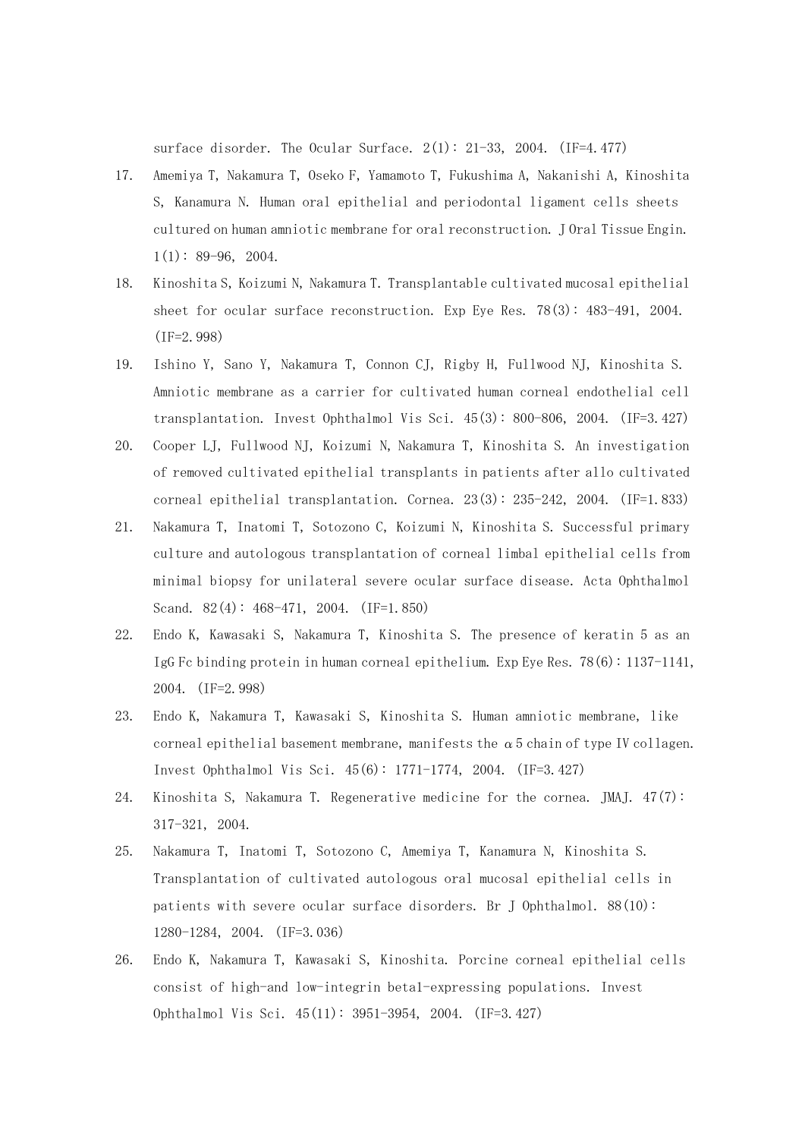surface disorder. The Ocular Surface.  $2(1): 21-33$ , 2004. (IF=4.477)

- 17. Amemiya T, Nakamura T, Oseko F, Yamamoto T, Fukushima A, Nakanishi A, Kinoshita S, Kanamura N. Human oral epithelial and periodontal ligament cells sheets cultured on human amniotic membrane for oral reconstruction. J Oral Tissue Engin.  $1(1): 89-96, 2004.$
- 18. Kinoshita S, Koizumi N, Nakamura T. Transplantable cultivated mucosal epithelial sheet for ocular surface reconstruction. Exp Eye Res. 78(3): 483-491, 2004. (IF=2.998)
- 19. Ishino Y, Sano Y, Nakamura T, Connon CJ, Rigby H, Fullwood NJ, Kinoshita S. Amniotic membrane as a carrier for cultivated human corneal endothelial cell transplantation. Invest Ophthalmol Vis Sci. 45(3): 800-806, 2004. (IF=3.427)
- 20. Cooper LJ, Fullwood NJ, Koizumi N, Nakamura T, Kinoshita S. An investigation of removed cultivated epithelial transplants in patients after allo cultivated corneal epithelial transplantation. Cornea. 23(3): 235-242, 2004. (IF=1.833)
- 21. Nakamura T, Inatomi T, Sotozono C, Koizumi N, Kinoshita S. Successful primary culture and autologous transplantation of corneal limbal epithelial cells from minimal biopsy for unilateral severe ocular surface disease. Acta Ophthalmol Scand. 82(4): 468-471, 2004. (IF=1.850)
- 22. Endo K, Kawasaki S, Nakamura T, Kinoshita S. The presence of keratin 5 as an IgG Fc binding protein in human corneal epithelium. Exp Eye Res. 78(6): 1137-1141, 2004. (IF=2.998)
- 23. Endo K, Nakamura T, Kawasaki S, Kinoshita S. Human amniotic membrane, like corneal epithelial basement membrane, manifests the  $\alpha$ 5 chain of type IV collagen. Invest Ophthalmol Vis Sci. 45(6): 1771-1774, 2004. (IF=3.427)
- 24. Kinoshita S, Nakamura T. Regenerative medicine for the cornea. JMAJ. 47(7): 317-321, 2004.
- 25. Nakamura T, Inatomi T, Sotozono C, Amemiya T, Kanamura N, Kinoshita S. Transplantation of cultivated autologous oral mucosal epithelial cells in patients with severe ocular surface disorders. Br J Ophthalmol. 88(10): 1280-1284, 2004. (IF=3.036)
- 26. Endo K, Nakamura T, Kawasaki S, Kinoshita. Porcine corneal epithelial cells consist of high-and low-integrin beta1-expressing populations. Invest Ophthalmol Vis Sci. 45(11): 3951-3954, 2004. (IF=3.427)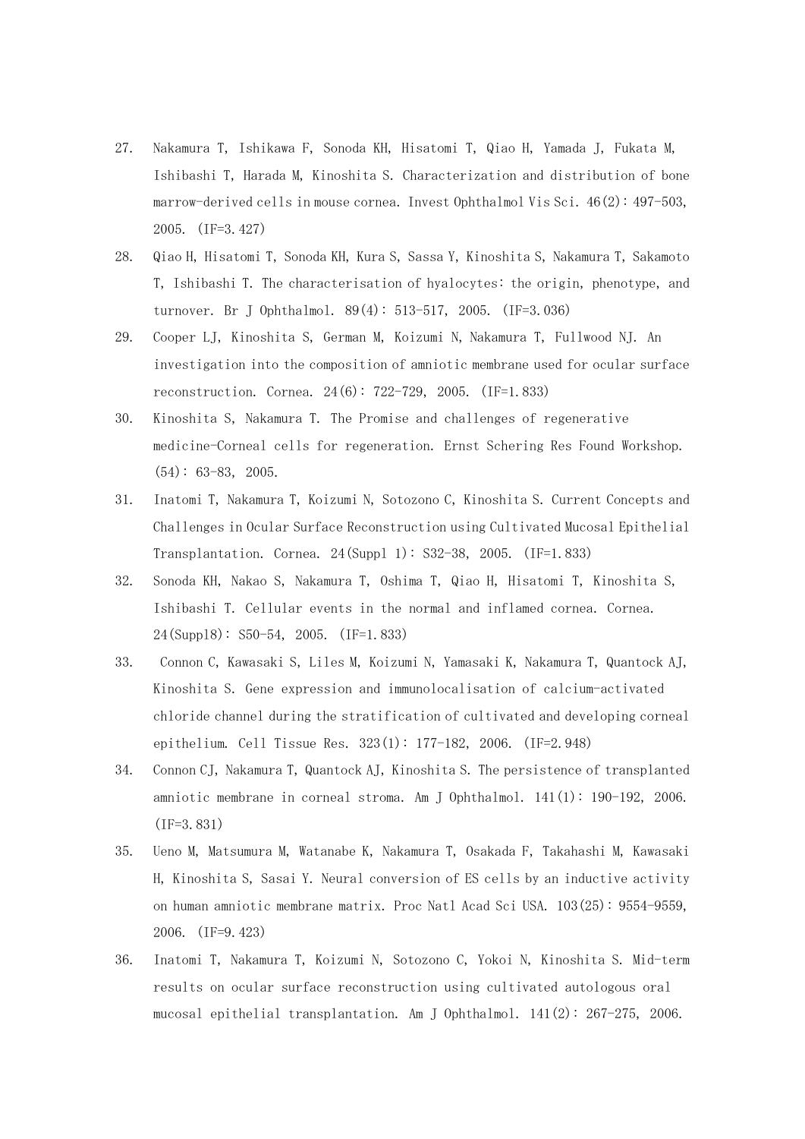- 27. Nakamura T, Ishikawa F, Sonoda KH, Hisatomi T, Qiao H, Yamada J, Fukata M, Ishibashi T, Harada M, Kinoshita S. Characterization and distribution of bone marrow-derived cells in mouse cornea. Invest Ophthalmol Vis Sci. 46(2): 497-503, 2005. (IF=3.427)
- 28. Qiao H, Hisatomi T, Sonoda KH, Kura S, Sassa Y, Kinoshita S, Nakamura T, Sakamoto T, Ishibashi T. The characterisation of hyalocytes: the origin, phenotype, and turnover. Br J Ophthalmol. 89(4): 513-517, 2005. (IF=3.036)
- 29. Cooper LJ, Kinoshita S, German M, Koizumi N, Nakamura T, Fullwood NJ. An investigation into the composition of amniotic membrane used for ocular surface reconstruction. Cornea. 24(6): 722-729, 2005. (IF=1.833)
- 30. Kinoshita S, Nakamura T. The Promise and challenges of regenerative medicine-Corneal cells for regeneration. Ernst Schering Res Found Workshop.  $(54): 63-83, 2005.$
- 31. Inatomi T, Nakamura T, Koizumi N, Sotozono C, Kinoshita S. Current Concepts and Challenges in Ocular Surface Reconstruction using Cultivated Mucosal Epithelial Transplantation. Cornea. 24(Suppl 1): S32-38, 2005. (IF=1.833)
- 32. Sonoda KH, Nakao S, Nakamura T, Oshima T, Qiao H, Hisatomi T, Kinoshita S, Ishibashi T. Cellular events in the normal and inflamed cornea. Cornea. 24(Suppl8): S50-54, 2005. (IF=1.833)
- 33. Connon C, Kawasaki S, Liles M, Koizumi N, Yamasaki K, Nakamura T, Quantock AJ, Kinoshita S. Gene expression and immunolocalisation of calcium-activated chloride channel during the stratification of cultivated and developing corneal epithelium. Cell Tissue Res. 323(1): 177-182, 2006. (IF=2.948)
- 34. Connon CJ, Nakamura T, Quantock AJ, Kinoshita S. The persistence of transplanted amniotic membrane in corneal stroma. Am J Ophthalmol. 141(1): 190-192, 2006. (IF=3.831)
- 35. Ueno M, Matsumura M, Watanabe K, Nakamura T, Osakada F, Takahashi M, Kawasaki H, Kinoshita S, Sasai Y. Neural conversion of ES cells by an inductive activity on human amniotic membrane matrix. Proc Natl Acad Sci USA. 103(25): 9554-9559, 2006. (IF=9.423)
- 36. Inatomi T, Nakamura T, Koizumi N, Sotozono C, Yokoi N, Kinoshita S. Mid-term results on ocular surface reconstruction using cultivated autologous oral mucosal epithelial transplantation. Am J Ophthalmol. 141(2): 267-275, 2006.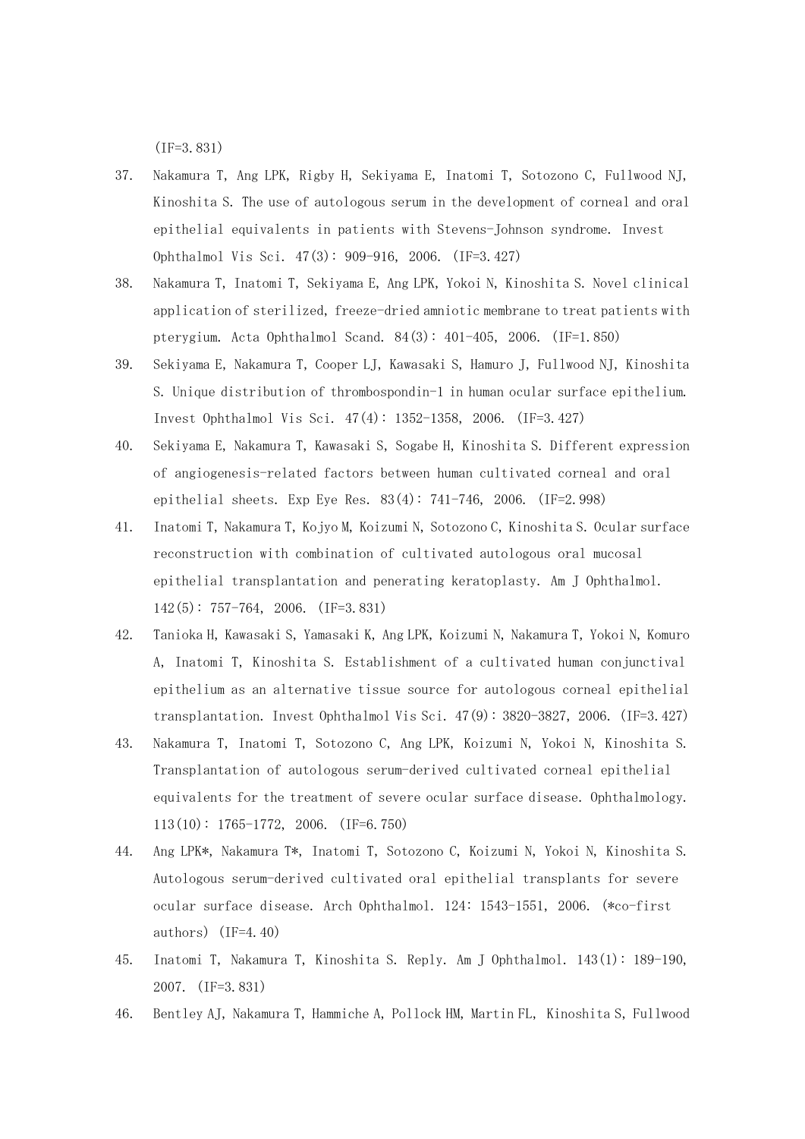(IF=3.831)

- 37. Nakamura T, Ang LPK, Rigby H, Sekiyama E, Inatomi T, Sotozono C, Fullwood NJ, Kinoshita S. The use of autologous serum in the development of corneal and oral epithelial equivalents in patients with Stevens-Johnson syndrome. Invest Ophthalmol Vis Sci. 47(3): 909-916, 2006. (IF=3.427)
- 38. Nakamura T, Inatomi T, Sekiyama E, Ang LPK, Yokoi N, Kinoshita S. Novel clinical application of sterilized, freeze-dried amniotic membrane to treat patients with pterygium. Acta Ophthalmol Scand. 84(3): 401-405, 2006. (IF=1.850)
- 39. Sekiyama E, Nakamura T, Cooper LJ, Kawasaki S, Hamuro J, Fullwood NJ, Kinoshita S. Unique distribution of thrombospondin-1 in human ocular surface epithelium. Invest Ophthalmol Vis Sci. 47(4): 1352-1358, 2006. (IF=3.427)
- 40. Sekiyama E, Nakamura T, Kawasaki S, Sogabe H, Kinoshita S. Different expression of angiogenesis-related factors between human cultivated corneal and oral epithelial sheets. Exp Eye Res. 83(4): 741-746, 2006. (IF=2.998)
- 41. Inatomi T, Nakamura T, Kojyo M, Koizumi N, Sotozono C, Kinoshita S. Ocular surface reconstruction with combination of cultivated autologous oral mucosal epithelial transplantation and penerating keratoplasty. Am J Ophthalmol. 142(5): 757-764, 2006. (IF=3.831)
- 42. Tanioka H, Kawasaki S, Yamasaki K, Ang LPK, Koizumi N, Nakamura T, Yokoi N, Komuro A, Inatomi T, Kinoshita S. Establishment of a cultivated human conjunctival epithelium as an alternative tissue source for autologous corneal epithelial transplantation. Invest Ophthalmol Vis Sci. 47(9): 3820-3827, 2006. (IF=3.427)
- 43. Nakamura T, Inatomi T, Sotozono C, Ang LPK, Koizumi N, Yokoi N, Kinoshita S. Transplantation of autologous serum-derived cultivated corneal epithelial equivalents for the treatment of severe ocular surface disease. Ophthalmology. 113(10): 1765-1772, 2006. (IF=6.750)
- 44. Ang LPK\*, Nakamura T\*, Inatomi T, Sotozono C, Koizumi N, Yokoi N, Kinoshita S. Autologous serum-derived cultivated oral epithelial transplants for severe ocular surface disease. Arch Ophthalmol. 124: 1543-1551, 2006. (\*co-first authors) (IF=4.40)
- 45. Inatomi T, Nakamura T, Kinoshita S. Reply. Am J Ophthalmol. 143(1): 189-190, 2007. (IF=3.831)
- 46. Bentley AJ, Nakamura T, Hammiche A, Pollock HM, Martin FL, Kinoshita S, Fullwood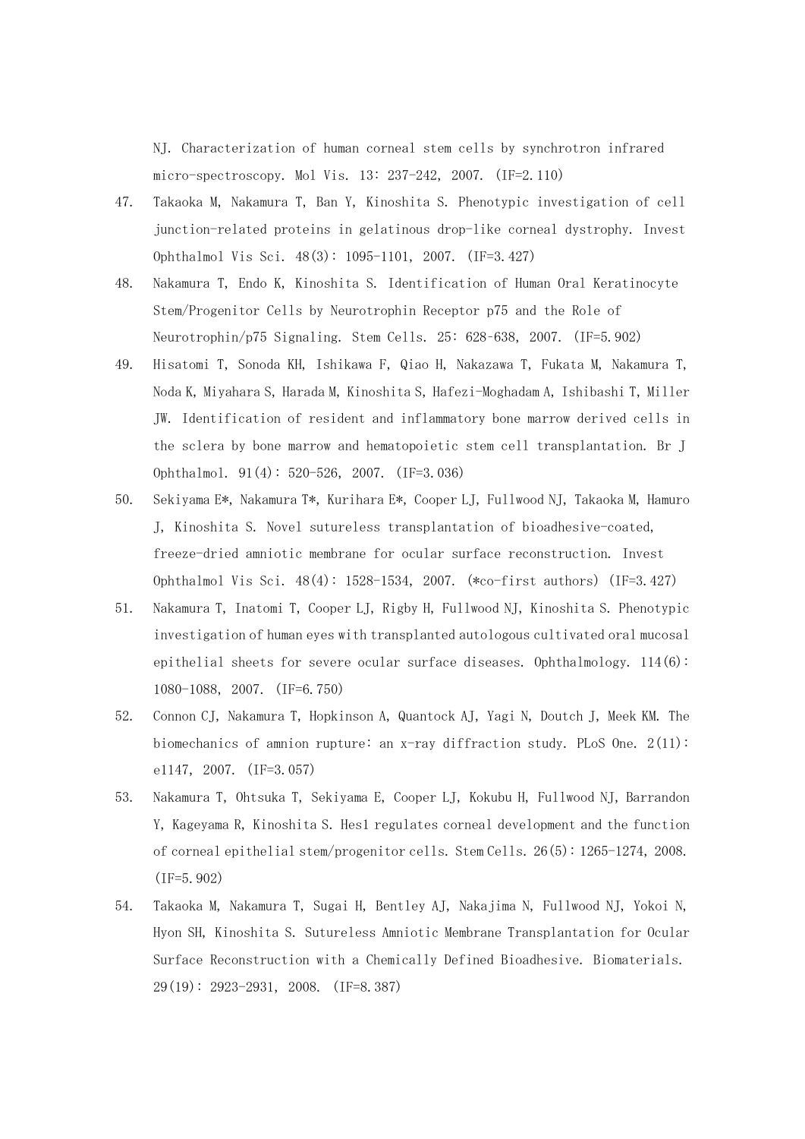NJ. Characterization of human corneal stem cells by synchrotron infrared micro-spectroscopy. Mol Vis. 13: 237-242, 2007. (IF=2.110)

- 47. Takaoka M, Nakamura T, Ban Y, Kinoshita S. Phenotypic investigation of cell junction-related proteins in gelatinous drop-like corneal dystrophy. Invest Ophthalmol Vis Sci. 48(3): 1095-1101, 2007. (IF=3.427)
- 48. Nakamura T, Endo K, Kinoshita S. Identification of Human Oral Keratinocyte Stem/Progenitor Cells by Neurotrophin Receptor p75 and the Role of Neurotrophin/p75 Signaling. Stem Cells. 25: 628–638, 2007. (IF=5.902)
- 49. Hisatomi T, Sonoda KH, Ishikawa F, Qiao H, Nakazawa T, Fukata M, Nakamura T, Noda K, Miyahara S, Harada M, Kinoshita S, Hafezi-Moghadam A, Ishibashi T, Miller JW. Identification of resident and inflammatory bone marrow derived cells in the sclera by bone marrow and hematopoietic stem cell transplantation. Br J Ophthalmol. 91(4): 520-526, 2007. (IF=3.036)
- 50. Sekiyama E\*, Nakamura T\*, Kurihara E\*, Cooper LJ, Fullwood NJ, Takaoka M, Hamuro J, Kinoshita S. Novel sutureless transplantation of bioadhesive-coated, freeze-dried amniotic membrane for ocular surface reconstruction. Invest Ophthalmol Vis Sci. 48(4): 1528-1534, 2007. (\*co-first authors) (IF=3.427)
- 51. Nakamura T, Inatomi T, Cooper LJ, Rigby H, Fullwood NJ, Kinoshita S. Phenotypic investigation of human eyes with transplanted autologous cultivated oral mucosal epithelial sheets for severe ocular surface diseases. Ophthalmology.  $114(6)$ : 1080-1088, 2007. (IF=6.750)
- 52. Connon CJ, Nakamura T, Hopkinson A, Quantock AJ, Yagi N, Doutch J, Meek KM. The biomechanics of amnion rupture: an x-ray diffraction study. PLoS One.  $2(11)$ : e1147, 2007. (IF=3.057)
- 53. Nakamura T, Ohtsuka T, Sekiyama E, Cooper LJ, Kokubu H, Fullwood NJ, Barrandon Y, Kageyama R, Kinoshita S. Hes1 regulates corneal development and the function of corneal epithelial stem/progenitor cells. Stem Cells. 26(5): 1265-1274, 2008. (IF=5.902)
- 54. Takaoka M, Nakamura T, Sugai H, Bentley AJ, Nakajima N, Fullwood NJ, Yokoi N, Hyon SH, Kinoshita S. Sutureless Amniotic Membrane Transplantation for Ocular Surface Reconstruction with a Chemically Defined Bioadhesive. Biomaterials. 29(19): 2923-2931, 2008. (IF=8.387)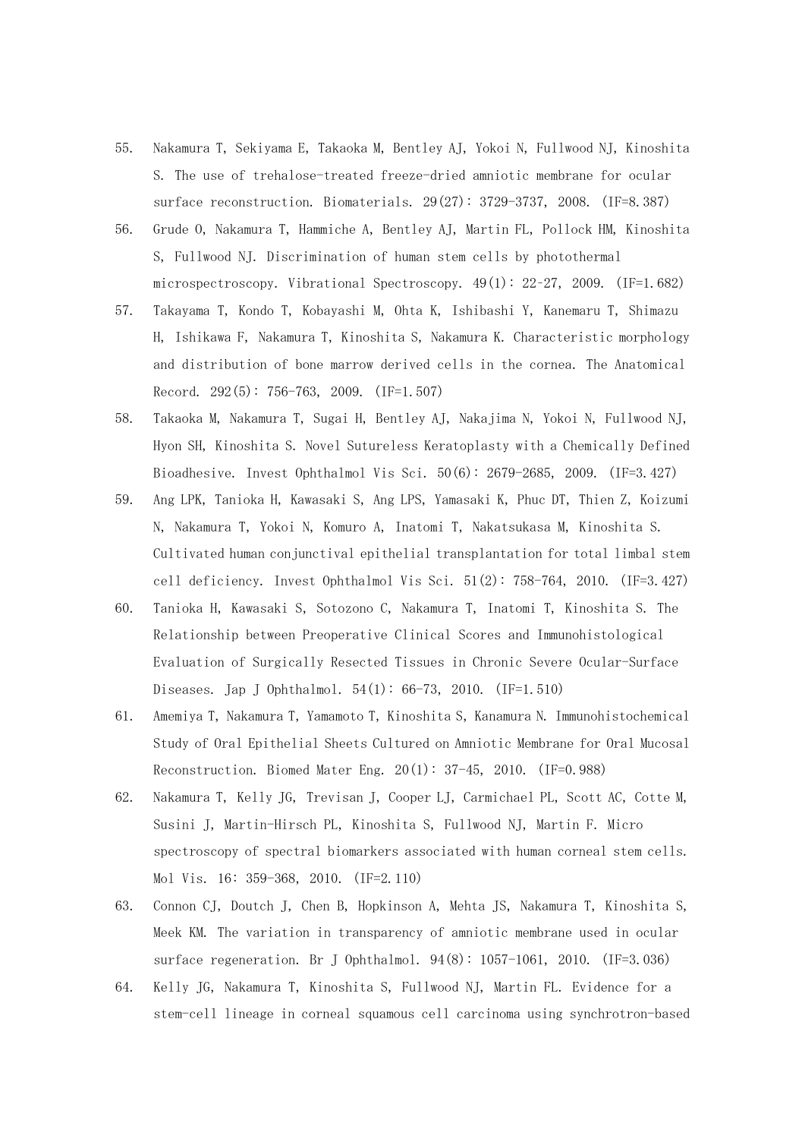- 55. Nakamura T, Sekiyama E, Takaoka M, Bentley AJ, Yokoi N, Fullwood NJ, Kinoshita S. The use of trehalose-treated freeze-dried amniotic membrane for ocular surface reconstruction. Biomaterials. 29(27): 3729-3737, 2008. (IF=8.387)
- 56. Grude O, Nakamura T, Hammiche A, Bentley AJ, Martin FL, Pollock HM, Kinoshita S, Fullwood NJ. Discrimination of human stem cells by photothermal microspectroscopy. Vibrational Spectroscopy. 49(1): 22–27, 2009. (IF=1.682)
- 57. Takayama T, Kondo T, Kobayashi M, Ohta K, Ishibashi Y, Kanemaru T, Shimazu H, Ishikawa F, Nakamura T, Kinoshita S, Nakamura K. Characteristic morphology and distribution of bone marrow derived cells in the cornea. The Anatomical Record. 292(5): 756-763, 2009. (IF=1.507)
- 58. Takaoka M, Nakamura T, Sugai H, Bentley AJ, Nakajima N, Yokoi N, Fullwood NJ, Hyon SH, Kinoshita S. Novel Sutureless Keratoplasty with a Chemically Defined Bioadhesive. Invest Ophthalmol Vis Sci. 50(6): 2679-2685, 2009. (IF=3.427)
- 59. Ang LPK, Tanioka H, Kawasaki S, Ang LPS, Yamasaki K, Phuc DT, Thien Z, Koizumi N, Nakamura T, Yokoi N, Komuro A, Inatomi T, Nakatsukasa M, Kinoshita S. Cultivated human conjunctival epithelial transplantation for total limbal stem cell deficiency. Invest Ophthalmol Vis Sci. 51(2): 758-764, 2010. (IF=3.427)
- 60. Tanioka H, Kawasaki S, Sotozono C, Nakamura T, Inatomi T, Kinoshita S. The Relationship between Preoperative Clinical Scores and Immunohistological Evaluation of Surgically Resected Tissues in Chronic Severe Ocular-Surface Diseases. Jap J Ophthalmol.  $54(1)$ : 66-73, 2010. (IF=1.510)
- 61. Amemiya T, Nakamura T, Yamamoto T, Kinoshita S, Kanamura N. Immunohistochemical Study of Oral Epithelial Sheets Cultured on Amniotic Membrane for Oral Mucosal Reconstruction. Biomed Mater Eng.  $20(1)$ :  $37-45$ ,  $2010$ . (IF=0.988)
- 62. Nakamura T, Kelly JG, Trevisan J, Cooper LJ, Carmichael PL, Scott AC, Cotte M, Susini J, Martin-Hirsch PL, Kinoshita S, Fullwood NJ, Martin F. Micro spectroscopy of spectral biomarkers associated with human corneal stem cells. Mol Vis. 16: 359-368, 2010. (IF=2.110)
- 63. Connon CJ, Doutch J, Chen B, Hopkinson A, Mehta JS, Nakamura T, Kinoshita S, Meek KM. The variation in transparency of amniotic membrane used in ocular surface regeneration. Br J Ophthalmol. 94(8): 1057-1061, 2010. (IF=3.036)
- 64. Kelly JG, Nakamura T, Kinoshita S, Fullwood NJ, Martin FL. Evidence for a stem-cell lineage in corneal squamous cell carcinoma using synchrotron-based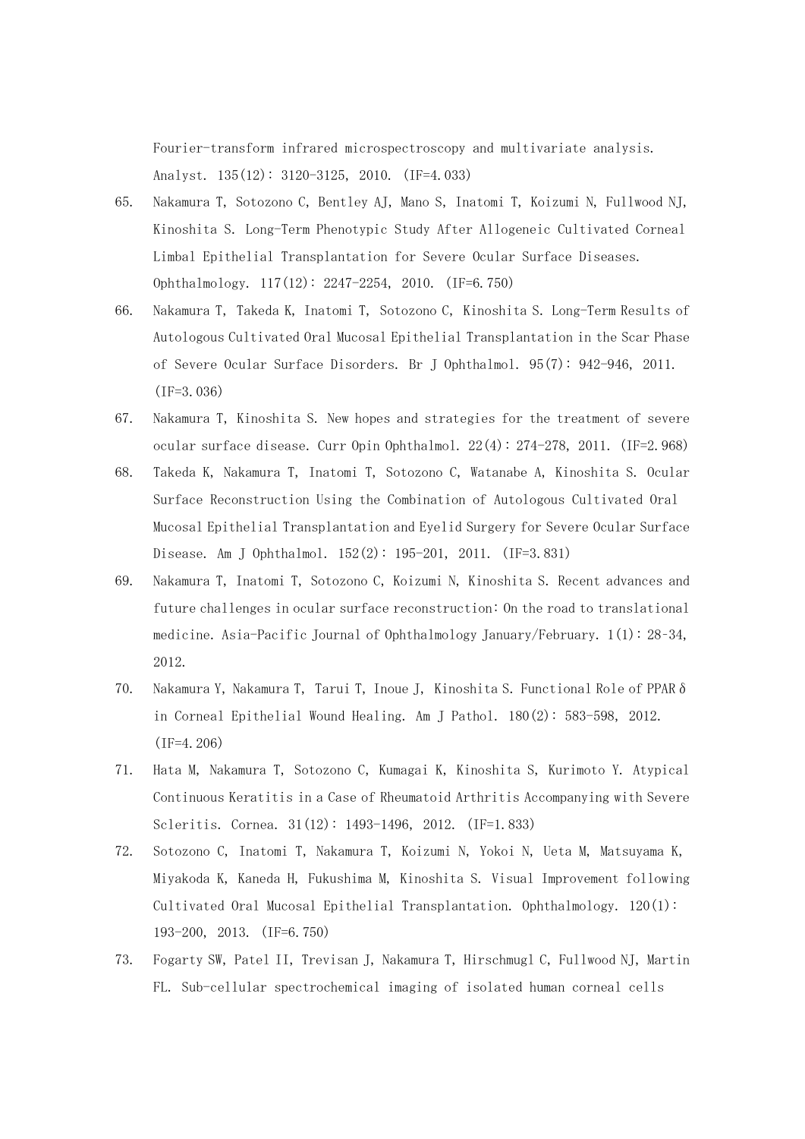Fourier-transform infrared microspectroscopy and multivariate analysis. Analyst. 135(12): 3120-3125, 2010. (IF=4.033)

- 65. Nakamura T, Sotozono C, Bentley AJ, Mano S, Inatomi T, Koizumi N, Fullwood NJ, Kinoshita S. Long-Term Phenotypic Study After Allogeneic Cultivated Corneal Limbal Epithelial Transplantation for Severe Ocular Surface Diseases. Ophthalmology. 117(12): 2247-2254, 2010. (IF=6.750)
- 66. Nakamura T, Takeda K, Inatomi T, Sotozono C, Kinoshita S. Long-Term Results of Autologous Cultivated Oral Mucosal Epithelial Transplantation in the Scar Phase of Severe Ocular Surface Disorders. Br J Ophthalmol. 95(7): 942-946, 2011. (IF=3.036)
- 67. Nakamura T, Kinoshita S. New hopes and strategies for the treatment of severe ocular surface disease. Curr Opin Ophthalmol. 22(4): 274-278, 2011. (IF=2.968)
- 68. Takeda K, Nakamura T, Inatomi T, Sotozono C, Watanabe A, Kinoshita S. Ocular Surface Reconstruction Using the Combination of Autologous Cultivated Oral Mucosal Epithelial Transplantation and Eyelid Surgery for Severe Ocular Surface Disease. Am J Ophthalmol. 152(2): 195-201, 2011. (IF=3.831)
- 69. Nakamura T, Inatomi T, Sotozono C, Koizumi N, Kinoshita S. Recent advances and future challenges in ocular surface reconstruction: On the road to translational medicine. Asia-Pacific Journal of Ophthalmology January/February. 1(1): 28–34, 2012.
- 70. Nakamura Y, Nakamura T, Tarui T, Inoue J, Kinoshita S. Functional Role of PPARδ in Corneal Epithelial Wound Healing. Am J Pathol. 180(2): 583-598, 2012. (IF=4.206)
- 71. Hata M, Nakamura T, Sotozono C, Kumagai K, Kinoshita S, Kurimoto Y. Atypical Continuous Keratitis in a Case of Rheumatoid Arthritis Accompanying with Severe Scleritis. Cornea. 31(12): 1493-1496, 2012. (IF=1.833)
- 72. Sotozono C, Inatomi T, Nakamura T, Koizumi N, Yokoi N, Ueta M, Matsuyama K, Miyakoda K, Kaneda H, Fukushima M, Kinoshita S. Visual Improvement following Cultivated Oral Mucosal Epithelial Transplantation. Ophthalmology. 120(1): 193-200, 2013. (IF=6.750)
- 73. Fogarty SW, Patel II, Trevisan J, Nakamura T, Hirschmugl C, Fullwood NJ, Martin FL. Sub-cellular spectrochemical imaging of isolated human corneal cells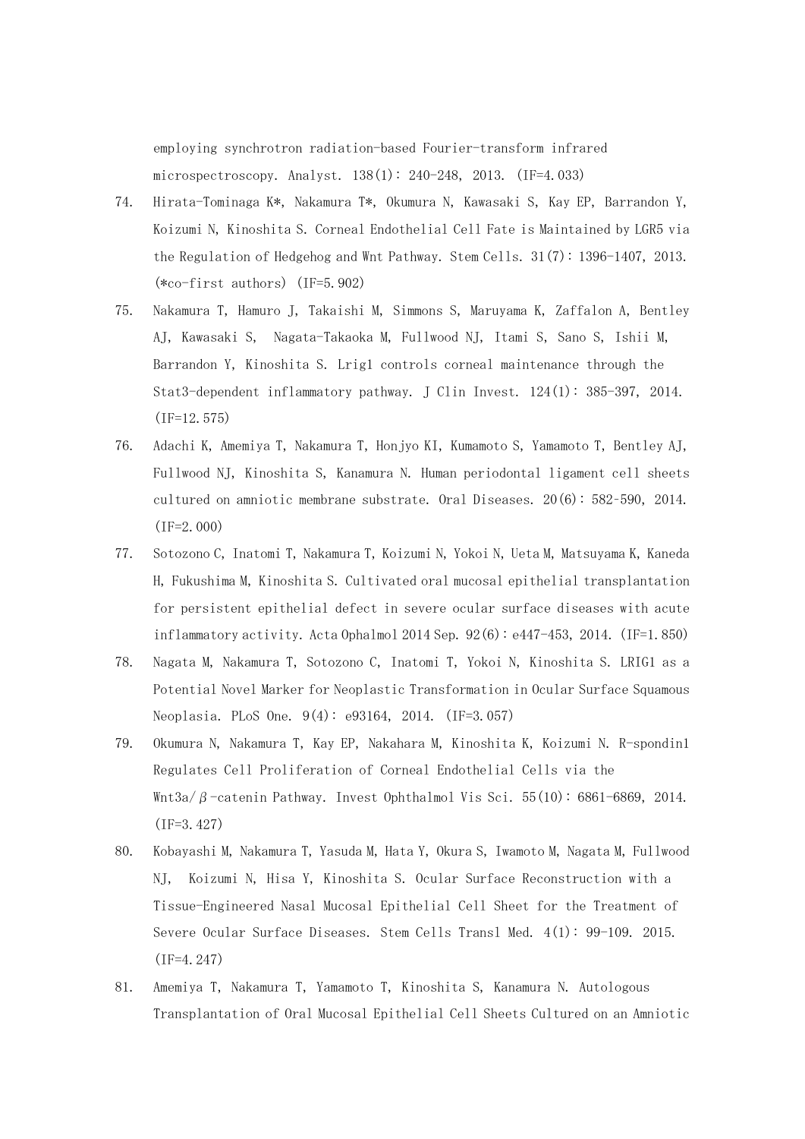employing synchrotron radiation-based Fourier-transform infrared microspectroscopy. Analyst. 138(1): 240-248, 2013. (IF=4.033)

- 74. Hirata-Tominaga K\*, Nakamura T\*, Okumura N, Kawasaki S, Kay EP, Barrandon Y, Koizumi N, Kinoshita S. Corneal Endothelial Cell Fate is Maintained by LGR5 via the Regulation of Hedgehog and Wnt Pathway. Stem Cells. 31(7): 1396-1407, 2013. (\*co-first authors) (IF=5.902)
- 75. Nakamura T, Hamuro J, Takaishi M, Simmons S, Maruyama K, Zaffalon A, Bentley AJ, Kawasaki S, Nagata-Takaoka M, Fullwood NJ, Itami S, Sano S, Ishii M, Barrandon Y, Kinoshita S. Lrig1 controls corneal maintenance through the Stat3-dependent inflammatory pathway. J Clin Invest. 124(1): 385-397, 2014. (IF=12.575)
- 76. Adachi K, Amemiya T, Nakamura T, Honjyo KI, Kumamoto S, Yamamoto T, Bentley AJ, Fullwood NJ, Kinoshita S, Kanamura N. Human periodontal ligament cell sheets cultured on amniotic membrane substrate. Oral Diseases. 20(6): 582–590, 2014. (IF=2.000)
- 77. Sotozono C, Inatomi T, Nakamura T, Koizumi N, Yokoi N, Ueta M, Matsuyama K, Kaneda H, Fukushima M, Kinoshita S. Cultivated oral mucosal epithelial transplantation for persistent epithelial defect in severe ocular surface diseases with acute inflammatory activity. Acta Ophalmol 2014 Sep.  $92(6)$ : e447-453, 2014. (IF=1.850)
- 78. Nagata M, Nakamura T, Sotozono C, Inatomi T, Yokoi N, Kinoshita S. LRIG1 as a Potential Novel Marker for Neoplastic Transformation in Ocular Surface Squamous Neoplasia. PLoS One. 9(4): e93164, 2014. (IF=3.057)
- 79. Okumura N, Nakamura T, Kay EP, Nakahara M, Kinoshita K, Koizumi N. R-spondin1 Regulates Cell Proliferation of Corneal Endothelial Cells via the Wnt3a/β-catenin Pathway. Invest Ophthalmol Vis Sci. 55(10): 6861-6869, 2014. (IF=3.427)
- 80. Kobayashi M, Nakamura T, Yasuda M, Hata Y, Okura S, Iwamoto M, Nagata M, Fullwood NJ, Koizumi N, Hisa Y, Kinoshita S. Ocular Surface Reconstruction with a Tissue-Engineered Nasal Mucosal Epithelial Cell Sheet for the Treatment of Severe Ocular Surface Diseases. Stem Cells Transl Med. 4(1): 99-109. 2015. (IF=4.247)
- 81. Amemiya T, Nakamura T, Yamamoto T, Kinoshita S, Kanamura N. Autologous Transplantation of Oral Mucosal Epithelial Cell Sheets Cultured on an Amniotic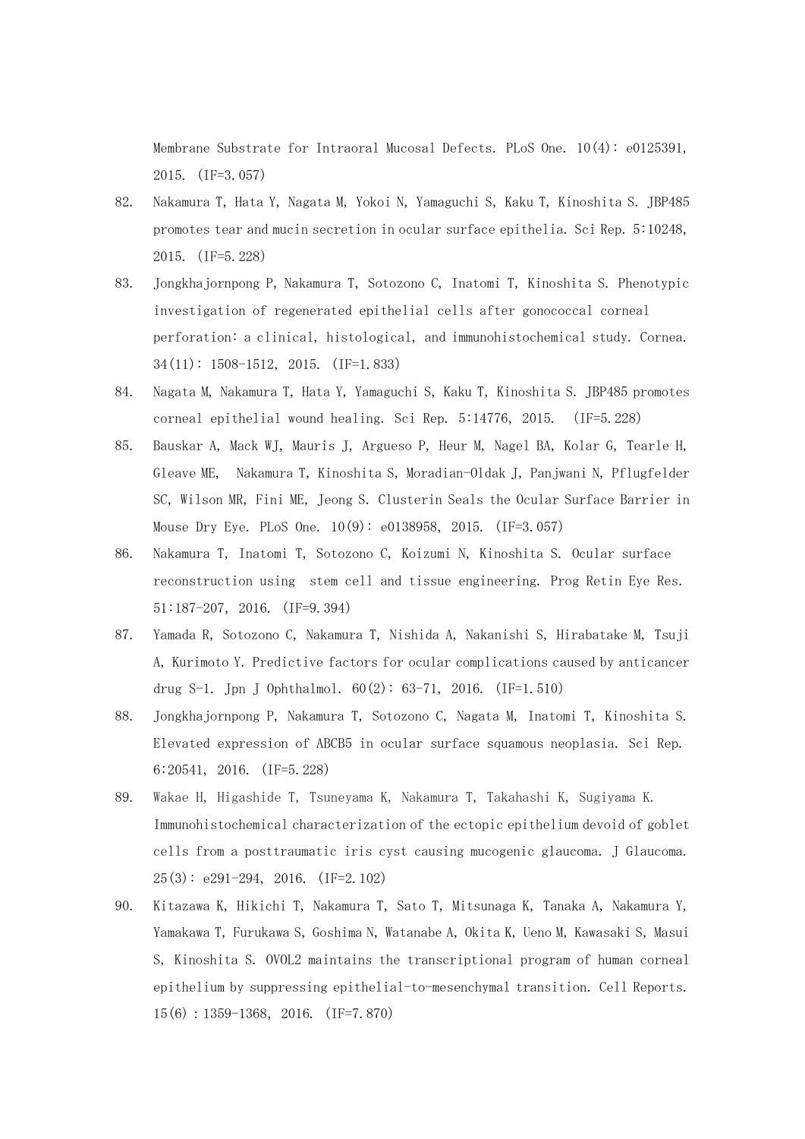Membrane Substrate for Intraoral Mucosal Defects. PLoS One. 10(4): e0125391, 2015. (IF=3.057)

- 82. Nakamura T, Hata Y, Nagata M, Yokoi N, Yamaguchi S, Kaku T, Kinoshita S. JBP485 promotes tear and mucin secretion in ocular surface epithelia. Sci Rep. 5:10248, 2015.(IF=5.228)
- 83. Jongkhajornpong P, Nakamura T, Sotozono C, Inatomi T, Kinoshita S. Phenotypic investigation of regenerated epithelial cells after gonococcal corneal perforation: a clinical, histological, and immunohistochemical study. Cornea. 34(11): 1508-1512, 2015. (IF=1.833)
- 84. Nagata M, Nakamura T, Hata Y, Yamaguchi S, Kaku T, Kinoshita S. JBP485 promotes corneal epithelial wound healing. Sci Rep. 5:14776, 2015. (IF=5.228)
- 85. Bauskar A, Mack WJ, Mauris J, Argueso P, Heur M, Nagel BA, Kolar G, Tearle H, Gleave ME, Nakamura T, Kinoshita S, Moradian-Oldak J, Panjwani N, Pflugfelder SC, Wilson MR, Fini ME, Jeong S. Clusterin Seals the Ocular Surface Barrier in Mouse Dry Eye. PLoS One. 10(9): e0138958, 2015. (IF=3.057)
- 86. Nakamura T, Inatomi T, Sotozono C, Koizumi N, Kinoshita S. Ocular surface reconstruction using stem cell and tissue engineering. Prog Retin Eye Res. 51:187-207,2016. (IF=9.394)
- 87. Yamada R, Sotozono C, Nakamura T, Nishida A, Nakanishi S, Hirabatake M, Tsuji A, Kurimoto Y. Predictive factors for ocular complications caused by anticancer drug S-1. Jpn J Ophthalmol.  $60(2)$ : 63-71, 2016. (IF=1.510)
- 88. Jongkhajornpong P, Nakamura T, Sotozono C, Nagata M, Inatomi T, Kinoshita S. Elevated expression of ABCB5 in ocular surface squamous neoplasia. Sci Rep. 6:20541, 2016. (IF=5.228)
- 89. Wakae H, Higashide T, Tsuneyama K, Nakamura T, Takahashi K, Sugiyama K. Immunohistochemical characterization of the ectopic epithelium devoid of goblet cells from a posttraumatic iris cyst causing mucogenic glaucoma. J Glaucoma.  $25(3)$ : e $291-294$ ,  $2016$ . (IF=2.102)
- 90. Kitazawa K, Hikichi T, Nakamura T, Sato T, Mitsunaga K, Tanaka A, Nakamura Y, Yamakawa T, Furukawa S, Goshima N, Watanabe A, Okita K, Ueno M, Kawasaki S, Masui S, Kinoshita S. OVOL2 maintains the transcriptional program of human corneal epithelium by suppressing epithelial-to-mesenchymal transition. Cell Reports. 15(6):1359-1368,2016. (IF=7.870)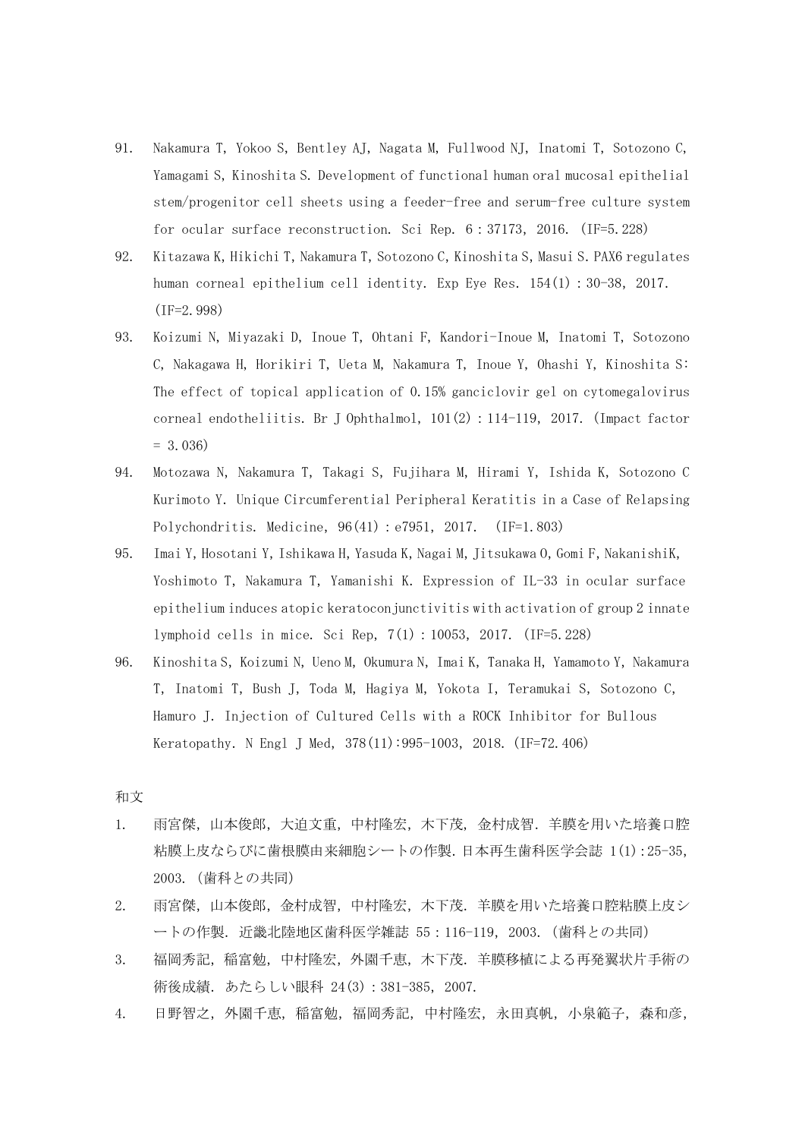- 91. Nakamura T, Yokoo S, Bentley AJ, Nagata M, Fullwood NJ, Inatomi T, Sotozono C, Yamagami S, Kinoshita S. Development of functional human oral mucosal epithelial stem/progenitor cell sheets using a feeder-free and serum-free culture system for ocular surface reconstruction. Sci Rep. 6:37173,2016. (IF=5.228)
- 92. Kitazawa K, Hikichi T, Nakamura T, Sotozono C, Kinoshita S, Masui S. PAX6 regulates human corneal epithelium cell identity. Exp Eye Res. 154(1): 30-38, 2017. (IF=2.998)
- 93. Koizumi N, Miyazaki D, Inoue T, Ohtani F, Kandori-Inoue M, Inatomi T, Sotozono C, Nakagawa H, Horikiri T, Ueta M, Nakamura T, Inoue Y, Ohashi Y, Kinoshita S: The effect of topical application of 0.15% ganciclovir gel on cytomegalovirus corneal endotheliitis. Br J Ophthalmol, 101(2):114-119,2017. (Impact factor  $= 3.036$
- 94. Motozawa N, Nakamura T, Takagi S, Fujihara M, Hirami Y, Ishida K, Sotozono C Kurimoto Y. Unique Circumferential Peripheral Keratitis in a Case of Relapsing Polychondritis. Medicine,  $96(41)$ : e7951, 2017. (IF=1.803)
- 95. Imai Y, Hosotani Y, Ishikawa H, Yasuda K, Nagai M, Jitsukawa O, Gomi F, NakanishiK, Yoshimoto T, Nakamura T, Yamanishi K. Expression of IL-33 in ocular surface epithelium induces atopic keratoconjunctivitis with activation of group 2 innate lymphoid cells in mice. Sci Rep,7(1):10053,2017. (IF=5.228)
- 96. Kinoshita S, Koizumi N, Ueno M, Okumura N, Imai K, Tanaka H, Yamamoto Y, Nakamura T, Inatomi T, Bush J, Toda M, Hagiya M, Yokota I, Teramukai S, Sotozono C, Hamuro J. Injection of Cultured Cells with a ROCK Inhibitor for Bullous Keratopathy. N Engl J Med, 378(11):995-1003, 2018. (IF=72.406)

#### 和文

- 1. 雨宮傑,山本俊郎,大迫文重,中村隆宏,木下茂, 金村成智.羊膜を用いた培養口腔 粘膜上皮ならびに歯根膜由来細胞シートの作製.日本再生歯科医学会誌 1(1):25-35, 2003.(歯科との共同)
- 2. 雨宮傑,山本俊郎,金村成智,中村隆宏,木下茂.羊膜を用いた培養口腔粘膜上皮シ ートの作製. 近畿北陸地区歯科医学雑誌 55:116-119, 2003. (歯科との共同)
- 3. 福岡秀記,稲富勉,中村隆宏,外園千恵,木下茂.羊膜移植による再発翼状片手術の 術後成績.あたらしい眼科 24(3):381-385,2007.
- 4. 日野智之,外園千恵,稲富勉,福岡秀記,中村隆宏,永田真帆,小泉範子,森和彦,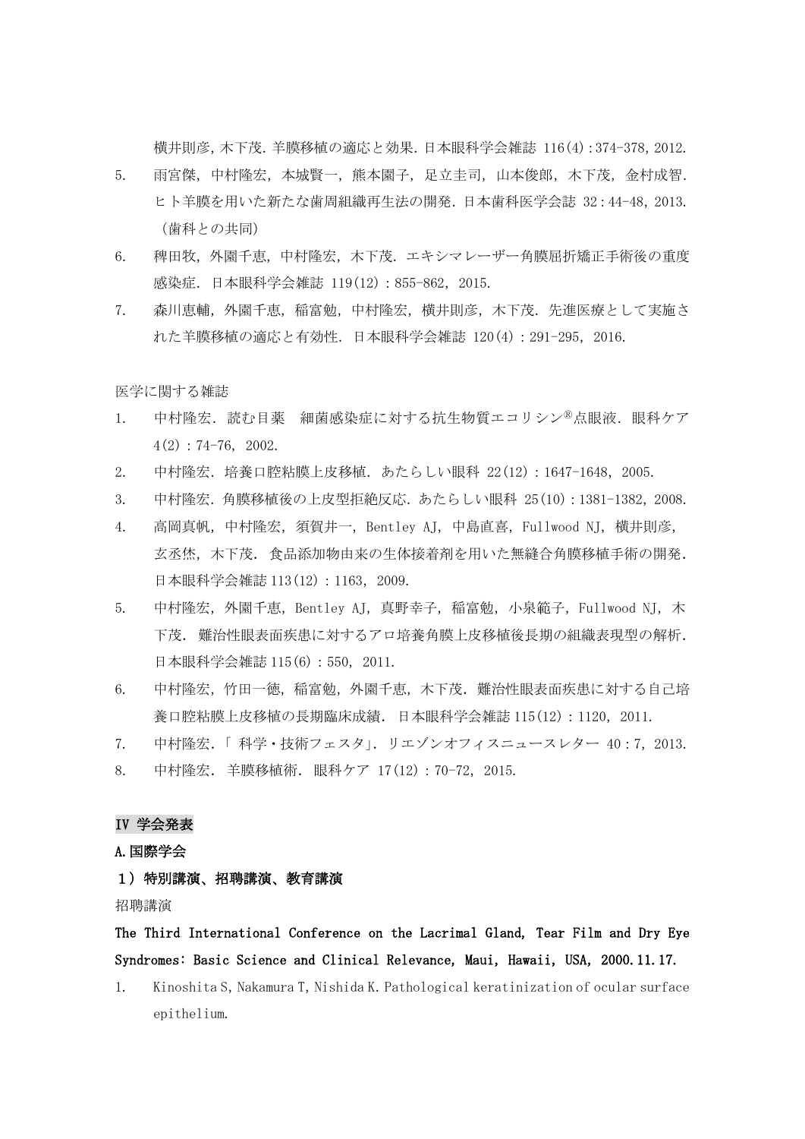横井則彦,木下茂.羊膜移植の適応と効果.日本眼科学会雑誌 116(4):374-378,2012.

- 5. 雨宮傑,中村隆宏,本城賢一,熊本園子,足立圭司,山本俊郎,木下茂,金村成智. ヒト羊膜を用いた新たな歯周組織再生法の開発.日本歯科医学会誌 32:44-48,2013. (歯科との共同)
- 6. 稗田牧,外園千恵,中村隆宏,木下茂.エキシマレーザー角膜屈折矯正手術後の重度 感染症.日本眼科学会雑誌 119(12):855-862,2015.
- 7. 森川恵輔,外園千恵,稲富勉,中村隆宏,横井則彦,木下茂.先進医療として実施さ れた羊膜移植の適応と有効性.日本眼科学会雑誌 120(4):291-295,2016.

医学に関する雑誌

- 1. 中村隆宏.読む目薬 細菌感染症に対する抗生物質エコリシン<sup>®</sup>点眼液.眼科ケア  $4(2): 74-76, 2002.$
- 2. 中村隆宏.培養口腔粘膜上皮移植.あたらしい眼科 22(12):1647-1648,2005.
- 3. 中村隆宏.角膜移植後の上皮型拒絶反応.あたらしい眼科 25(10):1381-1382,2008.
- 4. 高岡真帆,中村隆宏,須賀井一,Bentley AJ,中島直喜,Fullwood NJ,横井則彦, 玄丞烋,木下茂.食品添加物由来の生体接着剤を用いた無縫合角膜移植手術の開発. 日本眼科学会雑誌 113(12): 1163, 2009.
- 5. 中村隆宏,外園千恵, Bentley AJ, 真野幸子, 稲富勉, 小泉範子, Fullwood NJ, 木 下茂.難治性眼表面疾患に対するアロ培養角膜上皮移植後長期の組織表現型の解析. 日本眼科学会雑誌 115(6):550,2011.
- 6. 中村隆宏,竹田一徳,稲富勉,外園千恵,木下茂.難治性眼表面疾患に対する自己培 養口腔粘膜上皮移植の長期臨床成績. 日本眼科学会雑誌 115(12): 1120, 2011.
- 7. 中村隆宏.「 科学・技術フェスタ」.リエゾンオフィスニュースレター 40:7,2013. 8. 中村隆宏.羊膜移植術.眼科ケア 17(12):70-72,2015.

#### IV 学会発表

A.国際学会

## 1)特別講演、招聘講演、教育講演

招聘講演

# The Third International Conference on the Lacrimal Gland, Tear Film and Dry Eye Syndromes: Basic Science and Clinical Relevance, Maui, Hawaii, USA, 2000.11.17.

1. Kinoshita S, Nakamura T, Nishida K. Pathological keratinization of ocular surface epithelium.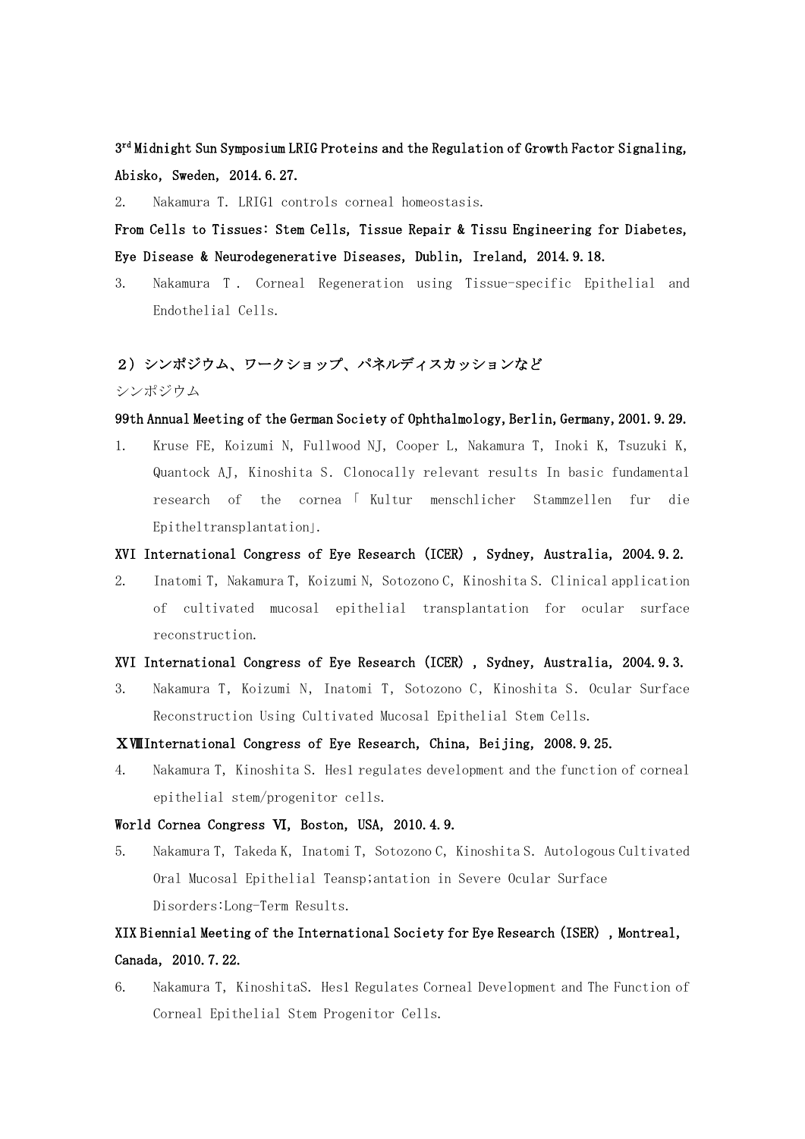$3<sup>rd</sup>$  Midnight Sun Symposium LRIG Proteins and the Regulation of Growth Factor Signaling, Abisko, Sweden, 2014.6.27.

2. Nakamura T.LRIG1 controls corneal homeostasis.

From Cells to Tissues: Stem Cells, Tissue Repair & Tissu Engineering for Diabetes, Eye Disease & Neurodegenerative Diseases, Dublin, Ireland, 2014.9.18.

3. Nakamura T . Corneal Regeneration using Tissue-specific Epithelial and Endothelial Cells.

## 2)シンポジウム、ワークショップ、パネルディスカッションなど

シンポジウム

## 99th Annual Meeting of the German Society of Ophthalmology, Berlin, Germany, 2001. 9. 29.

1. Kruse FE, Koizumi N, Fullwood NJ, Cooper L, Nakamura T, Inoki K, Tsuzuki K, Quantock AJ, Kinoshita S. Clonocally relevant results In basic fundamental research of the cornea 「 Kultur menschlicher Stammzellen fur die Epitheltransplantation」.

## XVI International Congress of Eye Research (ICER), Sydney, Australia, 2004.9.2.

2. Inatomi T, Nakamura T, Koizumi N, Sotozono C, Kinoshita S. Clinical application of cultivated mucosal epithelial transplantation for ocular surface reconstruction.

## XVI International Congress of Eye Research (ICER), Sydney, Australia, 2004.9.3.

3. Nakamura T, Koizumi N, Inatomi T, Sotozono C, Kinoshita S. Ocular Surface Reconstruction Using Cultivated Mucosal Epithelial Stem Cells.

#### XWIInternational Congress of Eye Research, China, Beijing, 2008.9.25.

4. Nakamura T,Kinoshita S.Hes1 regulates development and the function of corneal epithelial stem/progenitor cells.

#### World Cornea Congress VI, Boston, USA, 2010.4.9.

5. Nakamura T, Takeda K, Inatomi T, Sotozono C, Kinoshita S. Autologous Cultivated Oral Mucosal Epithelial Teansp;antation in Severe Ocular Surface Disorders:Long-Term Results.

# XIX Biennial Meeting of the International Society for Eye Research (ISER), Montreal, Canada,2010.7.22.

6. Nakamura T, KinoshitaS. Hes1 Regulates Corneal Development and The Function of Corneal Epithelial Stem Progenitor Cells.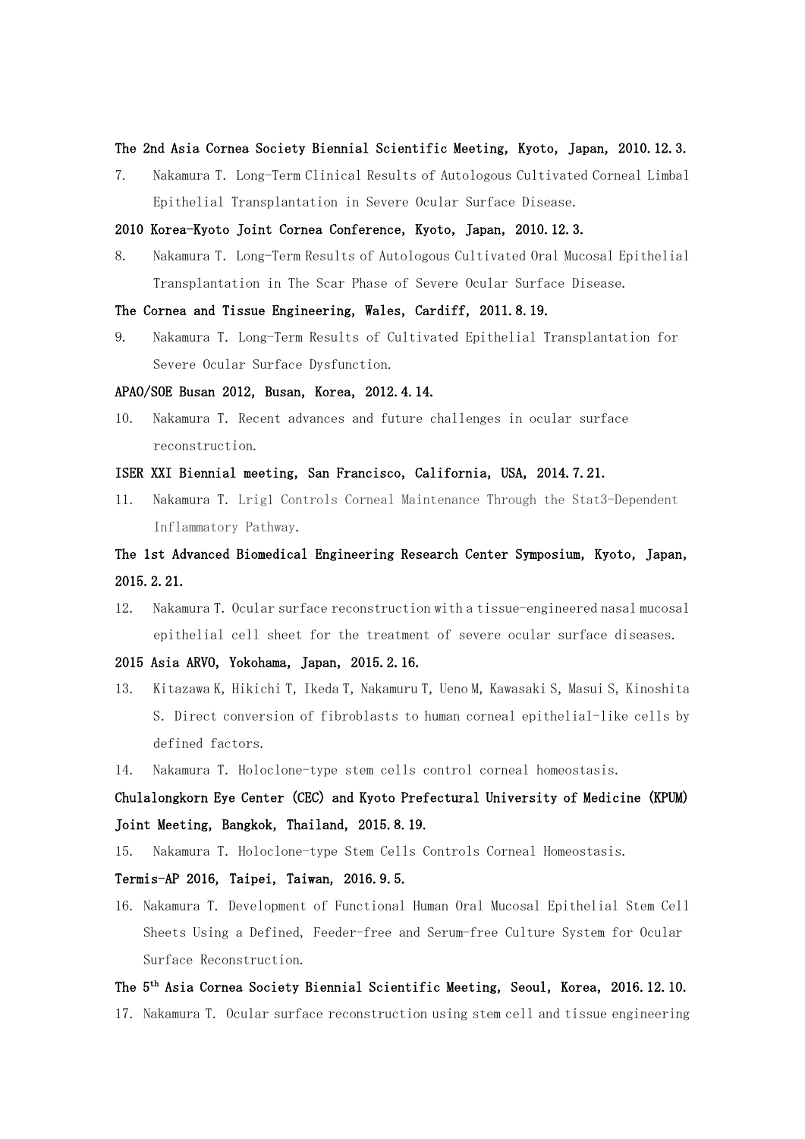#### The 2nd Asia Cornea Society Biennial Scientific Meeting, Kyoto, Japan, 2010.12.3.

7. Nakamura T.Long-Term Clinical Results of Autologous Cultivated Corneal Limbal Epithelial Transplantation in Severe Ocular Surface Disease.

#### 2010 Korea-Kyoto Joint Cornea Conference, Kyoto, Japan, 2010.12.3.

8. Nakamura T.Long-Term Results of Autologous Cultivated Oral Mucosal Epithelial Transplantation in The Scar Phase of Severe Ocular Surface Disease.

#### The Cornea and Tissue Engineering, Wales, Cardiff, 2011.8.19.

9. Nakamura T.Long-Term Results of Cultivated Epithelial Transplantation for Severe Ocular Surface Dysfunction.

#### APAO/SOE Busan 2012, Busan, Korea, 2012. 4.14.

10. Nakamura T. Recent advances and future challenges in ocular surface reconstruction.

#### ISER XXI Biennial meeting, San Francisco, California, USA, 2014.7.21.

11. Nakamura T.Lrig1 Controls Corneal Maintenance Through the Stat3-Dependent Inflammatory Pathway.

# The 1st Advanced Biomedical Engineering Research Center Symposium, Kyoto, Japan, 2015.2.21.

12. Nakamura T. Ocular surface reconstruction with a tissue-engineered nasal mucosal epithelial cell sheet for the treatment of severe ocular surface diseases.

## 2015 Asia ARVO, Yokohama, Japan, 2015.2.16.

- 13. Kitazawa K, Hikichi T, Ikeda T, Nakamuru T, Ueno M, Kawasaki S, Masui S, Kinoshita S.Direct conversion of fibroblasts to human corneal epithelial-like cells by defined factors.
- 14. Nakamura T. Holoclone-type stem cells control corneal homeostasis.

# Chulalongkorn Eye Center (CEC) and Kyoto Prefectural University of Medicine (KPUM) Joint Meeting, Bangkok, Thailand, 2015.8.19.

15. Nakamura T.Holoclone-type Stem Cells Controls Corneal Homeostasis.

#### Termis-AP 2016, Taipei, Taiwan, 2016.9.5.

16. Nakamura T. Development of Functional Human Oral Mucosal Epithelial Stem Cell Sheets Using a Defined, Feeder-free and Serum-free Culture System for Ocular Surface Reconstruction.

## The 5<sup>th</sup> Asia Cornea Society Biennial Scientific Meeting, Seoul, Korea, 2016.12.10.

17. Nakamura T. Ocular surface reconstruction using stem cell and tissue engineering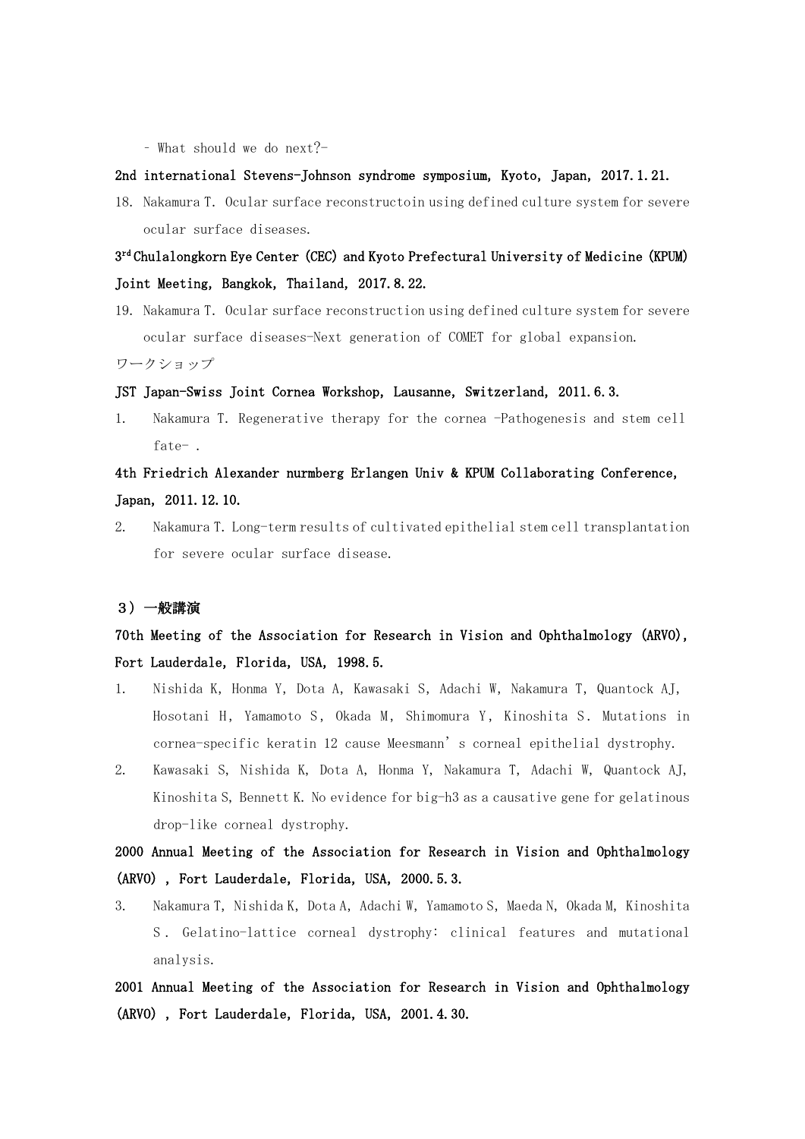– What should we do next?-

## 2nd international Stevens-Johnson syndrome symposium, Kyoto, Japan, 2017.1.21.

18. Nakamura T. Ocular surface reconstructoin using defined culture system for severe ocular surface diseases.

# 3rd Chulalongkorn Eye Center (CEC) and Kyoto Prefectural University of Medicine (KPUM) Joint Meeting, Bangkok, Thailand, 2017.8.22.

19. Nakamura T. Ocular surface reconstruction using defined culture system for severe ocular surface diseases-Next generation of COMET for global expansion. ワークショップ

## JST Japan-Swiss Joint Cornea Workshop, Lausanne, Switzerland, 2011.6.3.

1. Nakamura T. Regenerative therapy for the cornea -Pathogenesis and stem cell fate- .

## 4th Friedrich Alexander nurmberg Erlangen Univ & KPUM Collaborating Conference, Japan,2011.12.10.

2. Nakamura T.Long-term results of cultivated epithelial stem cell transplantation for severe ocular surface disease.

## 3)一般講演

## 70th Meeting of the Association for Research in Vision and Ophthalmology (ARVO), Fort Lauderdale, Florida, USA, 1998.5.

- 1. Nishida K, Honma Y, Dota A, Kawasaki S, Adachi W, Nakamura T, Quantock AJ, Hosotani H, Yamamoto S, Okada M, Shimomura Y, Kinoshita S. Mutations in cornea-specific keratin 12 cause Meesmann's corneal epithelial dystrophy.
- 2. Kawasaki S, Nishida K, Dota A, Honma Y, Nakamura T, Adachi W, Quantock AJ, Kinoshita S, Bennett K. No evidence for big-h3 as a causative gene for gelatinous drop-like corneal dystrophy.

# 2000 Annual Meeting of the Association for Research in Vision and Ophthalmology (ARVO), Fort Lauderdale, Florida, USA, 2000.5.3.

3. Nakamura T, Nishida K, Dota A, Adachi W, Yamamoto S, Maeda N, Okada M, Kinoshita S . Gelatino-lattice corneal dystrophy: clinical features and mutational analysis.

2001 Annual Meeting of the Association for Research in Vision and Ophthalmology (ARVO), Fort Lauderdale, Florida, USA, 2001.4.30.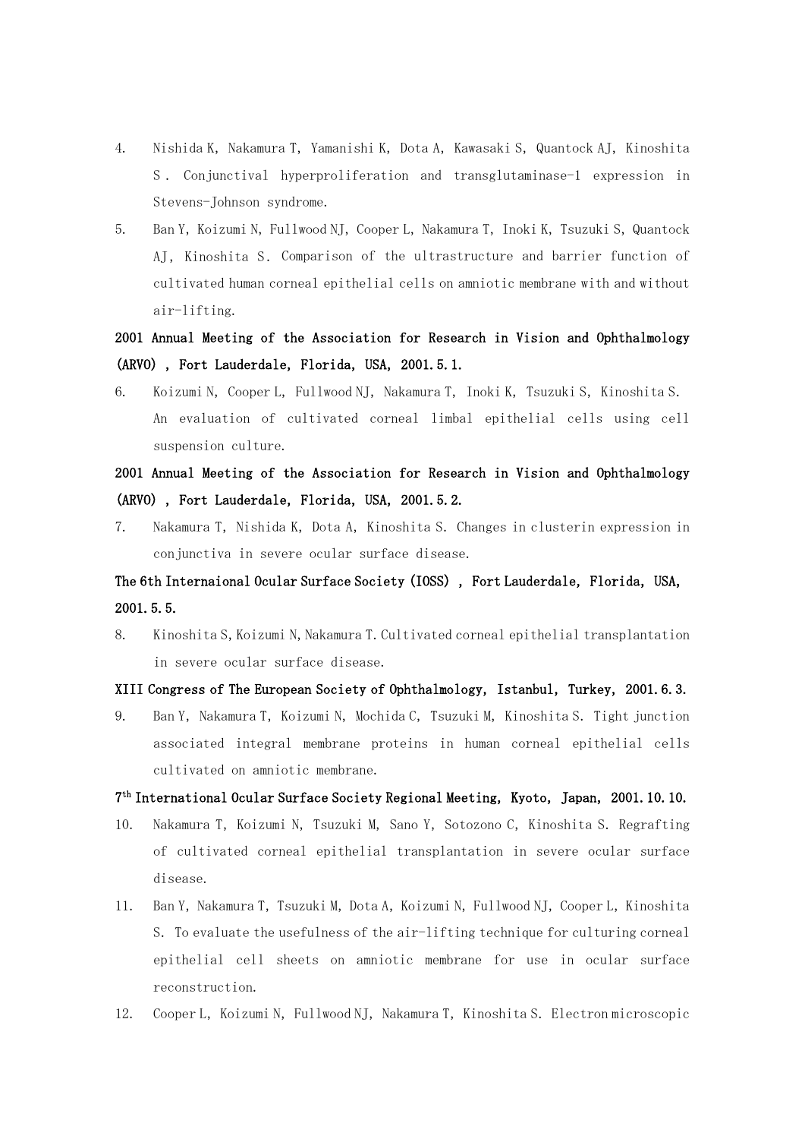- 4. Nishida K, Nakamura T, Yamanishi K, Dota A, Kawasaki S, Quantock AJ, Kinoshita S . Conjunctival hyperproliferation and transglutaminase-1 expression in Stevens-Johnson syndrome.
- 5. Ban Y, Koizumi N, Fullwood NJ, Cooper L, Nakamura T, Inoki K, Tsuzuki S, Quantock AJ, Kinoshita S. Comparison of the ultrastructure and barrier function of cultivated human corneal epithelial cells on amniotic membrane with and without air-lifting.

# 2001 Annual Meeting of the Association for Research in Vision and Ophthalmology (ARVO), Fort Lauderdale, Florida, USA, 2001.5.1.

6. Koizumi N, Cooper L, Fullwood NJ, Nakamura T, Inoki K, Tsuzuki S, Kinoshita S. An evaluation of cultivated corneal limbal epithelial cells using cell suspension culture.

# 2001 Annual Meeting of the Association for Research in Vision and Ophthalmology (ARVO), Fort Lauderdale, Florida, USA, 2001.5.2.

7. Nakamura T, Nishida K, Dota A, Kinoshita S. Changes in clusterin expression in conjunctiva in severe ocular surface disease.

# The 6th Internaional Ocular Surface Society (IOSS), Fort Lauderdale, Florida, USA, 2001.5.5.

8. Kinoshita S, Koizumi N, Nakamura T. Cultivated corneal epithelial transplantation in severe ocular surface disease.

## XIII Congress of The European Society of Ophthalmology, Istanbul, Turkey, 2001.6.3.

9. Ban Y, Nakamura T, Koizumi N, Mochida C, Tsuzuki M, Kinoshita S. Tight junction associated integral membrane proteins in human corneal epithelial cells cultivated on amniotic membrane.

## 7th International Ocular Surface Society Regional Meeting,Kyoto,Japan,2001.10.10.

- 10. Nakamura T, Koizumi N, Tsuzuki M, Sano Y, Sotozono C, Kinoshita S. Regrafting of cultivated corneal epithelial transplantation in severe ocular surface disease.
- 11. Ban Y, Nakamura T, Tsuzuki M, Dota A, Koizumi N, Fullwood NJ, Cooper L, Kinoshita S. To evaluate the usefulness of the air-lifting technique for culturing corneal epithelial cell sheets on amniotic membrane for use in ocular surface reconstruction.
- 12. Cooper L, Koizumi N, Fullwood NJ, Nakamura T, Kinoshita S. Electron microscopic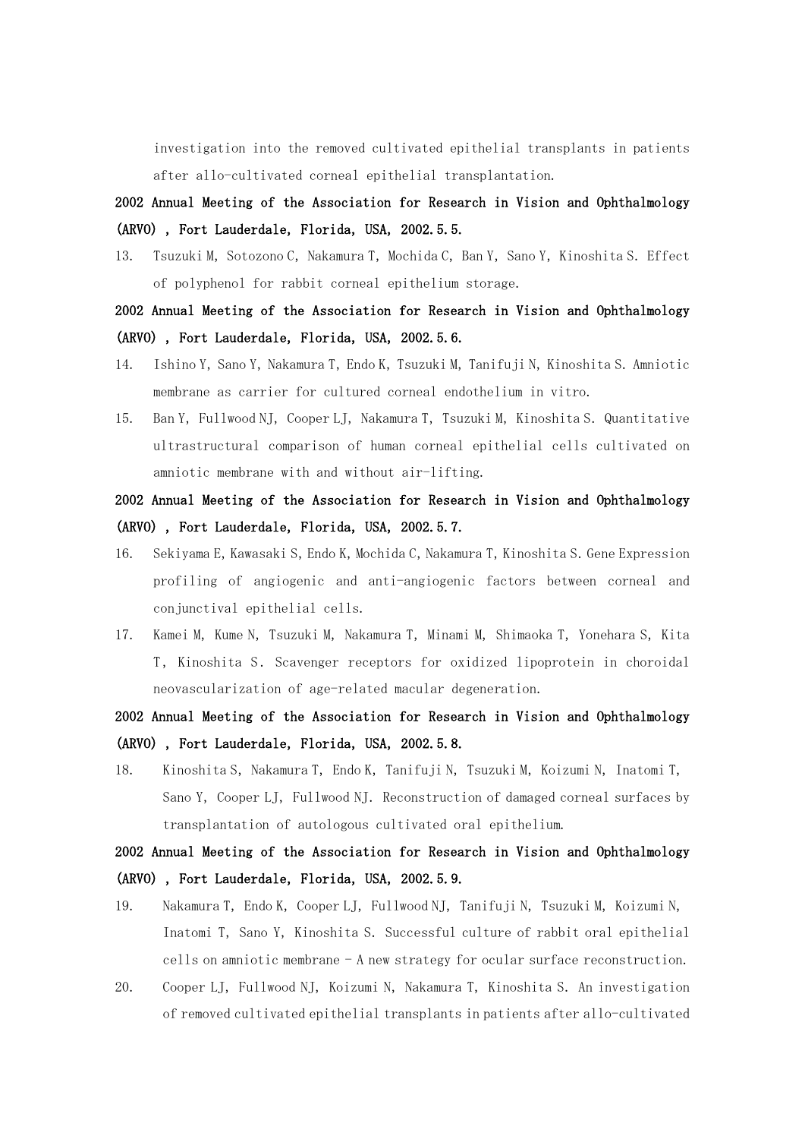investigation into the removed cultivated epithelial transplants in patients after allo-cultivated corneal epithelial transplantation.

2002 Annual Meeting of the Association for Research in Vision and Ophthalmology (ARVO), Fort Lauderdale, Florida, USA, 2002.5.5.

13. Tsuzuki M, Sotozono C, Nakamura T, Mochida C, Ban Y, Sano Y, Kinoshita S. Effect of polyphenol for rabbit corneal epithelium storage.

## 2002 Annual Meeting of the Association for Research in Vision and Ophthalmology (ARVO), Fort Lauderdale, Florida, USA, 2002.5.6.

- 14. Ishino Y, Sano Y, Nakamura T, Endo K, Tsuzuki M, Tanifuji N, Kinoshita S. Amniotic membrane as carrier for cultured corneal endothelium in vitro.
- 15. Ban Y, Fullwood NJ, Cooper LJ, Nakamura T, Tsuzuki M, Kinoshita S. Quantitative ultrastructural comparison of human corneal epithelial cells cultivated on amniotic membrane with and without air-lifting.

## 2002 Annual Meeting of the Association for Research in Vision and Ophthalmology (ARVO), Fort Lauderdale, Florida, USA, 2002.5.7.

- 16. Sekiyama E, Kawasaki S, Endo K, Mochida C, Nakamura T, Kinoshita S. Gene Expression profiling of angiogenic and anti-angiogenic factors between corneal and conjunctival epithelial cells.
- 17. Kamei M, Kume N, Tsuzuki M, Nakamura T, Minami M, Shimaoka T, Yonehara S, Kita T, Kinoshita S. Scavenger receptors for oxidized lipoprotein in choroidal neovascularization of age-related macular degeneration.

# 2002 Annual Meeting of the Association for Research in Vision and Ophthalmology (ARVO), Fort Lauderdale, Florida, USA, 2002.5.8.

18. Kinoshita S, Nakamura T, Endo K, Tanifuji N, Tsuzuki M, Koizumi N, Inatomi T, Sano Y, Cooper LJ, Fullwood NJ. Reconstruction of damaged corneal surfaces by transplantation of autologous cultivated oral epithelium.

# 2002 Annual Meeting of the Association for Research in Vision and Ophthalmology (ARVO), Fort Lauderdale, Florida, USA, 2002.5.9.

- 19. Nakamura T, Endo K, Cooper LJ, Fullwood NJ, Tanifuji N, Tsuzuki M, Koizumi N, Inatomi T, Sano Y, Kinoshita S. Successful culture of rabbit oral epithelial cells on amniotic membrane - A new strategy for ocular surface reconstruction.
- 20. Cooper LJ, Fullwood NJ, Koizumi N, Nakamura T, Kinoshita S. An investigation of removed cultivated epithelial transplants in patients after allo-cultivated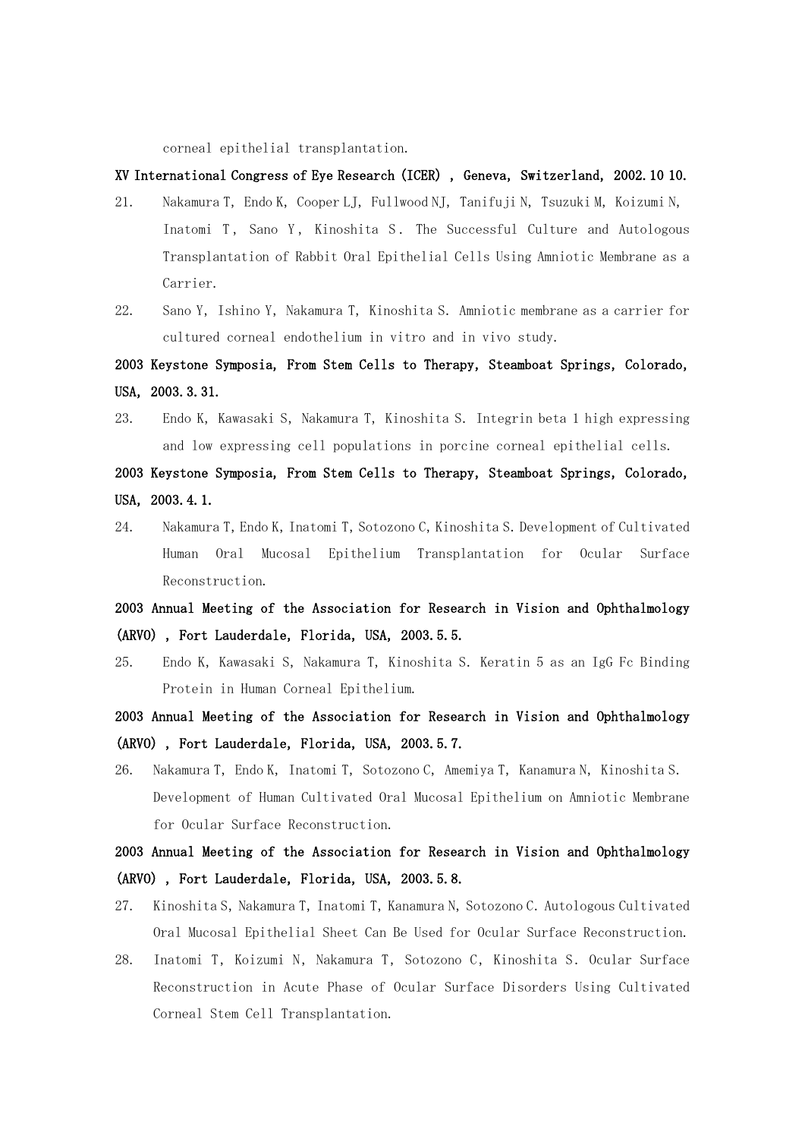corneal epithelial transplantation.

## XV International Congress of Eye Research (ICER), Geneva, Switzerland, 2002.10 10.

- 21. Nakamura T, Endo K, Cooper LJ, Fullwood NJ, Tanifuji N, Tsuzuki M, Koizumi N, Inatomi T, Sano Y, Kinoshita S. The Successful Culture and Autologous Transplantation of Rabbit Oral Epithelial Cells Using Amniotic Membrane as a Carrier.
- 22. Sano Y, Ishino Y, Nakamura T, Kinoshita S. Amniotic membrane as a carrier for cultured corneal endothelium in vitro and in vivo study.

2003 Keystone Symposia, From Stem Cells to Therapy, Steamboat Springs, Colorado, USA,2003.3.31.

23. Endo K, Kawasaki S, Nakamura T, Kinoshita S. Integrin beta 1 high expressing and low expressing cell populations in porcine corneal epithelial cells.

## 2003 Keystone Symposia, From Stem Cells to Therapy, Steamboat Springs, Colorado, USA,2003.4.1.

24. Nakamura T,Endo K,Inatomi T,Sotozono C,Kinoshita S.Development of Cultivated Human Oral Mucosal Epithelium Transplantation for Ocular Surface Reconstruction.

# 2003 Annual Meeting of the Association for Research in Vision and Ophthalmology (ARVO), Fort Lauderdale, Florida, USA, 2003.5.5.

- 25. Endo K, Kawasaki S, Nakamura T, Kinoshita S. Keratin 5 as an IgG Fc Binding Protein in Human Corneal Epithelium.
- 2003 Annual Meeting of the Association for Research in Vision and Ophthalmology (ARVO), Fort Lauderdale, Florida, USA, 2003.5.7.
- 26. Nakamura T, Endo K, Inatomi T, Sotozono C, Amemiya T, Kanamura N, Kinoshita S. Development of Human Cultivated Oral Mucosal Epithelium on Amniotic Membrane for Ocular Surface Reconstruction.

# 2003 Annual Meeting of the Association for Research in Vision and Ophthalmology (ARVO), Fort Lauderdale, Florida, USA, 2003.5.8.

- 27. Kinoshita S, Nakamura T, Inatomi T, Kanamura N, Sotozono C. Autologous Cultivated Oral Mucosal Epithelial Sheet Can Be Used for Ocular Surface Reconstruction.
- 28. Inatomi T, Koizumi N, Nakamura T, Sotozono C, Kinoshita S. Ocular Surface Reconstruction in Acute Phase of Ocular Surface Disorders Using Cultivated Corneal Stem Cell Transplantation.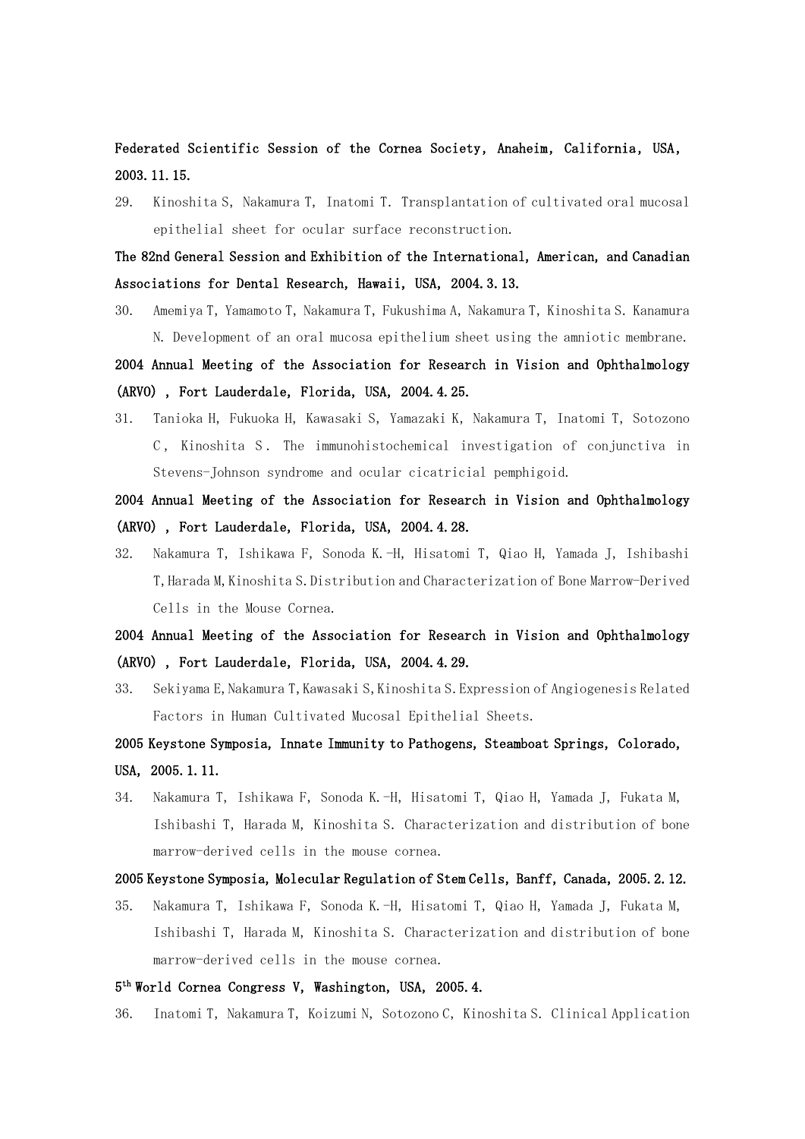Federated Scientific Session of the Cornea Society, Anaheim, California, USA, 2003.11.15.

29. Kinoshita S, Nakamura T, Inatomi T. Transplantation of cultivated oral mucosal epithelial sheet for ocular surface reconstruction.

The 82nd General Session and Exhibition of the International, American, and Canadian Associations for Dental Research, Hawaii, USA, 2004.3.13.

30. Amemiya T, Yamamoto T, Nakamura T, Fukushima A, Nakamura T, Kinoshita S. Kanamura N. Development of an oral mucosa epithelium sheet using the amniotic membrane.

2004 Annual Meeting of the Association for Research in Vision and Ophthalmology (ARVO), Fort Lauderdale, Florida, USA, 2004.4.25.

31. Tanioka H, Fukuoka H, Kawasaki S, Yamazaki K, Nakamura T, Inatomi T, Sotozono C, Kinoshita S. The immunohistochemical investigation of conjunctiva in Stevens-Johnson syndrome and ocular cicatricial pemphigoid.

## 2004 Annual Meeting of the Association for Research in Vision and Ophthalmology (ARVO), Fort Lauderdale, Florida, USA, 2004.4.28.

32. Nakamura T, Ishikawa F, Sonoda K.-H, Hisatomi T, Qiao H, Yamada J, Ishibashi T,Harada M,Kinoshita S.Distribution and Characterization of Bone Marrow-Derived Cells in the Mouse Cornea.

## 2004 Annual Meeting of the Association for Research in Vision and Ophthalmology (ARVO), Fort Lauderdale, Florida, USA, 2004.4.29.

- 33. Sekiyama E,Nakamura T,Kawasaki S,Kinoshita S.Expression of Angiogenesis Related Factors in Human Cultivated Mucosal Epithelial Sheets.
- 2005 Keystone Symposia, Innate Immunity to Pathogens, Steamboat Springs,Colorado, USA,2005.1.11.
- 34. Nakamura T, Ishikawa F, Sonoda K.-H, Hisatomi T, Qiao H, Yamada J, Fukata M, Ishibashi T, Harada M, Kinoshita S. Characterization and distribution of bone marrow-derived cells in the mouse cornea.

#### 2005 Keystone Symposia, Molecular Regulation of Stem Cells, Banff, Canada, 2005. 2. 12.

35. Nakamura T, Ishikawa F, Sonoda K.-H, Hisatomi T, Qiao H, Yamada J, Fukata M, Ishibashi T, Harada M, Kinoshita S. Characterization and distribution of bone marrow-derived cells in the mouse cornea.

### 5<sup>th</sup> World Cornea Congress V, Washington, USA, 2005.4.

36. Inatomi T, Nakamura T, Koizumi N, Sotozono C, Kinoshita S. Clinical Application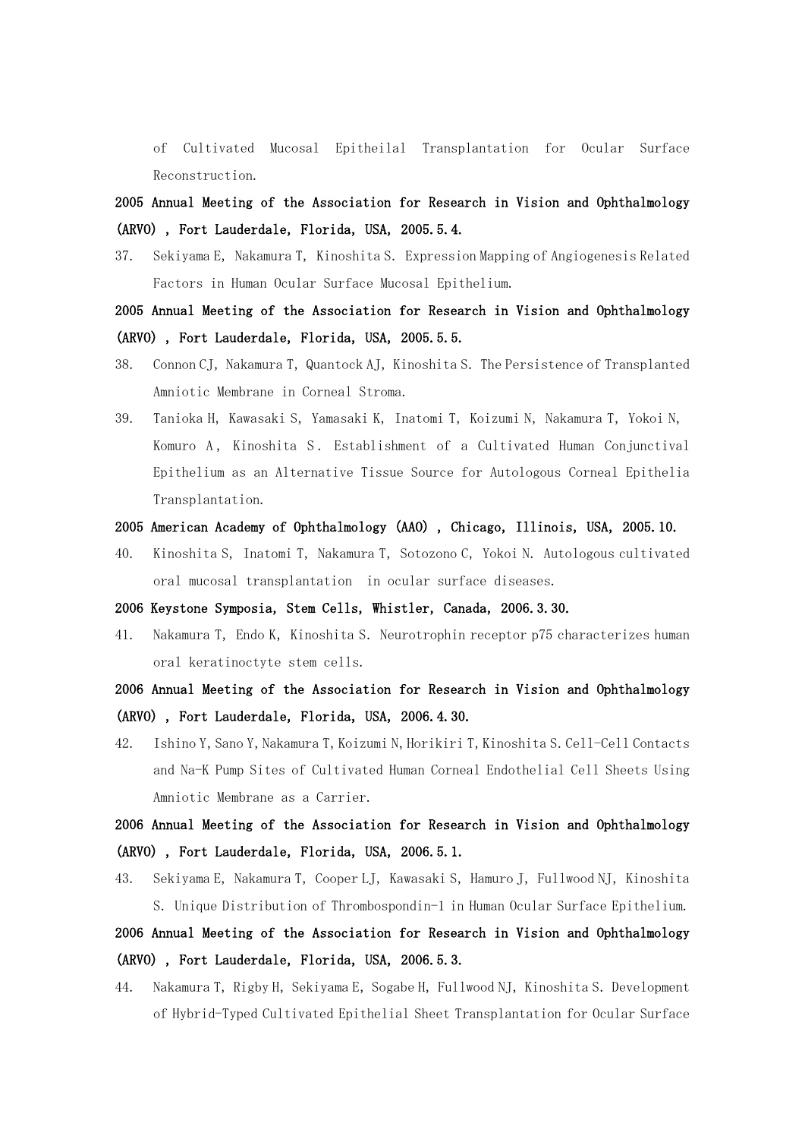of Cultivated Mucosal Epitheilal Transplantation for Ocular Surface Reconstruction.

2005 Annual Meeting of the Association for Research in Vision and Ophthalmology (ARVO), Fort Lauderdale, Florida, USA, 2005.5.4.

37. Sekiyama E, Nakamura T, Kinoshita S. Expression Mapping of Angiogenesis Related Factors in Human Ocular Surface Mucosal Epithelium.

2005 Annual Meeting of the Association for Research in Vision and Ophthalmology (ARVO), Fort Lauderdale, Florida, USA, 2005.5.5.

- 38. Connon CJ, Nakamura T, Quantock AJ, Kinoshita S. The Persistence of Transplanted Amniotic Membrane in Corneal Stroma.
- 39. Tanioka H, Kawasaki S, Yamasaki K, Inatomi T, Koizumi N, Nakamura T, Yokoi N, Komuro A, Kinoshita S. Establishment of a Cultivated Human Conjunctival Epithelium as an Alternative Tissue Source for Autologous Corneal Epithelia Transplantation.

#### 2005 American Academy of Ophthalmology (AAO), Chicago, Illinois, USA, 2005.10.

40. Kinoshita S, Inatomi T, Nakamura T, Sotozono C, Yokoi N. Autologous cultivated oral mucosal transplantation in ocular surface diseases.

2006 Keystone Symposia, Stem Cells, Whistler, Canada, 2006.3.30.

41. Nakamura T, Endo K, Kinoshita S. Neurotrophin receptor p75 characterizes human oral keratinoctyte stem cells.

2006 Annual Meeting of the Association for Research in Vision and Ophthalmology (ARVO), Fort Lauderdale, Florida, USA, 2006.4.30.

42. Ishino Y, Sano Y, Nakamura T, Koizumi N, Horikiri T, Kinoshita S. Cell-Cell Contacts and Na-K Pump Sites of Cultivated Human Corneal Endothelial Cell Sheets Using Amniotic Membrane as a Carrier.

2006 Annual Meeting of the Association for Research in Vision and Ophthalmology (ARVO), Fort Lauderdale, Florida, USA, 2006.5.1.

43. Sekiyama E, Nakamura T, Cooper LJ, Kawasaki S, Hamuro J, Fullwood NJ, Kinoshita S.Unique Distribution of Thrombospondin-1 in Human Ocular Surface Epithelium.

## 2006 Annual Meeting of the Association for Research in Vision and Ophthalmology (ARVO), Fort Lauderdale, Florida, USA, 2006.5.3.

44. Nakamura T, Rigby H, Sekiyama E, Sogabe H, Fullwood NJ, Kinoshita S. Development of Hybrid-Typed Cultivated Epithelial Sheet Transplantation for Ocular Surface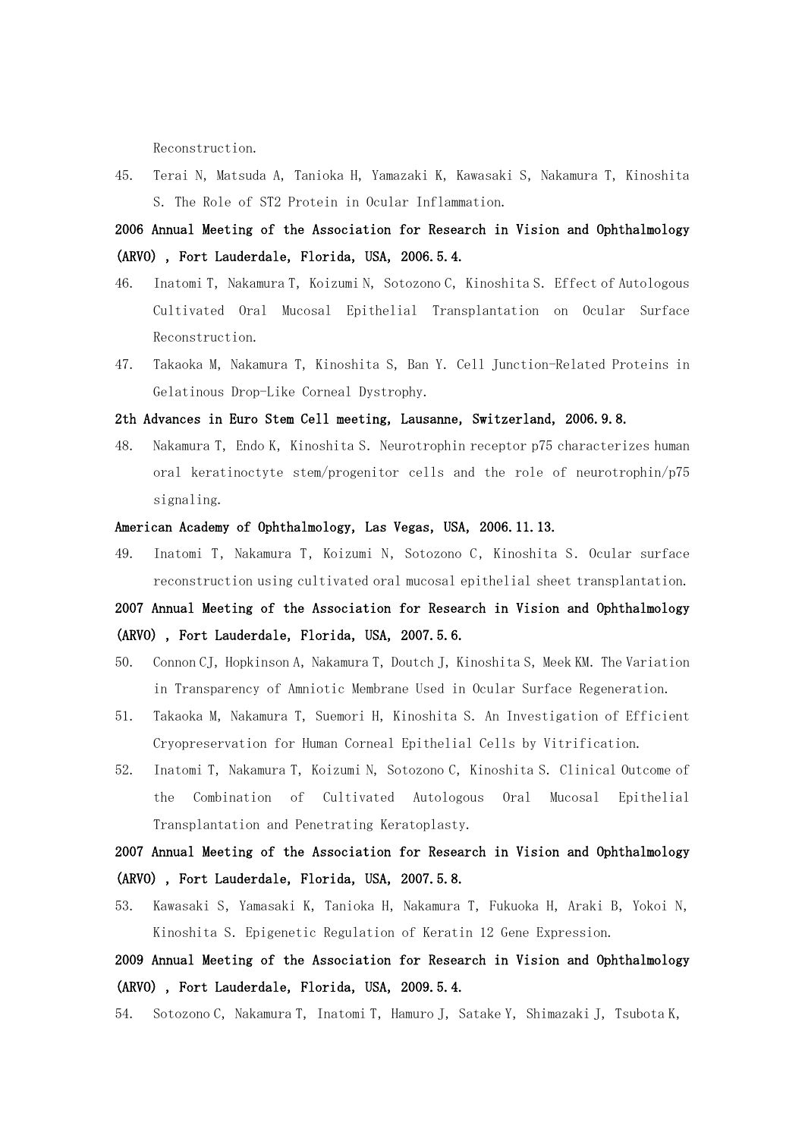Reconstruction.

45. Terai N, Matsuda A, Tanioka H, Yamazaki K, Kawasaki S, Nakamura T, Kinoshita S.The Role of ST2 Protein in Ocular Inflammation.

2006 Annual Meeting of the Association for Research in Vision and Ophthalmology (ARVO), Fort Lauderdale, Florida, USA, 2006.5.4.

- 46. Inatomi T, Nakamura T, Koizumi N, Sotozono C, Kinoshita S. Effect of Autologous Cultivated Oral Mucosal Epithelial Transplantation on Ocular Surface Reconstruction.
- 47. Takaoka M, Nakamura T, Kinoshita S, Ban Y. Cell Junction-Related Proteins in Gelatinous Drop-Like Corneal Dystrophy.

#### 2th Advances in Euro Stem Cell meeting, Lausanne, Switzerland, 2006.9.8.

48. Nakamura T, Endo K, Kinoshita S. Neurotrophin receptor p75 characterizes human oral keratinoctyte stem/progenitor cells and the role of neurotrophin/p75 signaling.

#### American Academy of Ophthalmology, Las Vegas, USA, 2006.11.13.

49. Inatomi T, Nakamura T, Koizumi N, Sotozono C, Kinoshita S. Ocular surface reconstruction using cultivated oral mucosal epithelial sheet transplantation.

# 2007 Annual Meeting of the Association for Research in Vision and Ophthalmology (ARVO), Fort Lauderdale, Florida, USA, 2007.5.6.

- 50. Connon CJ, Hopkinson A, Nakamura T, Doutch J, Kinoshita S, Meek KM. The Variation in Transparency of Amniotic Membrane Used in Ocular Surface Regeneration.
- 51. Takaoka M, Nakamura T, Suemori H, Kinoshita S. An Investigation of Efficient Cryopreservation for Human Corneal Epithelial Cells by Vitrification.
- 52. Inatomi T, Nakamura T, Koizumi N, Sotozono C, Kinoshita S. Clinical Outcome of the Combination of Cultivated Autologous Oral Mucosal Epithelial Transplantation and Penetrating Keratoplasty.

# 2007 Annual Meeting of the Association for Research in Vision and Ophthalmology (ARVO), Fort Lauderdale, Florida, USA, 2007.5.8.

53. Kawasaki S, Yamasaki K, Tanioka H, Nakamura T, Fukuoka H, Araki B, Yokoi N, Kinoshita S.Epigenetic Regulation of Keratin 12 Gene Expression.

2009 Annual Meeting of the Association for Research in Vision and Ophthalmology (ARVO), Fort Lauderdale, Florida, USA, 2009.5.4.

54. Sotozono C, Nakamura T, Inatomi T, Hamuro J, Satake Y, Shimazaki J, Tsubota K,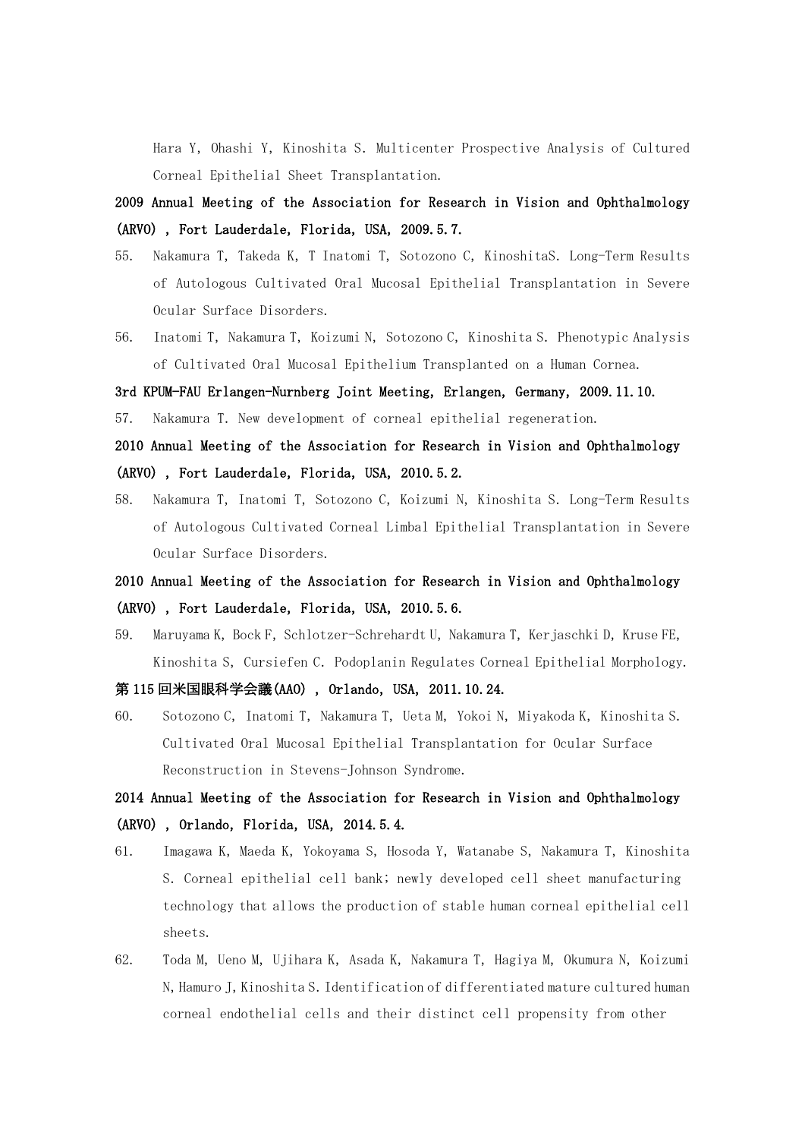Hara Y, Ohashi Y, Kinoshita S. Multicenter Prospective Analysis of Cultured Corneal Epithelial Sheet Transplantation.

- 2009 Annual Meeting of the Association for Research in Vision and Ophthalmology (ARVO), Fort Lauderdale, Florida, USA, 2009.5.7.
- 55. Nakamura T, Takeda K, T Inatomi T, Sotozono C, KinoshitaS. Long-Term Results of Autologous Cultivated Oral Mucosal Epithelial Transplantation in Severe Ocular Surface Disorders.
- 56. Inatomi T, Nakamura T, Koizumi N, Sotozono C, Kinoshita S. Phenotypic Analysis of Cultivated Oral Mucosal Epithelium Transplanted on a Human Cornea.

#### 3rd KPUM-FAU Erlangen-Nurnberg Joint Meeting, Erlangen, Germany, 2009.11.10.

57. Nakamura T. New development of corneal epithelial regeneration.

## 2010 Annual Meeting of the Association for Research in Vision and Ophthalmology (ARVO), Fort Lauderdale, Florida, USA, 2010.5.2.

58. Nakamura T, Inatomi T, Sotozono C, Koizumi N, Kinoshita S. Long-Term Results of Autologous Cultivated Corneal Limbal Epithelial Transplantation in Severe Ocular Surface Disorders.

# 2010 Annual Meeting of the Association for Research in Vision and Ophthalmology (ARVO), Fort Lauderdale, Florida, USA, 2010.5.6.

59. Maruyama K, Bock F, Schlotzer-Schrehardt U, Nakamura T, Kerjaschki D, Kruse FE, Kinoshita S, Cursiefen C. Podoplanin Regulates Corneal Epithelial Morphology.

#### 第 115 回米国眼科学会議(AAO), Orlando, USA, 2011.10.24.

60. Sotozono C, Inatomi T, Nakamura T, Ueta M, Yokoi N, Miyakoda K, Kinoshita S. Cultivated Oral Mucosal Epithelial Transplantation for Ocular Surface Reconstruction in Stevens-Johnson Syndrome.

# 2014 Annual Meeting of the Association for Research in Vision and Ophthalmology  $(ARVO)$ , Orlando, Florida, USA, 2014.5.4.

- 61. Imagawa K, Maeda K, Yokoyama S, Hosoda Y, Watanabe S, Nakamura T, Kinoshita S.Corneal epithelial cell bank; newly developed cell sheet manufacturing technology that allows the production of stable human corneal epithelial cell sheets.
- 62. Toda M, Ueno M, Ujihara K, Asada K, Nakamura T, Hagiya M, Okumura N, Koizumi N,Hamuro J,Kinoshita S.Identification of differentiated mature cultured human corneal endothelial cells and their distinct cell propensity from other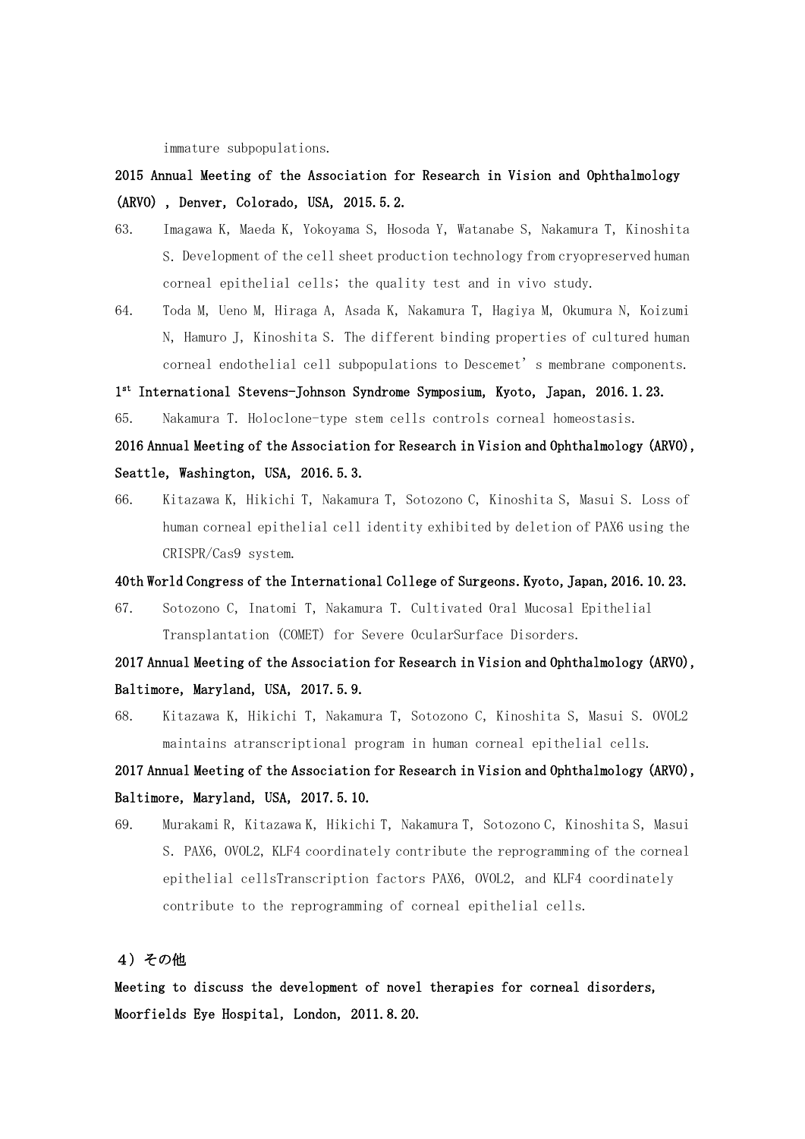immature subpopulations.

# 2015 Annual Meeting of the Association for Research in Vision and Ophthalmology (ARVO), Denver, Colorado, USA, 2015.5.2.

- 63. Imagawa K, Maeda K, Yokoyama S, Hosoda Y, Watanabe S, Nakamura T, Kinoshita S.Development of the cell sheet production technology from cryopreserved human corneal epithelial cells; the quality test and in vivo study.
- 64. Toda M, Ueno M, Hiraga A, Asada K, Nakamura T, Hagiya M, Okumura N, Koizumi N, Hamuro J, Kinoshita S. The different binding properties of cultured human corneal endothelial cell subpopulations to Descemet's membrane components.

## 1st International Stevens-Johnson Syndrome Symposium, Kyoto, Japan, 2016.1.23.

65. Nakamura T.Holoclone-type stem cells controls corneal homeostasis.

## 2016 Annual Meeting of the Association for Research in Vision and Ophthalmology (ARVO), Seattle, Washington, USA, 2016.5.3.

66. Kitazawa K, Hikichi T, Nakamura T, Sotozono C, Kinoshita S, Masui S. Loss of human corneal epithelial cell identity exhibited by deletion of PAX6 using the CRISPR/Cas9 system.

#### 40th World Congress of the International College of Surgeons. Kyoto, Japan, 2016.10.23.

67. Sotozono C,Inatomi T,Nakamura T.Cultivated Oral Mucosal Epithelial Transplantation (COMET) for Severe OcularSurface Disorders.

# 2017 Annual Meeting of the Association for Research in Vision and Ophthalmology (ARVO), Baltimore, Maryland, USA, 2017.5.9.

68. Kitazawa K, Hikichi T, Nakamura T, Sotozono C, Kinoshita S, Masui S. OVOL2 maintains atranscriptional program in human corneal epithelial cells.

# 2017 Annual Meeting of the Association for Research in Vision and Ophthalmology (ARVO), Baltimore, Maryland, USA, 2017.5.10.

69. Murakami R, Kitazawa K, Hikichi T, Nakamura T, Sotozono C, Kinoshita S, Masui S. PAX6, OVOL2, KLF4 coordinately contribute the reprogramming of the corneal epithelial cellsTranscription factors PAX6, OVOL2, and KLF4 coordinately contribute to the reprogramming of corneal epithelial cells.

## 4)その他

Meeting to discuss the development of novel therapies for corneal disorders, Moorfields Eye Hospital, London, 2011.8.20.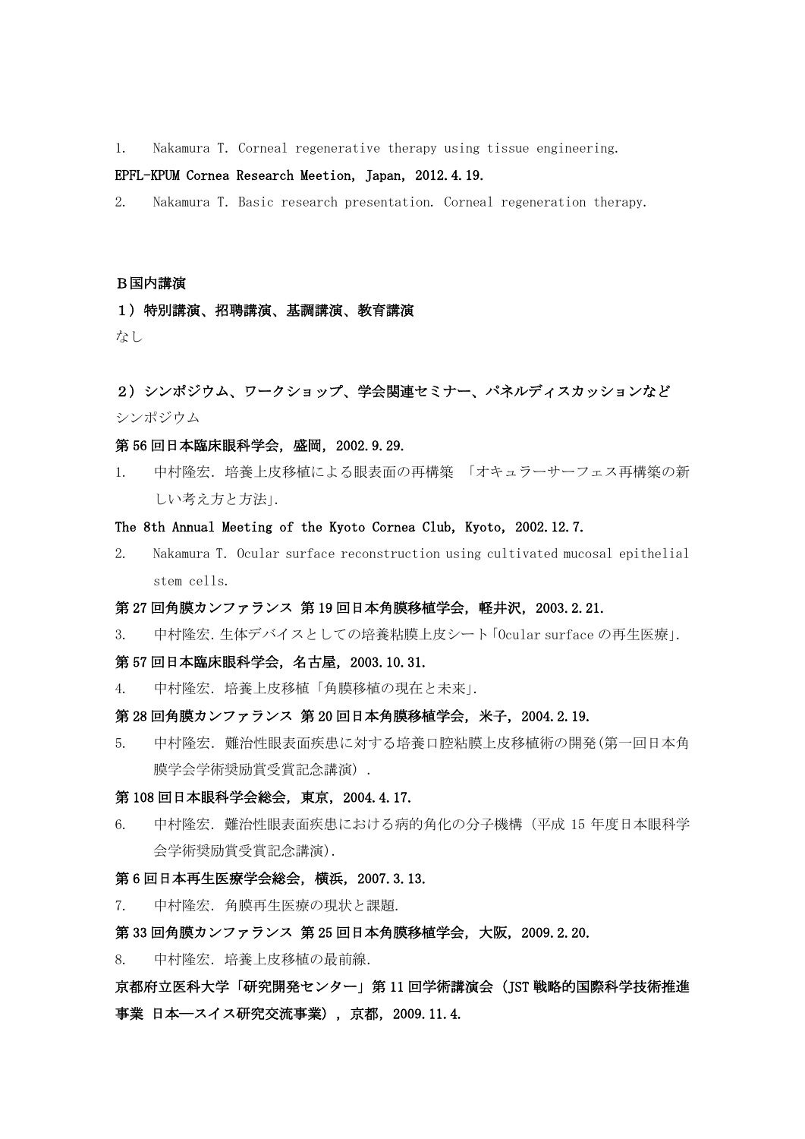1. Nakamura T.Corneal regenerative therapy using tissue engineering.

## EPFL-KPUM Cornea Research Meetion, Japan, 2012.4.19.

2. Nakamura T.Basic research presentation. Corneal regeneration therapy.

#### B国内講演

### 1)特別講演、招聘講演、基調講演、教育講演

なし

## 2) シンポジウム、ワークショップ、学会関連セミナー、パネルディスカッションなど シンポジウム

#### 第 56 回日本臨床眼科学会,盛岡,2002.9.29.

1. 中村隆宏.培養上皮移植による眼表面の再構築 「オキュラーサーフェス再構築の新 しい考え方と方法」.

#### The 8th Annual Meeting of the Kyoto Cornea Club, Kyoto, 2002.12.7.

2. Nakamura T. Ocular surface reconstruction using cultivated mucosal epithelial stem cells.

#### 第 27 回角膜カンファランス 第 19 回日本角膜移植学会,軽井沢,2003.2.21.

3. 中村隆宏.生体デバイスとしての培養粘膜上皮シート「Ocular surface の再生医療」.

#### 第 57 回日本臨床眼科学会,名古屋,2003.10.31.

4. 中村隆宏.培養上皮移植「角膜移植の現在と未来」.

#### 第 28 回角膜カンファランス 第 20 回日本角膜移植学会,米子,2004.2.19.

5. 中村隆宏.難治性眼表面疾患に対する培養口腔粘膜上皮移植術の開発(第一回日本角 膜学会学術奨励賞受賞記念講演) .

#### 第 108 回日本眼科学会総会,東京,2004.4.17.

6. 中村隆宏.難治性眼表面疾患における病的角化の分子機構(平成 15 年度日本眼科学 会学術奨励賞受賞記念講演).

#### 第 6 回日本再生医療学会総会,横浜,2007.3.13.

7. 中村隆宏.角膜再生医療の現状と課題.

## 第 33 回角膜カンファランス 第 25 回日本角膜移植学会,大阪,2009.2.20.

8. 中村隆宏. 培養上皮移植の最前線.

# 京都府立医科大学「研究開発センター」第 11 回学術講演会(JST 戦略的国際科学技術推進 事業 日本―スイス研究交流事業) ,京都,2009.11.4.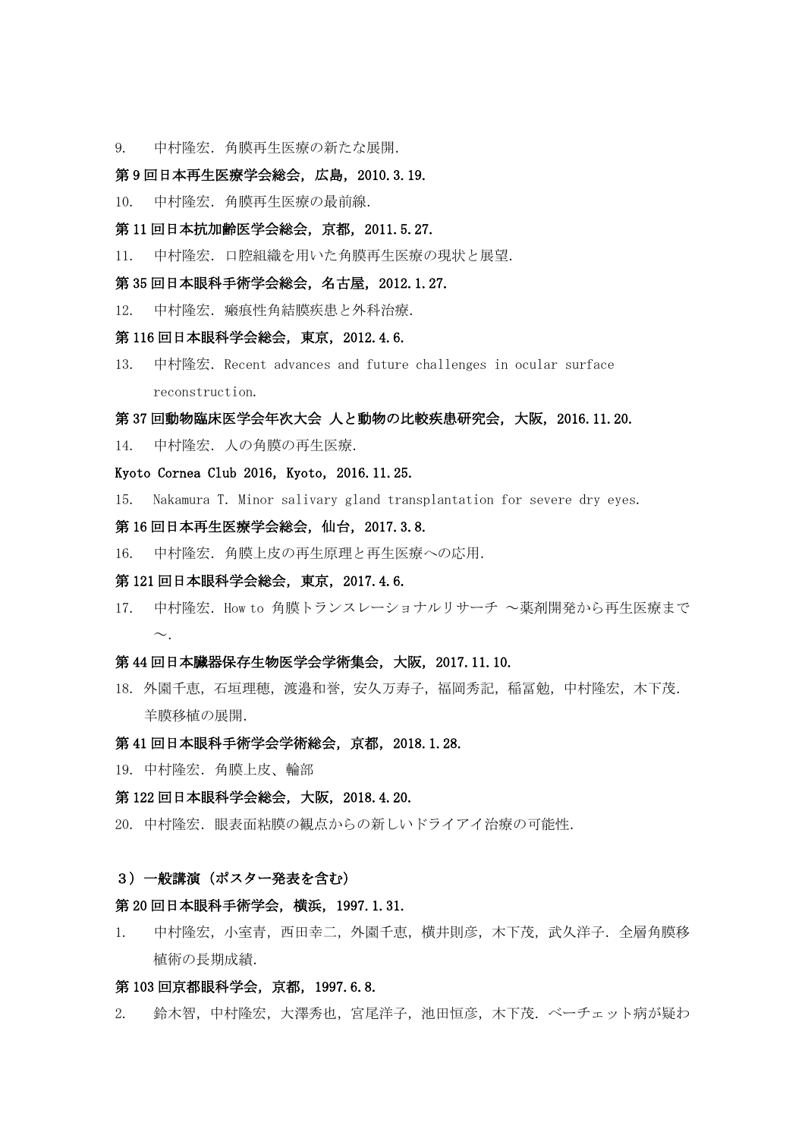9. 中村隆宏.角膜再生医療の新たな展開.

## 第 9 回日本再生医療学会総会,広島,2010.3.19.

- 10. 中村隆宏.角膜再生医療の最前線.
- 第 11 回日本抗加齢医学会総会,京都,2011.5.27.
- 11. 中村隆宏.口腔組織を用いた角膜再生医療の現状と展望.

## 第 35 回日本眼科手術学会総会,名古屋,2012.1.27.

12. 中村隆宏. 瘢痕性角結膜疾患と外科治療.

## 第 116 回日本眼科学会総会,東京,2012.4.6.

13. 中村隆宏.Recent advances and future challenges in ocular surface reconstruction.

#### 第 37 回動物臨床医学会年次大会 人と動物の比較疾患研究会,大阪,2016.11.20.

14. 中村隆宏. 人の角膜の再生医療.

## Kyoto Cornea Club 2016, Kyoto, 2016.11.25.

15. Nakamura T.Minor salivary gland transplantation for severe dry eyes.

## 第 16 回日本再生医療学会総会,仙台,2017.3.8.

16. 中村隆宏.角膜上皮の再生原理と再生医療への応用.

#### 第 121 回日本眼科学会総会,東京,2017.4.6.

17. 中村隆宏. How to 角膜トランスレーショナルリサーチ ~薬剤開発から再生医療まで  $\sim$ 

#### 第 44 回日本臓器保存生物医学会学術集会,大阪,2017.11.10.

18. 外園千恵,石垣理穂,渡邉和誉,安久万寿子,福岡秀記,稲冨勉,中村隆宏,木下茂. 羊膜移植の展開.

## 第 41 回日本眼科手術学会学術総会,京都,2018.1.28.

19. 中村隆宏. 角膜上皮、輪部

### 第 122 回日本眼科学会総会,大阪,2018.4.20.

20. 中村降宏. 眼表面粘膜の観点からの新しいドライアイ治療の可能性.

## 3)一般講演(ポスター発表を含む)

### 第 20 回日本眼科手術学会,横浜,1997.1.31.

1. 中村隆宏,小室青,西田幸二,外園千恵,横井則彦,木下茂,武久洋子.全層角膜移 植術の長期成績.

## 第 103 回京都眼科学会, 京都, 1997.6.8.

2. 鈴木智,中村隆宏,大澤秀也,宮尾洋子,池田恒彦,木下茂.ベーチェット病が疑わ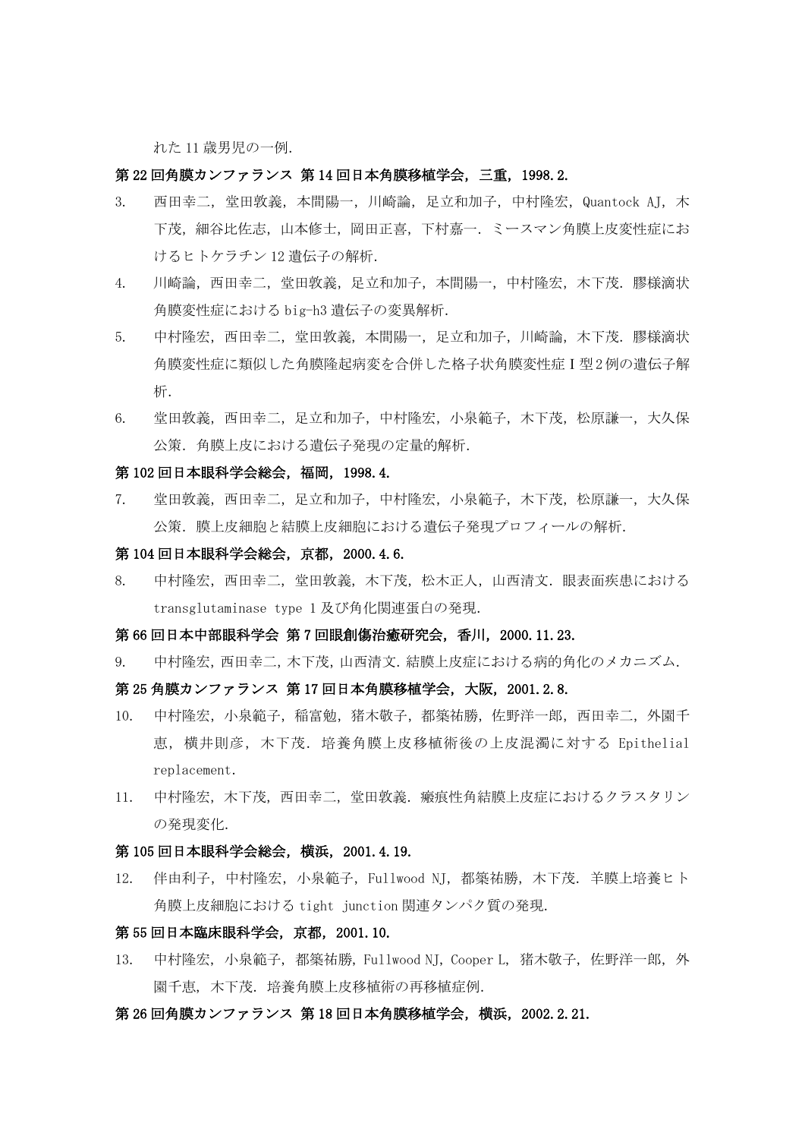れた 11 歳男児の一例.

#### 第 22 回角膜カンファランス 第 14 回日本角膜移植学会,三重,1998.2.

- 3. 西田幸二,堂田敦義,本間陽一,川崎論,足立和加子,中村隆宏,Quantock AJ,木 下茂, 細谷比佐志, 山本修士, 岡田正喜, 下村嘉一. ミースマン角膜上皮変性症にお けるヒトケラチン 12 遺伝子の解析.
- 4. 川崎論,西田幸二,堂田敦義,足立和加子,本間陽一,中村隆宏,木下茂.膠様滴状 角膜変性症における big-h3 遺伝子の変異解析.
- 5. 中村隆宏,西田幸二,堂田敦義,本間陽一,足立和加子,川崎論,木下茂.膠様滴状 角膜変性症に類似した角膜隆起病変を合併した格子状角膜変性症Ⅰ型2例の遺伝子解 析.
- 6. 堂田敦義,西田幸二,足立和加子,中村隆宏,小泉範子,木下茂,松原謙一,大久保 公策.角膜上皮における遺伝子発現の定量的解析.

#### 第 102 回日本眼科学会総会,福岡,1998.4.

7. 堂田敦義,西田幸二,足立和加子,中村隆宏,小泉範子,木下茂,松原謙一,大久保 公策.膜上皮細胞と結膜上皮細胞における遺伝子発現プロフィールの解析.

### 第 104 回日本眼科学会総会,京都,2000.4.6.

8. 中村隆宏,西田幸二,堂田敦義,木下茂,松木正人,山西清文.眼表面疾患における transglutaminase type 1 及び角化関連蛋白の発現.

#### 第 66 回日本中部眼科学会 第 7 回眼創傷治癒研究会, 香川, 2000.11.23.

9. 中村隆宏,西田幸二,木下茂,山西清文.結膜上皮症における病的角化のメカニズム.

## 第 25 角膜カンファランス 第 17 回日本角膜移植学会,大阪,2001.2.8.

- 10. 中村隆宏,小泉範子,稲富勉,猪木敬子,都築祐勝,佐野洋一郎,西田幸二,外園千 恵,横井則彦,木下茂.培養角膜上皮移植術後の上皮混濁に対する Epithelial replacement.
- 11. 中村隆宏,木下茂,西田幸二,堂田敦義.瘢痕性角結膜上皮症におけるクラスタリン の発現変化.

## 第 105 回日本眼科学会総会,横浜,2001.4.19.

12. 伴由利子,中村隆宏,小泉範子,Fullwood NJ,都築祐勝,木下茂.羊膜上培養ヒト 角膜上皮細胞における tight junction 関連タンパク質の発現.

## 第 55 回日本臨床眼科学会,京都,2001.10.

13. 中村隆宏, 小泉範子, 都築祐勝, Fullwood NJ, Cooper L, 猪木敬子, 佐野洋一郎, 外 園千恵, 木下茂.培養角膜上皮移植術の再移植症例.

#### 第 26 回角膜カンファランス 第 18 回日本角膜移植学会,横浜,2002.2.21.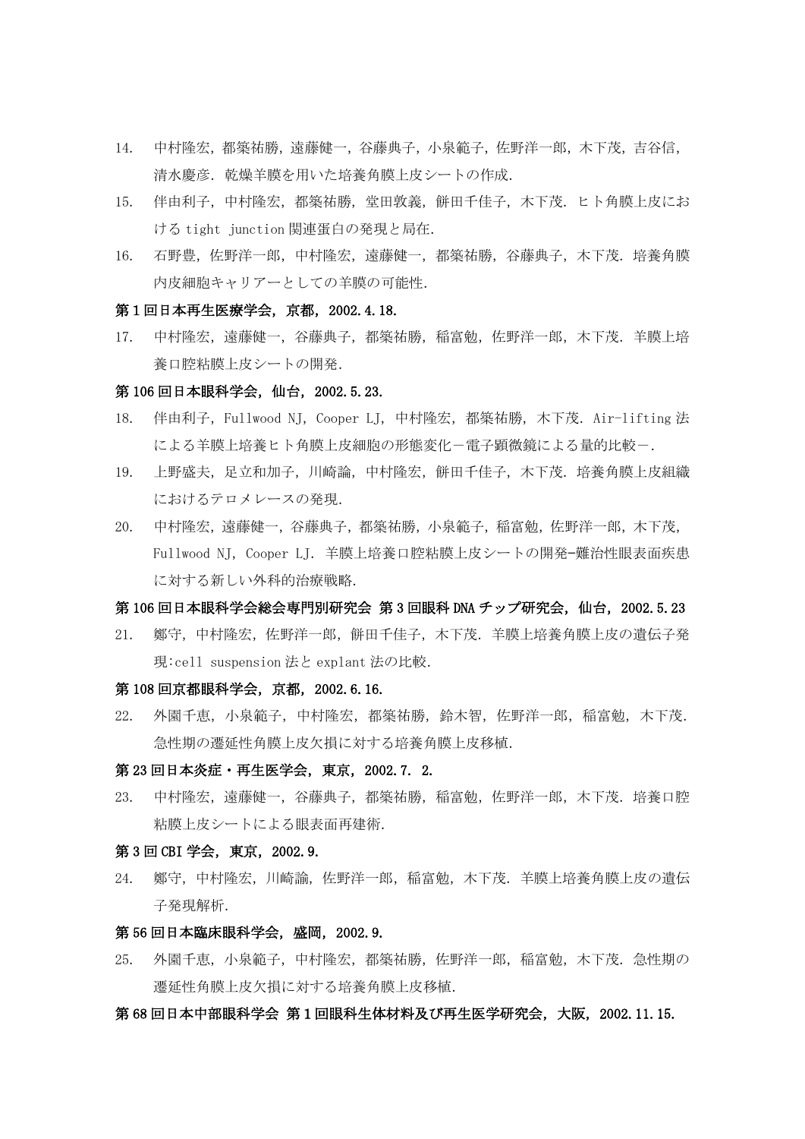- 14. 中村隆宏,都築祐勝,遠藤健一,谷藤典子,小泉範子,佐野洋一郎,木下茂,吉谷信, 清水慶彦.乾燥羊膜を用いた培養角膜上皮シートの作成.
- 15. 伴由利子,中村隆宏,都築祐勝,堂田敦義,餅田千佳子,木下茂.ヒト角膜上皮にお ける tight junction 関連蛋白の発現と局在.
- 16. 石野豊,佐野洋一郎,中村隆宏,遠藤健一,都築祐勝,谷藤典子,木下茂.培養角膜 内皮細胞キャリアーとしての羊膜の可能性.

## 第1回日本再生医療学会,京都,2002.4.18.

17. 中村隆宏,遠藤健一,谷藤典子,都築祐勝,稲富勉,佐野洋一郎,木下茂.羊膜上培 養口腔粘膜上皮シートの開発.

#### 第 106 回日本眼科学会, 仙台, 2002.5.23.

- 18. 伴由利子,Fullwood NJ,Cooper LJ,中村隆宏,都築祐勝,木下茂.Air-lifting 法 による羊膜上培養ヒト角膜上皮細胞の形態変化-電子顕微鏡による量的比較-.
- 19. 上野盛夫,足立和加子,川崎論,中村隆宏,餅田千佳子,木下茂.培養角膜上皮組織 におけるテロメレースの発現.
- 20. 中村隆宏,遠藤健一,谷藤典子,都築祐勝,小泉範子,稲富勉,佐野洋一郎,木下茂, Fullwood NJ, Cooper LJ. 羊膜上培養口腔粘膜上皮シートの開発-難治性眼表面疾患 に対する新しい外科的治療戦略.

## 第106回日本眼科学会総会専門別研究会 第3回眼科 DNA チップ研究会, 仙台, 2002.5.23

21. 鄭守,中村隆宏,佐野洋一郎,餅田千佳子,木下茂.羊膜上培養角膜上皮の遺伝子発 現:cell suspension 法と explant 法の比較.

## 第 108 回京都眼科学会,京都,2002.6.16.

22. 外園千恵,小泉範子,中村隆宏,都築祐勝,鈴木智,佐野洋一郎,稲富勉,木下茂. 急性期の遷延性角膜上皮欠損に対する培養角膜上皮移植.

#### 第 23 回日本炎症・再生医学会,東京,2002.7. 2.

23. 中村隆宏,遠藤健一,谷藤典子,都築祐勝,稲富勉,佐野洋一郎,木下茂.培養口腔 粘膜上皮シートによる眼表面再建術.

## 第 3 回 CBI 学会,東京,2002.9.

24. 鄭守,中村隆宏,川崎諭,佐野洋一郎,稲富勉,木下茂.羊膜上培養角膜上皮の遺伝 子発現解析.

## 第 56 回日本臨床眼科学会,盛岡,2002.9.

25. 外園千恵,小泉範子,中村隆宏,都築祐勝,佐野洋一郎,稲富勉,木下茂.急性期の 遷延性角膜上皮欠損に対する培養角膜上皮移植.

### 第 68 回日本中部眼科学会 第1回眼科生体材料及び再生医学研究会,大阪,2002.11.15.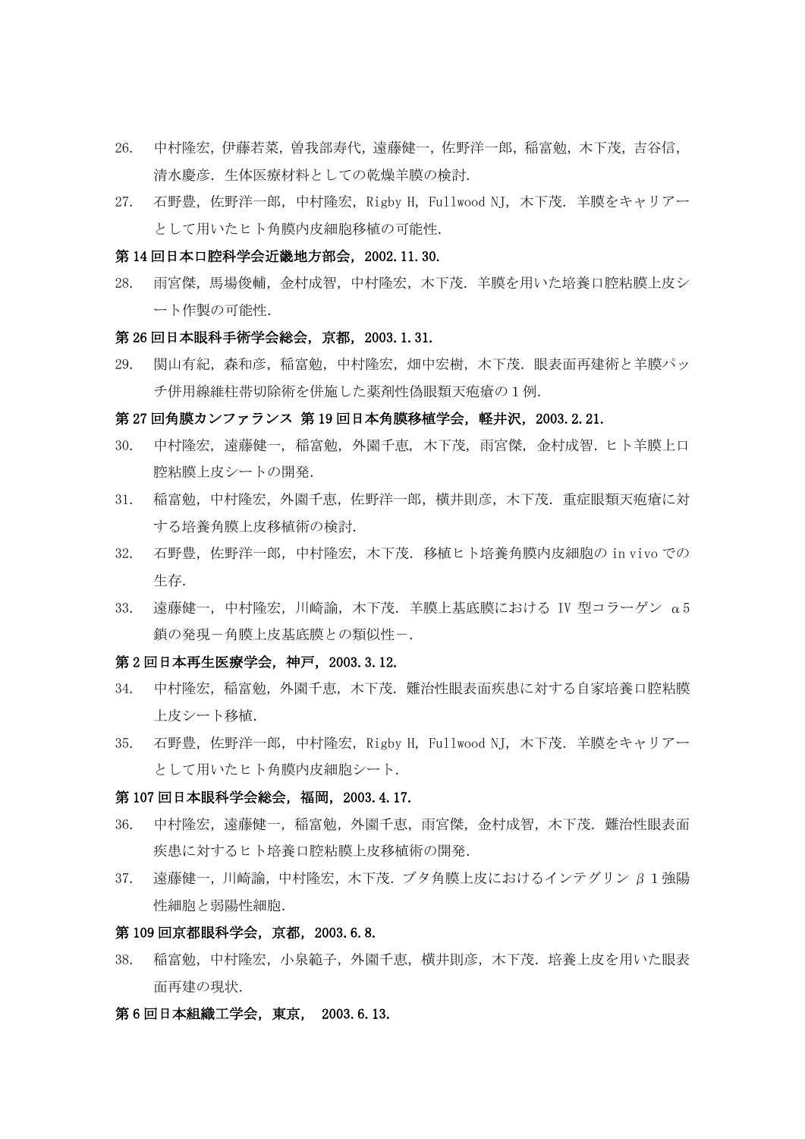- 26. 中村隆宏,伊藤若菜,曽我部寿代,遠藤健一,佐野洋一郎,稲富勉,木下茂,吉谷信, 清水慶彦. 生体医療材料としての乾燥羊膜の検討.
- 27. 石野豊,佐野洋一郎,中村隆宏,Rigby H,Fullwood NJ,木下茂.羊膜をキャリアー として用いたヒト角膜内皮細胞移植の可能性.

#### 第 14 回日本口腔科学会近畿地方部会,2002.11.30.

28. 雨宮傑,馬場俊輔,金村成智,中村隆宏,木下茂.羊膜を用いた培養口腔粘膜上皮シ ート作製の可能性.

#### 第 26 回日本眼科手術学会総会,京都,2003.1.31.

29. 関山有紀,森和彦,稲富勉,中村隆宏,畑中宏樹,木下茂.眼表面再建術と羊膜パッ チ併用線維柱帯切除術を併施した薬剤性偽眼類天疱瘡の1例.

#### 第 27 回角膜カンファランス 第 19 回日本角膜移植学会,軽井沢,2003.2.21.

- 30. 中村隆宏, 遠藤健一, 稲富勉, 外園千恵, 木下茂, 雨宮傑, 金村成智.ヒト羊膜上口 腔粘膜上皮シートの開発.
- 31. 稲富勉,中村隆宏,外園千恵,佐野洋一郎,横井則彦,木下茂.重症眼類天疱瘡に対 する培養角膜上皮移植術の検討.
- 32. 石野豊,佐野洋一郎,中村隆宏,木下茂.移植ヒト培養角膜内皮細胞の in vivo での 生存.
- 33. 遠藤健一,中村隆宏,川崎諭,木下茂.羊膜上基底膜における IV 型コラーゲン α5 鎖の発現ー角膜上皮基底膜との類似性ー.

## 第 2 回日本再生医療学会,神戸,2003.3.12.

- 34. 中村隆宏,稲富勉,外園千恵,木下茂.難治性眼表面疾患に対する自家培養口腔粘膜 上皮シート移植.
- 35. 石野豊,佐野洋一郎,中村隆宏,Rigby H,Fullwood NJ,木下茂.羊膜をキャリアー として用いたヒト角膜内皮細胞シート.

### 第 107 回日本眼科学会総会,福岡,2003.4.17.

- 36. 中村隆宏,遠藤健一,稲富勉,外園千恵,雨宮傑,金村成智,木下茂.難治性眼表面 疾患に対するヒト培養口腔粘膜上皮移植術の開発.
- 37. 遠藤健一,川崎諭,中村隆宏,木下茂.ブタ角膜上皮におけるインテグリン β1強陽 性細胞と弱陽性細胞.

## 第 109 回京都眼科学会,京都,2003.6.8.

38. 稲富勉,中村隆宏,小泉範子,外園千恵,横井則彦,木下茂.培養上皮を用いた眼表 面再建の現状.

## 第 6 回日本組織工学会,東京, 2003.6.13.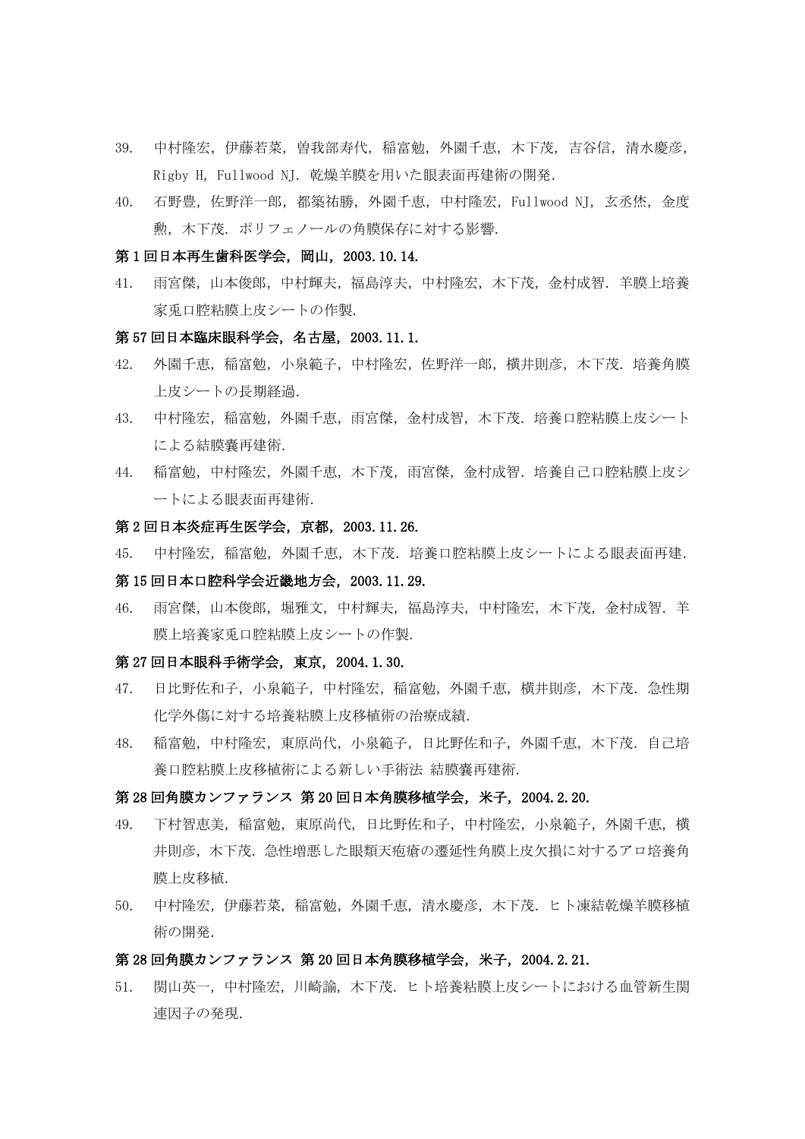- 39. 中村隆宏,伊藤若菜,曽我部寿代,稲富勉,外園千恵,木下茂,吉谷信,清水慶彦, Rigby H,Fullwood NJ.乾燥羊膜を用いた眼表面再建術の開発.
- 40. 石野豊,佐野洋一郎,都築祐勝,外園千恵,中村隆宏,Fullwood NJ,玄丞烋,金度 勲,木下茂.ポリフェノールの角膜保存に対する影響.

#### 第1回日本再生歯科医学会, 岡山, 2003.10.14.

41. 雨宮傑,山本俊郎,中村輝夫,福島淳夫,中村隆宏,木下茂,金村成智.羊膜上培養 家兎口腔粘膜上皮シートの作製.

### 第 57 回日本臨床眼科学会,名古屋,2003.11.1.

- 42. 外園千恵, 稲富勉, 小泉範子, 中村隆宏, 佐野洋一郎, 横井則彦, 木下茂. 培養角膜 上皮シートの長期経過.
- 43. 中村隆宏, 稲富勉, 外園千恵, 雨宮傑, 金村成智, 木下茂. 培養口腔粘膜上皮シート による結膜嚢再建術.
- 44. 稲富勉,中村隆宏,外園千恵,木下茂,雨宮傑,金村成智.培養自己口腔粘膜上皮シ ートによる眼表面再建術.

#### 第 2 回日本炎症再生医学会,京都,2003.11.26.

45. 中村隆宏,稲富勉,外園千恵,木下茂.培養口腔粘膜上皮シートによる眼表面再建.

## 第 15 回日本口腔科学会近畿地方会,2003.11.29.

46. 雨宮傑,山本俊郎,堀雅文,中村輝夫,福島淳夫,中村隆宏,木下茂,金村成智.羊 膜上培養家兎口腔粘膜上皮シートの作製.

#### 第 27 回日本眼科手術学会,東京,2004.1.30.

- 47. 日比野佐和子,小泉範子,中村隆宏,稲富勉,外園千恵,横井則彦,木下茂.急性期 化学外傷に対する培養粘膜上皮移植術の治療成績.
- 48. 稲富勉,中村隆宏,東原尚代,小泉範子,日比野佐和子,外園千恵,木下茂.自己培 養口腔粘膜上皮移植術による新しい手術法 結膜嚢再建術.

#### 第 28 回角膜カンファランス 第 20 回日本角膜移植学会,米子,2004.2.20.

- 49. 下村智恵美,稲富勉,東原尚代,日比野佐和子,中村隆宏,小泉範子,外園千恵,横 井則彦,木下茂.急性増悪した眼類天疱瘡の遷延性角膜上皮欠損に対するアロ培養角 膜上皮移植.
- 50. 中村隆宏,伊藤若菜,稲富勉,外園千恵,清水慶彦,木下茂.ヒト凍結乾燥羊膜移植 術の開発.

#### 第 28 回角膜カンファランス 第 20 回日本角膜移植学会,米子,2004.2.21.

51. 関山英一,中村隆宏,川崎諭,木下茂.ヒト培養粘膜上皮シートにおける血管新生関 連因子の発現.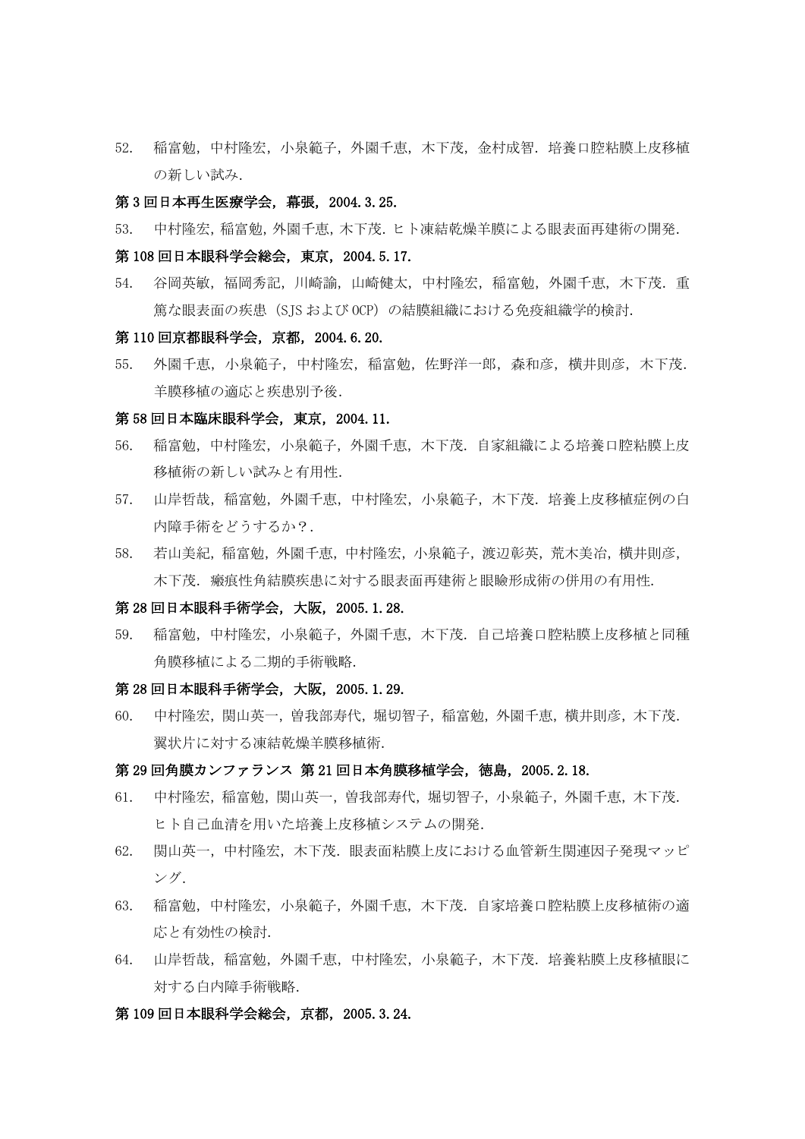52. 稲富勉,中村隆宏,小泉範子,外園千恵,木下茂,金村成智.培養口腔粘膜上皮移植 の新しい試み.

#### 第 3 回日本再生医療学会,幕張,2004.3.25.

53. 中村隆宏,稲富勉,外園千恵,木下茂.ヒト凍結乾燥羊膜による眼表面再建術の開発.

#### 第 108 回日本眼科学会総会,東京,2004.5.17.

54. 谷岡英敏,福岡秀記,川崎諭,山崎健太,中村隆宏,稲富勉,外園千恵,木下茂.重 篤な眼表面の疾患(SJS および OCP)の結膜組織における免疫組織学的検討.

#### 第 110 回京都眼科学会,京都,2004.6.20.

55. 外園千恵,小泉範子,中村隆宏,稲富勉,佐野洋一郎,森和彦,横井則彦,木下茂. 羊膜移植の適応と疾患別予後.

#### 第 58 回日本臨床眼科学会,東京,2004.11.

- 56. 稲富勉,中村隆宏,小泉範子,外園千恵,木下茂.自家組織による培養口腔粘膜上皮 移植術の新しい試みと有用性.
- 57. 山岸哲哉,稲富勉,外園千恵,中村隆宏,小泉範子,木下茂.培養上皮移植症例の白 内障手術をどうするか?.
- 58. 若山美紀,稲富勉,外園千恵,中村隆宏,小泉範子,渡辺彰英,荒木美冶,横井則彦, 木下茂.瘢痕性角結膜疾患に対する眼表面再建術と眼瞼形成術の併用の有用性.

### 第 28 回日本眼科手術学会,大阪,2005.1.28.

59. 稲富勉,中村隆宏,小泉範子,外園千恵,木下茂.自己培養口腔粘膜上皮移植と同種 角膜移植による二期的手術戦略.

#### 第 28 回日本眼科手術学会,大阪,2005.1.29.

60. 中村隆宏,関山英一,曽我部寿代,堀切智子,稲富勉,外園千恵,横井則彦,木下茂. 翼状片に対する凍結乾燥羊膜移植術.

#### 第 29 回角膜カンファランス 第 21 回日本角膜移植学会,徳島,2005.2.18.

- 61. 中村隆宏,稲富勉,関山英一,曽我部寿代,堀切智子,小泉範子,外園千恵,木下茂. ヒト自己血清を用いた培養上皮移植システムの開発.
- 62. 関山英一,中村隆宏,木下茂.眼表面粘膜上皮における血管新生関連因子発現マッピ ング.
- 63. 稲富勉,中村隆宏,小泉範子,外園千恵,木下茂.自家培養口腔粘膜上皮移植術の適 応と有効性の検討.
- 64. 山岸哲哉,稲富勉,外園千恵,中村隆宏,小泉範子,木下茂.培養粘膜上皮移植眼に 対する白内障手術戦略.

## 第 109 回日本眼科学会総会,京都,2005.3.24.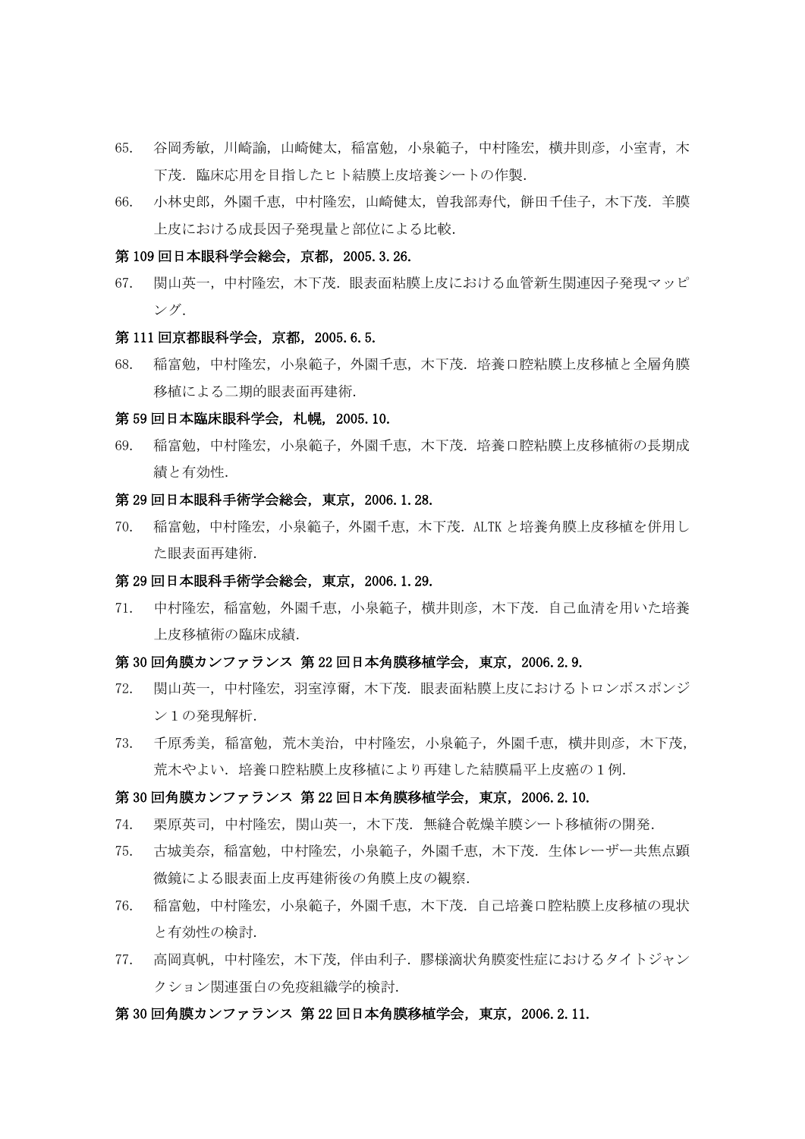- 65. 谷岡秀敏,川崎諭,山崎健太,稲富勉,小泉範子,中村隆宏,横井則彦,小室青,木 下茂.臨床応用を目指したヒト結膜上皮培養シートの作製.
- 66. 小林史郎,外園千恵,中村隆宏,山崎健太,曽我部寿代,餅田千佳子,木下茂.羊膜 上皮における成長因子発現量と部位による比較.

## 第 109 回日本眼科学会総会,京都,2005.3.26.

67. 関山英一,中村隆宏,木下茂.眼表面粘膜上皮における血管新生関連因子発現マッピ ング.

#### 第 111 回京都眼科学会, 京都, 2005.6.5.

68. 稲富勉,中村隆宏,小泉範子,外園千恵,木下茂.培養口腔粘膜上皮移植と全層角膜 移植による二期的眼表面再建術.

#### 第 59 回日本臨床眼科学会, 札幌, 2005.10.

69. 稲富勉,中村隆宏,小泉範子,外園千恵,木下茂.培養口腔粘膜上皮移植術の長期成 績と有効性.

## 第 29 回日本眼科手術学会総会,東京,2006.1.28.

70. 稲富勉,中村隆宏,小泉範子,外園千恵,木下茂.ALTK と培養角膜上皮移植を併用し た眼表面再建術.

#### 第 29 回日本眼科手術学会総会,東京,2006.1.29.

71. 中村隆宏,稲富勉,外園千恵,小泉範子,横井則彦,木下茂.自己血清を用いた培養 上皮移植術の臨床成績.

## 第 30 回角膜カンファランス 第 22 回日本角膜移植学会,東京,2006.2.9.

- 72. 関山英一,中村隆宏,羽室淳爾,木下茂.眼表面粘膜上皮におけるトロンボスポンジ ン1の発現解析.
- 73. 千原秀美,稲富勉,荒木美治,中村隆宏,小泉範子,外園千恵,横井則彦,木下茂, 荒木やよい.培養口腔粘膜上皮移植により再建した結膜扁平上皮癌の1例.

#### 第 30 回角膜カンファランス 第 22 回日本角膜移植学会,東京,2006.2.10.

- 74. 栗原英司,中村隆宏,関山英一,木下茂.無縫合乾燥羊膜シート移植術の開発.
- 75. 古城美奈,稲富勉,中村隆宏,小泉範子,外園千恵,木下茂.生体レーザー共焦点顕 微鏡による眼表面上皮再建術後の角膜上皮の観察.
- 76. 稲富勉,中村隆宏,小泉範子,外園千恵,木下茂.自己培養口腔粘膜上皮移植の現状 と有効性の検討.
- 77. 高岡真帆,中村隆宏,木下茂,伴由利子.膠様滴状角膜変性症におけるタイトジャン クション関連蛋白の免疫組織学的検討.

#### 第 30 回角膜カンファランス 第 22 回日本角膜移植学会,東京,2006.2.11.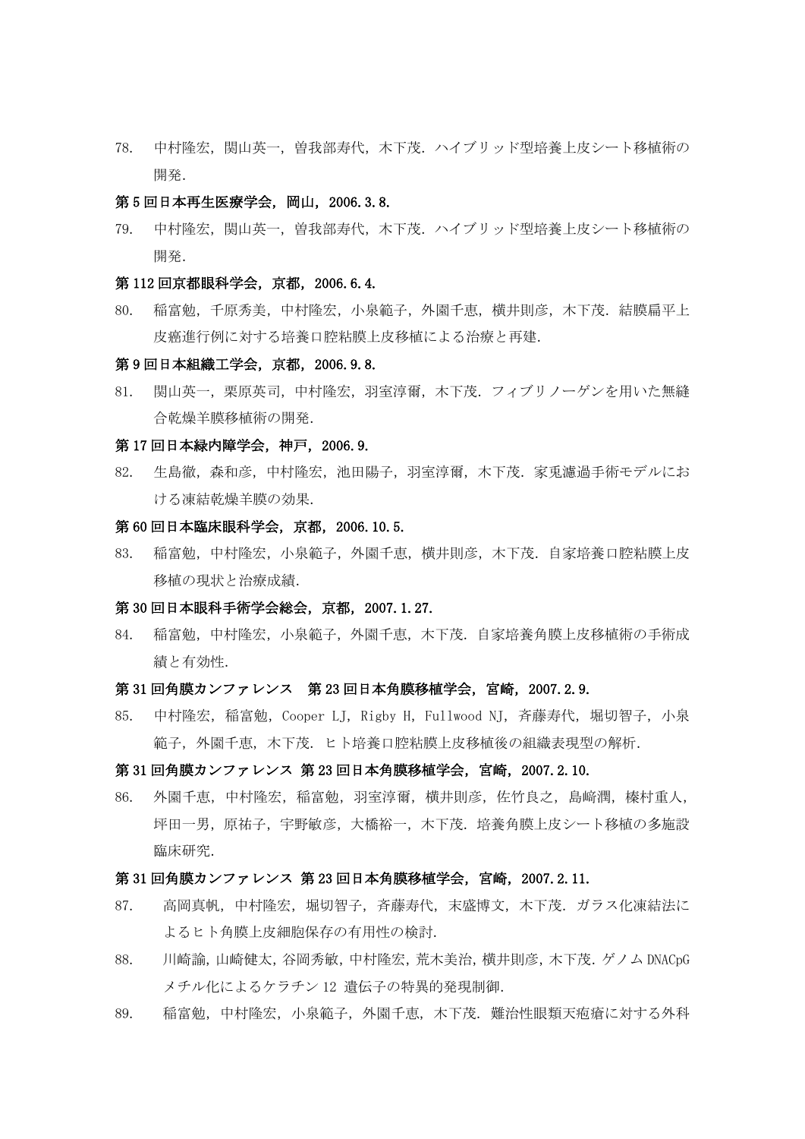78. 中村隆宏,関山英一,曽我部寿代,木下茂.ハイブリッド型培養上皮シート移植術の 開発.

#### 第 5 回日本再生医療学会, 岡山, 2006.3.8.

79. 中村隆宏,関山英一,曽我部寿代,木下茂.ハイブリッド型培養上皮シート移植術の 開発.

#### 第 112 回京都眼科学会, 京都, 2006.6.4.

80. 稲富勉,千原秀美,中村隆宏,小泉範子,外園千恵,横井則彦,木下茂.結膜扁平上 皮癌進行例に対する培養口腔粘膜上皮移植による治療と再建.

## 第 9 回日本組織工学会,京都,2006.9.8.

81. 関山英一,栗原英司,中村隆宏,羽室淳爾,木下茂.フィブリノーゲンを用いた無縫 合乾燥羊膜移植術の開発.

#### 第 17 回日本緑内障学会,神戸,2006.9.

82. 生島徹,森和彦,中村隆宏,池田陽子,羽室淳爾,木下茂.家兎濾過手術モデルにお ける凍結乾燥羊膜の効果.

### 第 60 回日本臨床眼科学会,京都,2006.10.5.

83. 稲富勉,中村隆宏,小泉範子,外園千恵,横井則彦,木下茂.自家培養口腔粘膜上皮 移植の現状と治療成績.

#### 第 30 回日本眼科手術学会総会,京都,2007.1.27.

84. 稲富勉,中村隆宏,小泉範子,外園千恵,木下茂.自家培養角膜上皮移植術の手術成 績と有効性.

## 第31回角膜カンファレンス 第23回日本角膜移植学会,宮崎, 2007.2.9.

85. 中村隆宏, 稲富勉, Cooper LJ, Rigby H, Fullwood NJ, 斉藤寿代, 堀切智子, 小泉 範子,外園千恵,木下茂.ヒト培養口腔粘膜上皮移植後の組織表現型の解析.

#### 第 31 回角膜カンファレンス 第 23 回日本角膜移植学会,宮崎,2007.2.10.

86. 外園千恵,中村隆宏,稲富勉,羽室淳爾,横井則彦,佐竹良之,島﨑潤,榛村重人, 坪田一男,原祐子,宇野敏彦,大橋裕一,木下茂.培養角膜上皮シート移植の多施設 臨床研究.

## 第 31 回角膜カンファレンス 第 23 回日本角膜移植学会,宮崎,2007.2.11.

- 87. 高岡真帆,中村隆宏,堀切智子,斉藤寿代,末盛博文,木下茂.ガラス化凍結法に よるヒト角膜上皮細胞保存の有用性の検討.
- 88. 川崎諭,山崎健太,谷岡秀敏,中村隆宏,荒木美治,横井則彦,木下茂.ゲノム DNACpG メチル化によるケラチン 12 遺伝子の特異的発現制御.
- 89. 稲富勉,中村隆宏,小泉範子,外園千恵,木下茂.難治性眼類天疱瘡に対する外科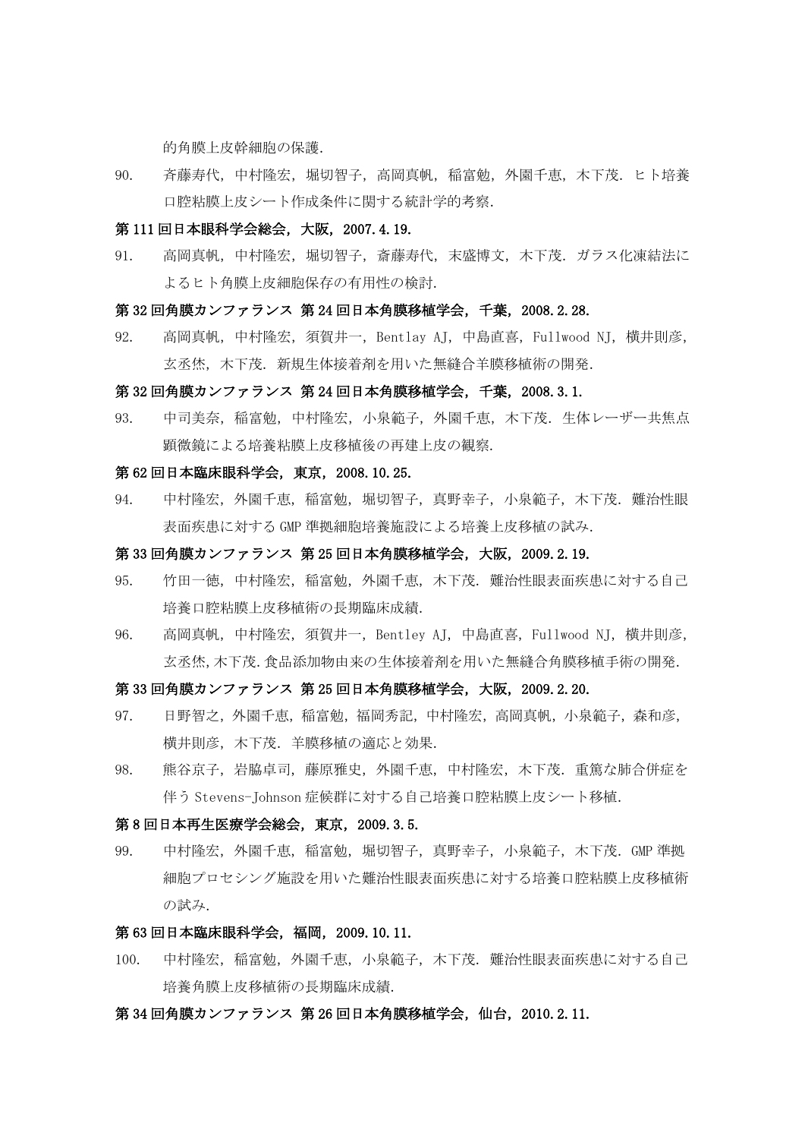的角膜上皮幹細胞の保護.

90. 斉藤寿代,中村隆宏,堀切智子,高岡真帆,稲富勉,外園千恵,木下茂.ヒト培養 口腔粘膜上皮シート作成条件に関する統計学的考察.

## 第 111 回日本眼科学会総会,大阪,2007.4.19.

91. 高岡真帆,中村隆宏,堀切智子,斎藤寿代,末盛博文,木下茂. ガラス化凍結法に よるヒト角膜上皮細胞保存の有用性の検討.

## 第 32 回角膜カンファランス 第 24 回日本角膜移植学会,千葉,2008.2.28.

92. 高岡真帆,中村隆宏,須賀井一,Bentlay AJ,中島直喜,Fullwood NJ,横井則彦, 玄丞烋,木下茂.新規生体接着剤を用いた無縫合羊膜移植術の開発.

#### 第 32 回角膜カンファランス 第 24 回日本角膜移植学会,千葉,2008.3.1.

93. 中司美奈,稲富勉,中村隆宏,小泉範子,外園千恵,木下茂.生体レーザー共焦点 顕微鏡による培養粘膜上皮移植後の再建上皮の観察.

## 第 62 回日本臨床眼科学会,東京,2008.10.25.

94. 中村隆宏,外園千恵,稲富勉,堀切智子,真野幸子,小泉範子,木下茂.難治性眼 表面疾患に対する GMP 準拠細胞培養施設による培養上皮移植の試み.

### 第 33 回角膜カンファランス 第 25 回日本角膜移植学会,大阪,2009.2.19.

- 95. 竹田一徳,中村隆宏,稲富勉,外園千恵,木下茂.難治性眼表面疾患に対する自己 培養口腔粘膜上皮移植術の長期臨床成績.
- 96. 高岡真帆,中村隆宏,須賀井一,Bentley AJ,中島直喜,Fullwood NJ,横井則彦, 玄丞烋,木下茂.食品添加物由来の生体接着剤を用いた無縫合角膜移植手術の開発.

## 第 33 回角膜カンファランス 第 25 回日本角膜移植学会,大阪,2009.2.20.

- 97. 日野智之,外園千恵,稲富勉,福岡秀記,中村隆宏,高岡真帆,小泉範子,森和彦, 横井則彦,木下茂.羊膜移植の適応と効果.
- 98. 熊谷京子,岩脇卓司,藤原雅史,外園千恵,中村隆宏,木下茂.重篤な肺合併症を 伴う Stevens-Tohnson 症候群に対する自己培養口腔粘膜上皮シート移植.

#### 第 8 回日本再生医療学会総会,東京,2009.3.5.

99. 中村隆宏,外園千恵,稲富勉,堀切智子,真野幸子,小泉範子,木下茂.GMP 準拠 細胞プロセシング施設を用いた難治性眼表面疾患に対する培養口腔粘膜上皮移植術 の試み.

## 第 63 回日本臨床眼科学会,福岡,2009.10.11.

100. 中村隆宏,稲富勉,外園千恵,小泉範子,木下茂.難治性眼表面疾患に対する自己 培養角膜上皮移植術の長期臨床成績.

## 第 34 回角膜カンファランス 第 26 回日本角膜移植学会,仙台,2010.2.11.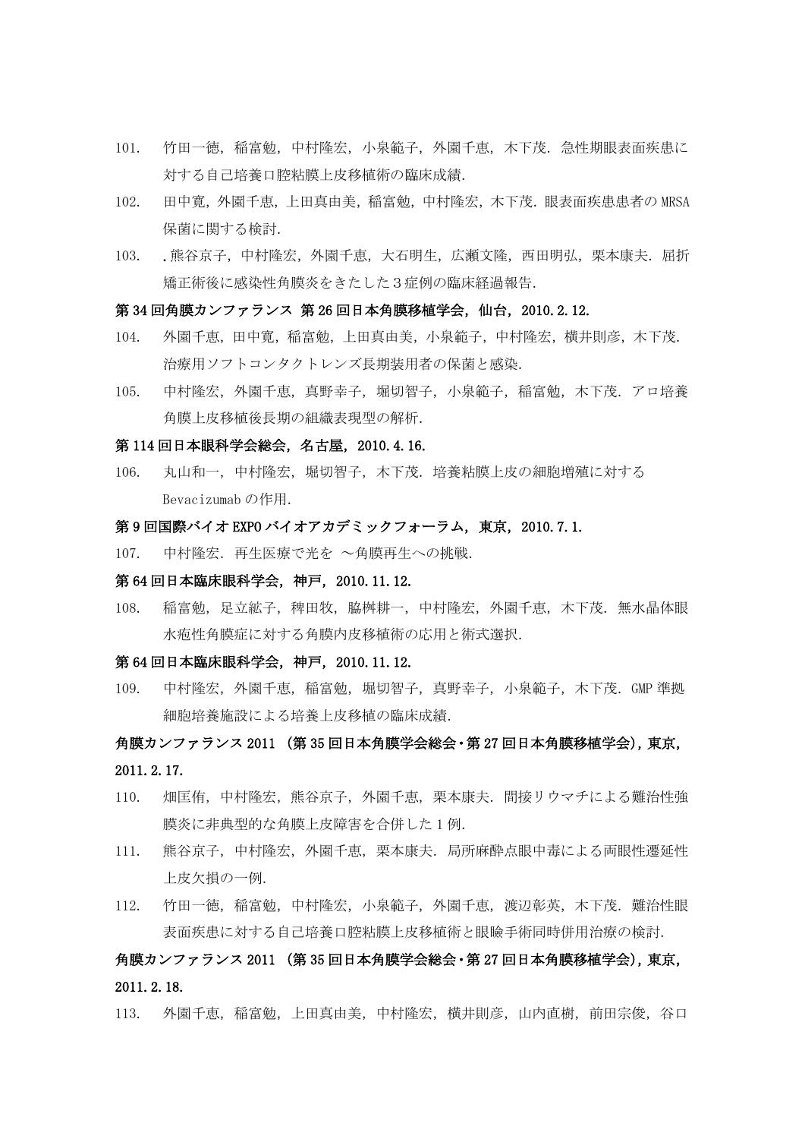- 101. 竹田一徳,稲富勉,中村隆宏,小泉範子,外園千恵,木下茂.急性期眼表面疾患に 対する自己培養口腔粘膜上皮移植術の臨床成績.
- 102. 田中寛,外園千恵,上田真由美,稲富勉,中村隆宏,木下茂.眼表面疾患患者の MRSA 保菌に関する検討.
- 103. .熊谷京子,中村隆宏,外園千恵,大石明生,広瀬文隆,西田明弘,栗本康夫.屈折 矯正術後に感染性角膜炎をきたした3症例の臨床経過報告.

#### 第 34 回角膜カンファランス 第 26 回日本角膜移植学会,仙台,2010.2.12.

- 104. 外園千恵,田中寛,稲富勉,上田真由美,小泉範子,中村隆宏,横井則彦,木下茂. 治療用ソフトコンタクトレンズ長期装用者の保菌と感染.
- 105. 中村隆宏,外園千恵,真野幸子,堀切智子,小泉範子,稲富勉,木下茂. アロ培養 角膜上皮移植後長期の組織表現型の解析.

#### 第 114 回日本眼科学会総会,名古屋,2010.4.16.

106. 丸山和一,中村隆宏,堀切智子,木下茂.培養粘膜上皮の細胞増殖に対する Bevacizumab の作用.

## 第9回国際バイオ EXPO バイオアカデミックフォーラム, 東京, 2010.7.1.

107. 中村隆宏.再生医療で光を ~角膜再生への挑戦.

#### 第 64 回日本臨床眼科学会,神戸,2010.11.12.

108. 稲富勉,足立絋子,稗田牧,脇桝耕一,中村隆宏,外園千恵,木下茂. 無水晶体眼 水疱性角膜症に対する角膜内皮移植術の応用と術式選択.

## 第 64 回日本臨床眼科学会,神戸,2010.11.12.

109. 中村隆宏,外園千恵,稲富勉,堀切智子,真野幸子,小泉範子,木下茂.GMP 準拠 細胞培養施設による培養上皮移植の臨床成績.

# 角膜カンファランス 2011 (第 35 回日本角膜学会総会・第 27 回日本角膜移植学会),東京, 2011.2.17.

- 110. 畑匡侑,中村隆宏,熊谷京子,外園千恵,栗本康夫.間接リウマチによる難治性強 膜炎に非典型的な角膜上皮障害を合併した 1 例.
- 111. 熊谷京子,中村隆宏,外園千恵,栗本康夫.局所麻酔点眼中毒による両眼性遷延性 上皮欠損の一例.
- 112. 竹田一徳,稲富勉,中村隆宏,小泉範子,外園千恵,渡辺彰英,木下茂.難治性眼 表面疾患に対する自己培養口腔粘膜上皮移植術と眼瞼手術同時併用治療の検討.

# 角膜カンファランス 2011 (第 35 回日本角膜学会総会・第 27 回日本角膜移植学会),東京, 2011.2.18.

113. 外園千恵,稲富勉,上田真由美,中村隆宏,横井則彦,山内直樹,前田宗俊,谷口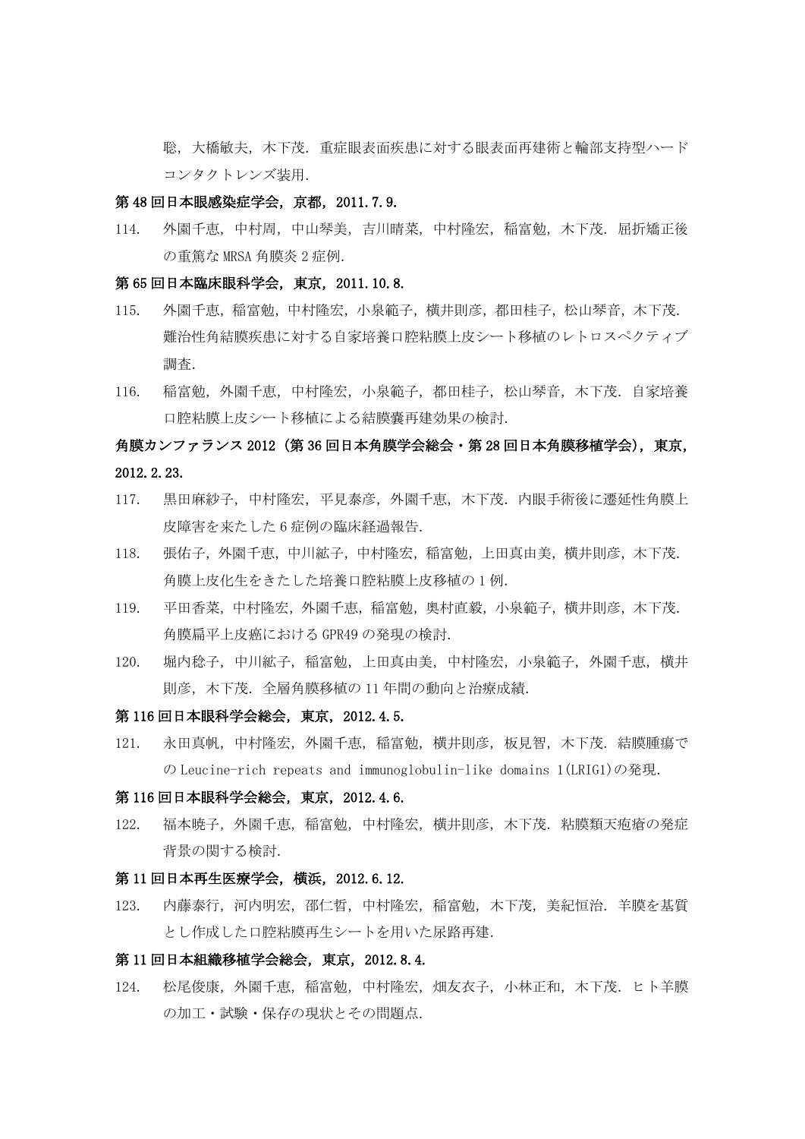聡,大橋敏夫,木下茂.重症眼表面疾患に対する眼表面再建術と輪部支持型ハード コンタクトレンズ装用.

#### 第 48 回日本眼感染症学会,京都,2011.7.9.

114. 外園千恵,中村周,中山琴美,吉川晴菜,中村隆宏,稲富勉,木下茂.屈折矯正後 の重篤な MRSA 角膜炎 2 症例.

## 第 65 回日本臨床眼科学会,東京,2011.10.8.

- 115. 外園千恵, 稲富勉, 中村隆宏, 小泉範子, 横井則彦, 都田桂子, 松山琴音, 木下茂. 難治性角結膜疾患に対する自家培養口腔粘膜上皮シート移植のレトロスペクティブ 調査.
- 116. 稲富勉,外園千恵,中村隆宏,小泉範子,都田桂子,松山琴音,木下茂.自家培養 口腔粘膜上皮シート移植による結膜嚢再建効果の検討.

# 角膜カンファランス 2012(第 36 回日本角膜学会総会・第 28 回日本角膜移植学会),東京, 2012.2.23.

- 117. 黒田麻紗子,中村隆宏,平見泰彦,外園千恵,木下茂.内眼手術後に遷延性角膜上 皮障害を来たした 6 症例の臨床経過報告.
- 118. 張佑子,外園千恵,中川絋子,中村隆宏,稲富勉,上田真由美,横井則彦,木下茂. 角膜上皮化生をきたした培養口腔粘膜上皮移植の 1 例.
- 119. 平田香菜,中村隆宏,外園千恵,稲富勉,奥村直毅,小泉範子,横井則彦,木下茂. 角膜扁平上皮癌における GPR49 の発現の検討.
- 120. 堀内稔子,中川絋子,稲富勉,上田真由美,中村隆宏,小泉範子,外園千恵,横井 則彦,木下茂.全層角膜移植の 11 年間の動向と治療成績.

## 第 116 回日本眼科学会総会,東京,2012.4.5.

121. 永田真帆,中村隆宏,外園千恵,稲富勉,横井則彦,板見智,木下茂.結膜腫瘍で の Leucine-rich repeats and immunoglobulin-like domains 1(LRIG1)の発現.

#### 第 116 回日本眼科学会総会,東京,2012.4.6.

122. 福本暁子,外園千恵,稲富勉,中村隆宏,横井則彦,木下茂.粘膜類天疱瘡の発症 背景の関する検討.

#### 第 11 回日本再生医療学会,横浜,2012.6.12.

123. 内藤泰行,河内明宏,邵仁晢,中村隆宏,稲富勉,木下茂,美紀恒治.羊膜を基質 とし作成した口腔粘膜再生シートを用いた尿路再建.

## 第 11 回日本組織移植学会総会,東京,2012.8.4.

124. 松尾俊康,外園千恵,稲富勉,中村隆宏,畑友衣子,小林正和,木下茂,ヒト羊膜 の加工・試験・保存の現状とその問題点.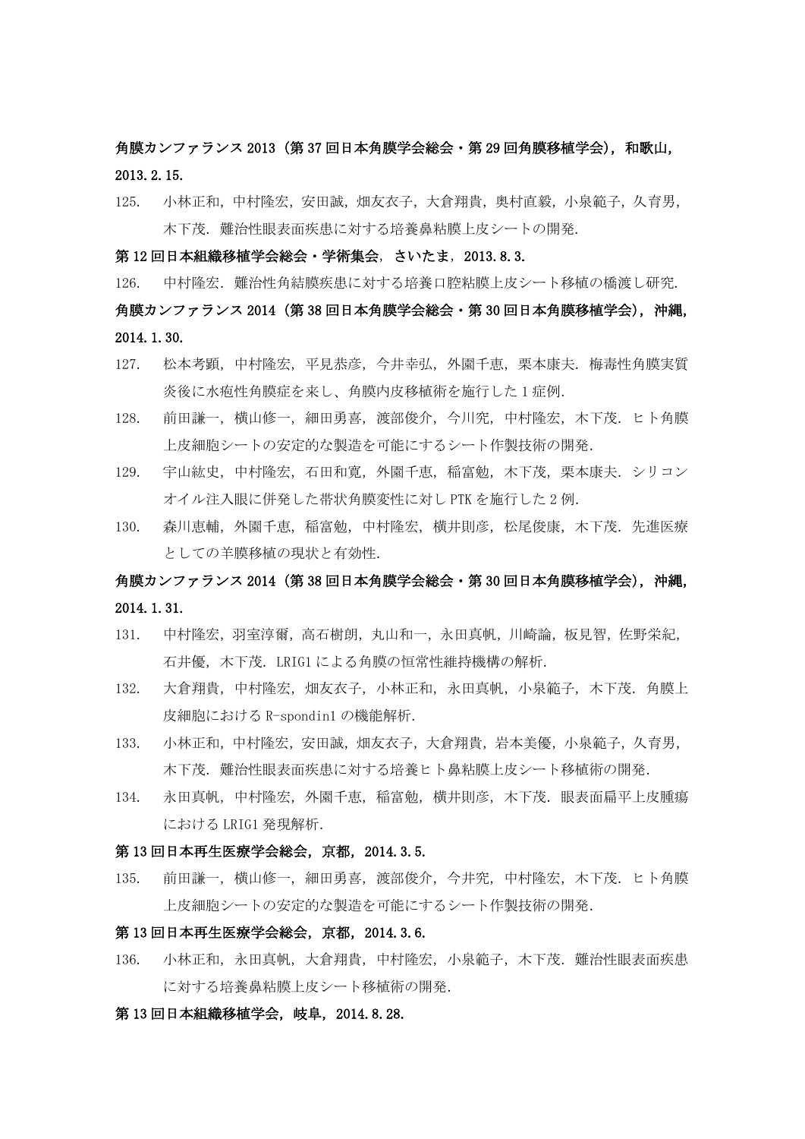# 角膜カンファランス 2013 (第 37 回日本角膜学会総会・第 29 回角膜移植学会),和歌山, 2013.2.15.

125. 小林正和,中村隆宏,安田誠,畑友衣子,大倉翔貴,奥村直毅,小泉範子,久育男, 木下茂. 難治性眼表面疾患に対する培養鼻粘膜上皮シートの開発.

#### 第 12 回日本組織移植学会総会・学術集会,さいたま,2013.8.3.

126. 中村隆宏. 難治性角結膜疾患に対する培養口腔粘膜上皮シート移植の橋渡し研究.

# 角膜カンファランス 2014(第 38 回日本角膜学会総会・第 30 回日本角膜移植学会),沖縄, 2014.1.30.

- 127. 松本考顕,中村隆宏,平見恭彦,今井幸弘,外園千恵,栗本康夫.梅毒性角膜実質 炎後に水疱性角膜症を来し、角膜内皮移植術を施行した 1 症例.
- 128. 前田謙一,横山修一,細田勇喜,渡部俊介,今川究,中村隆宏,木下茂. ヒト角膜 上皮細胞シートの安定的な製造を可能にするシート作製技術の開発.
- 129. 宇山紘史,中村隆宏,石田和寛,外園千恵,稲富勉,木下茂,栗本康夫.シリコン オイル注入眼に併発した帯状角膜変性に対し PTK を施行した 2 例.
- 130. 森川恵輔,外園千恵,稲富勉,中村隆宏,横井則彦,松尾俊康,木下茂.先進医療 としての羊膜移植の現状と有効性.

# 角膜カンファランス 2014(第 38 回日本角膜学会総会・第 30 回日本角膜移植学会),沖縄, 2014.1.31.

- 131. 中村隆宏,羽室淳爾,高石樹朗,丸山和一,永田真帆,川崎論,板見智,佐野栄紀, 石井優,木下茂.LRIG1 による角膜の恒常性維持機構の解析.
- 132. 大倉翔貴,中村隆宏,畑友衣子,小林正和,永田真帆,小泉範子,木下茂.角膜上 皮細胞における R-spondin1 の機能解析.
- 133. 小林正和,中村隆宏,安田誠,畑友衣子,大倉翔貴,岩本美優,小泉範子,久育男, 木下茂.難治性眼表面疾患に対する培養ヒト鼻粘膜上皮シート移植術の開発.
- 134. 永田真帆,中村隆宏,外園千恵,稲富勉,構井則彦,木下茂.眼表面扁平上皮腫瘍 における LRIG1 発現解析.

## 第 13 回日本再生医療学会総会,京都,2014.3.5.

135. 前田謙一,横山修一,細田勇喜,渡部俊介,今井究,中村隆宏,木下茂.ヒト角膜 上皮細胞シートの安定的な製造を可能にするシート作製技術の開発.

## 第 13 回日本再生医療学会総会,京都,2014.3.6.

136. 小林正和,永田真帆,大倉翔貴,中村隆宏,小泉範子,木下茂.難治性眼表面疾患 に対する培養鼻粘膜上皮シート移植術の開発.

#### 第 13 回日本組織移植学会, 岐阜, 2014.8.28.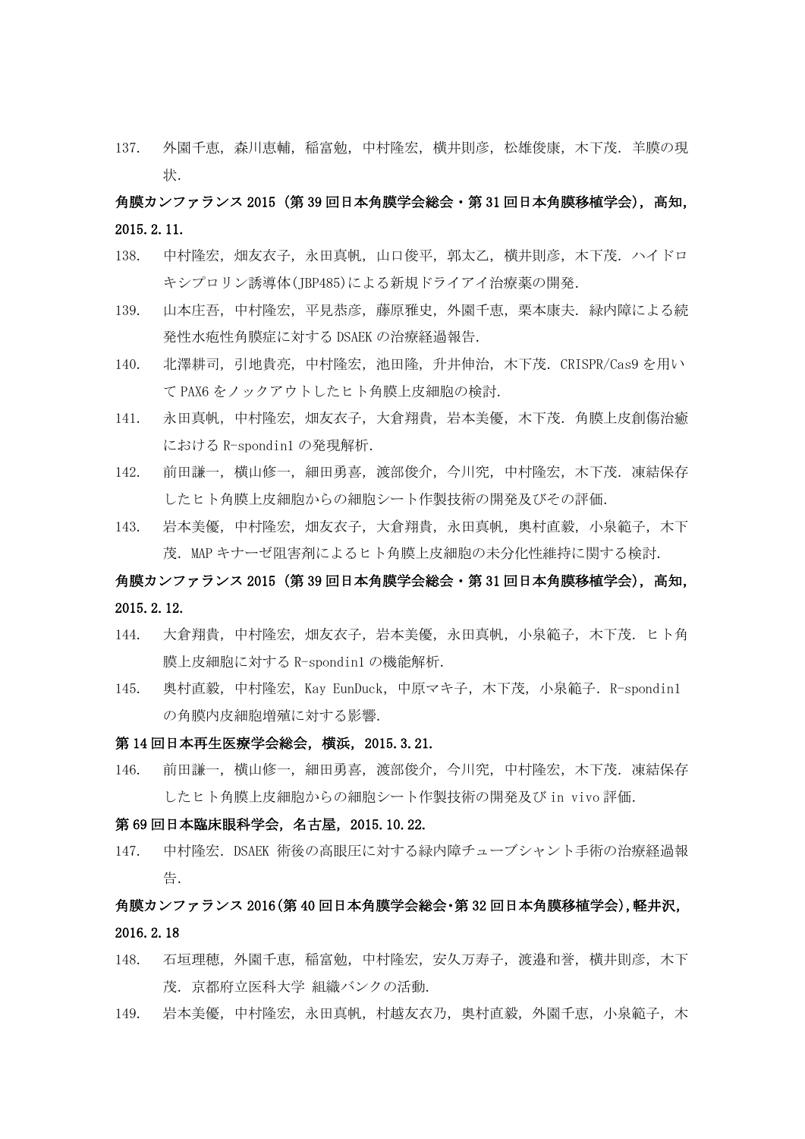137. 外園千恵, 森川恵輔, 稲富勉, 中村隆宏, 横井則彦, 松雄俊康, 木下茂. 羊膜の現 状.

# 角膜カンファランス 2015(第 39 回日本角膜学会総会・第 31 回日本角膜移植学会),高知, 2015.2.11.

- 138. 中村隆宏,畑友衣子,永田真帆,山口俊平,郭太乙,横井則彦,木下茂.ハイドロ キシプロリン誘導体(JBP485)による新規ドライアイ治療薬の開発.
- 139. 山本庄吾,中村隆宏,平見恭彦,藤原雅史,外園千恵,栗本康夫.緑内障による続 発性水疱性角膜症に対する DSAEK の治療経過報告.
- 140. 北澤耕司,引地貴亮,中村隆宏,池田隆,升井伸治,木下茂.CRISPR/Cas9 を用い て PAX6 をノックアウトしたヒト角膜上皮細胞の検討.
- 141. 永田真帆,中村隆宏,畑友衣子,大倉翔貴,岩本美優,木下茂. 角膜上皮創傷治癒 における R-spondin1 の発現解析.
- 142. 前田謙一,横山修一,細田勇喜,渡部俊介,今川究,中村隆宏,木下茂.凍結保存 したヒト角膜上皮細胞からの細胞シート作製技術の開発及びその評価.
- 143. 岩本美優,中村隆宏,畑友衣子,大倉翔貴,永田真帆,奥村直毅,小泉範子,木下 茂.MAP キナーゼ阻害剤によるヒト角膜上皮細胞の未分化性維持に関する検討.

# 角膜カンファランス 2015 (第 39 回日本角膜学会総会・第 31 回日本角膜移植学会), 高知, 2015.2.12.

- 144. 大倉翔貴,中村隆宏,畑友衣子,岩本美優,永田真帆,小泉範子,木下茂.ヒト角 膜上皮細胞に対する R-spondin1 の機能解析.
- 145. 奥村直毅,中村隆宏, Kay EunDuck,中原マキ子, 木下茂, 小泉範子. R-spondin1 の角膜内皮細胞増殖に対する影響.

## 第 14 回日本再生医療学会総会,横浜,2015.3.21.

146. 前田謙一,横山修一,細田勇喜,渡部俊介,今川究,中村隆宏,木下茂.凍結保存 したヒト角膜上皮細胞からの細胞シート作製技術の開発及び in vivo 評価.

#### 第 69 回日本臨床眼科学会,名古屋,2015.10.22.

147. 中村隆宏.DSAEK 術後の高眼圧に対する緑内障チューブシャント手術の治療経過報 告.

# 角膜カンファランス 2016(第 40 回日本角膜学会総会・第 32 回日本角膜移植学会),軽井沢, 2016.2.18

- 148. 石垣理穂,外園千恵,稲富勉,中村隆宏,安久万寿子,渡邉和誉,横井則彦,木下 茂. 京都府立医科大学 組織バンクの活動.
- 149. 岩本美優,中村隆宏,永田真帆,村越友衣乃,奥村直毅,外園千恵,小泉範子,木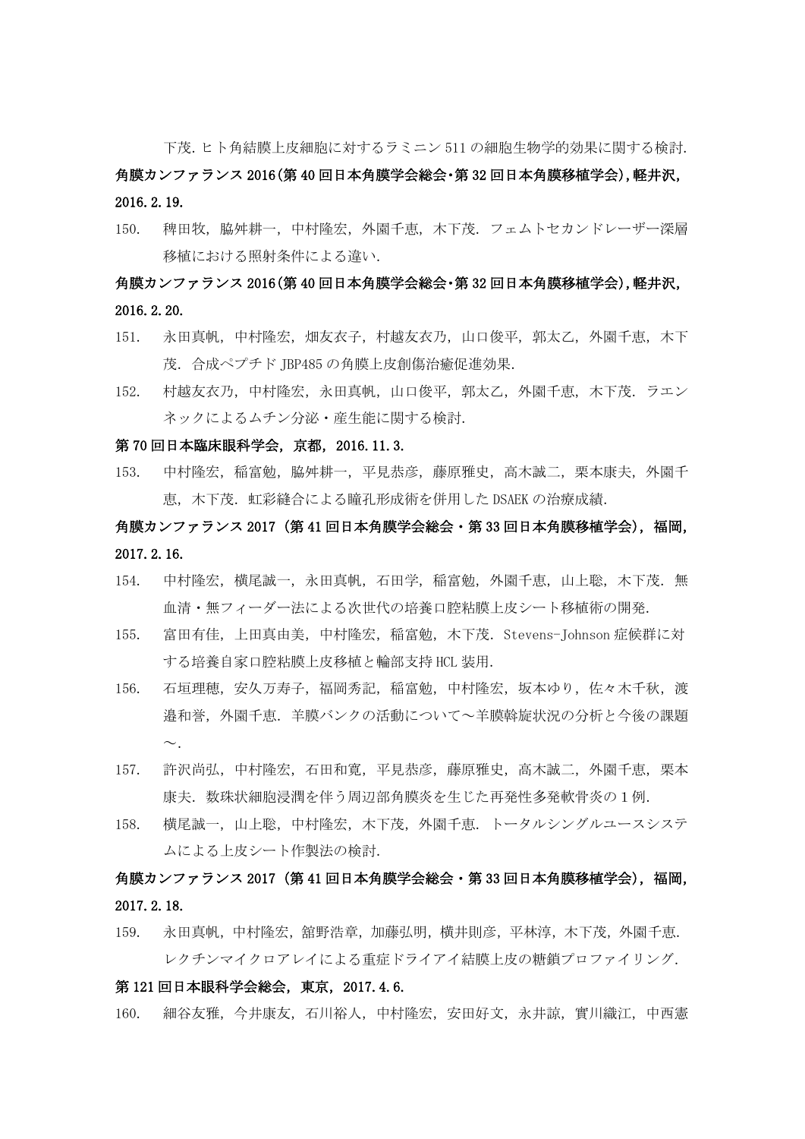下茂.ヒト角結膜上皮細胞に対するラミニン 511 の細胞生物学的効果に関する検討.

# 角膜カンファランス 2016(第 40 回日本角膜学会総会・第 32 回日本角膜移植学会),軽井沢, 2016.2.19.

150. 稗田牧,脇舛耕一,中村隆宏,外園千恵,木下茂. フェムトセカンドレーザー深層 移植における照射条件による違い.

# 角膜カンファランス 2016(第 40 回日本角膜学会総会・第 32 回日本角膜移植学会),軽井沢, 2016.2.20.

- 151. 永田真帆,中村隆宏,畑友衣子,村越友衣乃,山口俊平,郭太乙,外園千恵,木下 茂.合成ペプチド JBP485 の角膜上皮創傷治癒促進効果.
- 152. 村越友衣乃,中村隆宏,永田真帆,山口俊平,郭太乙,外園千恵,木下茂.ラエン ネックによるムチン分泌・産生能に関する検討.

#### 第 70 回日本臨床眼科学会,京都,2016.11.3.

153. 中村隆宏,稲富勉,脇舛耕一,平見恭彦,藤原雅史,高木誠二,栗本康夫,外園千 恵,木下茂.虹彩縫合による瞳孔形成術を併用した DSAEK の治療成績.

# 角膜カンファランス 2017(第 41 回日本角膜学会総会・第 33 回日本角膜移植学会),福岡, 2017.2.16.

- 154. 中村隆宏,横尾誠一,永田真帆,石田学,稲富勉,外園千恵,山上聡,木下茂.無 血清・無フィーダー法による次世代の培養口腔粘膜上皮シート移植術の開発.
- 155. 富田有佳,上田真由美,中村隆宏,稲富勉,木下茂.Stevens-Johnson 症候群に対 する培養自家口腔粘膜上皮移植と輪部支持 HCL 装用.
- 156. 石垣理穂,安久万寿子,福岡秀記,稲富勉,中村隆宏,坂本ゆり,佐々木千秋,渡 邉和誉,外園千恵.羊膜バンクの活動について~羊膜斡旋状況の分析と今後の課題  $\sim$
- 157. 許沢尚弘,中村隆宏,石田和寛,平見恭彦,藤原雅史,高木誠二,外園千恵,栗本 康夫.数珠状細胞浸潤を伴う周辺部角膜炎を生じた再発性多発軟骨炎の1例.
- 158. 横尾誠一,山上聡,中村隆宏,木下茂,外園千恵.トータルシングルユースシステ ムによる上皮シート作製法の検討.

# 角膜カンファランス 2017(第 41 回日本角膜学会総会・第 33 回日本角膜移植学会),福岡, 2017.2.18.

159. 永田真帆,中村隆宏,舘野浩章,加藤弘明,横井則彦,平林淳,木下茂,外園千恵. レクチンマイクロアレイによる重症ドライアイ結膜上皮の糖鎖プロファイリング.

## 第 121 回日本眼科学会総会,東京,2017.4.6.

160. 細谷友雅,今井康友,石川裕人,中村隆宏,安田好文,永井諒,實川織江,中西憲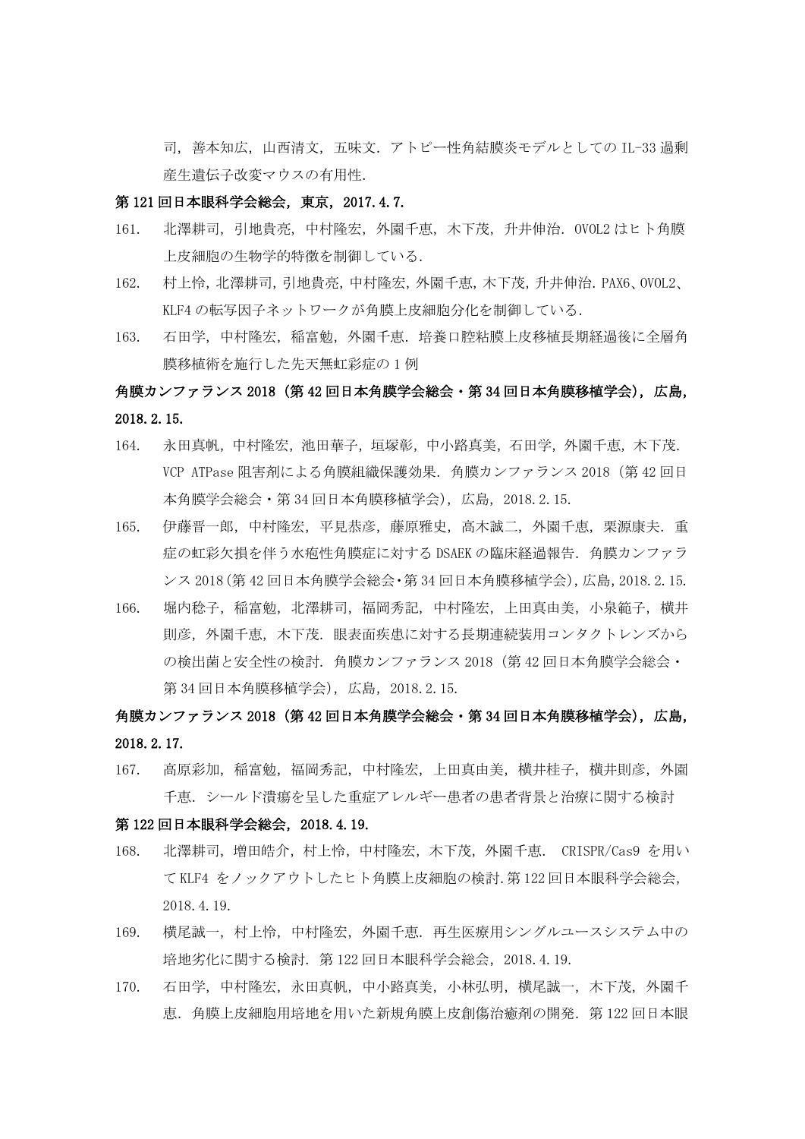司,善本知広,山西清文,五味文.アトピー性角結膜炎モデルとしての IL-33 過剰 産生遺伝子改変マウスの有用性.

## 第 121 回日本眼科学会総会,東京,2017.4.7.

- 161. 北澤耕司,引地貴亮,中村隆宏,外園千恵,木下茂,升井伸治.OVOL2 はヒト角膜 上皮細胞の生物学的特徴を制御している.
- 162. 村上怜,北澤耕司,引地貴亮,中村隆宏,外園千恵,木下茂,升井伸治.PAX6、OVOL2、 KLF4 の転写因子ネットワークが角膜上皮細胞分化を制御している.
- 163. 石田学,中村隆宏,稲富勉,外園千恵.培養口腔粘膜上皮移植長期経過後に全層角 膜移植術を施行した先天無虹彩症の 1 例

# 角膜カンファランス 2018(第 42 回日本角膜学会総会・第 34 回日本角膜移植学会),広島, 2018.2.15.

- 164. 永田真帆,中村隆宏,池田華子,垣塚彰,中小路真美,石田学,外園千恵,木下茂. VCP ATPase 阻害剤による角膜組織保護効果.角膜カンファランス 2018(第 42 回日 本角膜学会総会・第 34 回日本角膜移植学会),広島,2018.2.15.
- 165. 伊藤晋一郎,中村隆宏,平見恭彦,藤原雅史,高木誠二,外園千恵,栗源康夫. 重 症の虹彩欠損を伴う水疱性角膜症に対する DSAEK の臨床経過報告.角膜カンファラ ンス 2018(第 42 回日本角膜学会総会・第 34 回日本角膜移植学会),広島,2018.2.15.
- 166. 堀内稔子, 稲富勉, 北澤耕司, 福岡秀記, 中村隆宏, 上田真由美, 小泉範子, 横井 則彦,外園千恵,木下茂.眼表面疾患に対する長期連続装用コンタクトレンズから の検出菌と安全性の検討.角膜カンファランス 2018(第 42 回日本角膜学会総会・ 第 34 回日本角膜移植学会),広島,2018.2.15.

# 角膜カンファランス 2018(第 42 回日本角膜学会総会・第 34 回日本角膜移植学会),広島, 2018.2.17.

167. 高原彩加,稲富勉,福岡秀記,中村隆宏,上田真由美,横井桂子,横井則彦,外園 千恵.シールド潰瘍を呈した重症アレルギー患者の患者背景と治療に関する検討

#### 第 122 回日本眼科学会総会,2018.4.19.

- 168. 北澤耕司,増田皓介,村上怜,中村隆宏,木下茂,外園千恵. CRISPR/Cas9 を用い て KLF4 をノックアウトしたヒト角膜上皮細胞の検討.第 122 回日本眼科学会総会, 2018.4.19.
- 169. 横尾誠一,村上怜,中村降宏,外園千恵.再生医療用シングルユースシステム中の 培地劣化に関する検討.第 122 回日本眼科学会総会,2018.4.19.
- 170. 石田学,中村隆宏,永田真帆,中小路真美,小林弘明,横尾誠一,木下茂,外園千 恵.角膜上皮細胞用培地を用いた新規角膜上皮創傷治癒剤の開発.第 122 回日本眼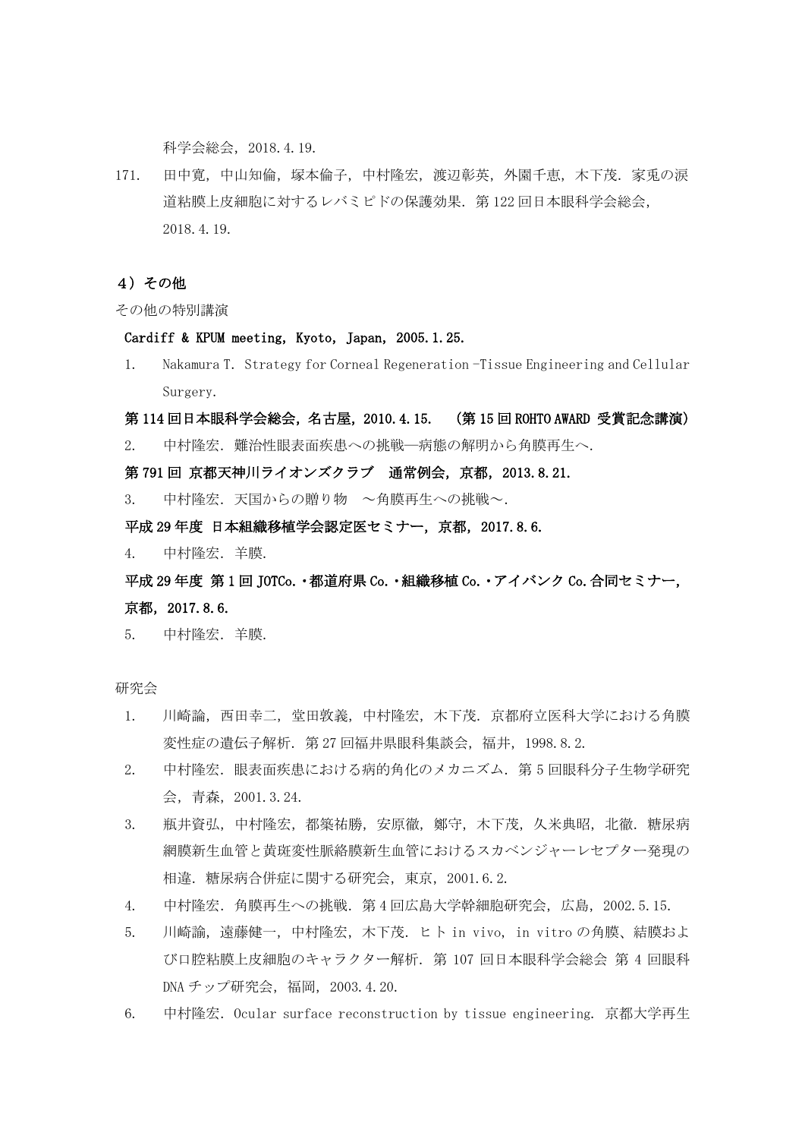科学会総会,2018.4.19.

171. 田中寛,中山知倫,塚本倫子,中村隆宏,渡辺彰英,外園千恵,木下茂.家兎の涙 道粘膜上皮細胞に対するレバミピドの保護効果.第 122 回日本眼科学会総会, 2018.4.19.

## 4)その他

その他の特別講演

#### Cardiff & KPUM meeting, Kyoto, Japan, 2005.1.25.

1. Nakamura T. Strategy for Corneal Regeneration -Tissue Engineering and Cellular Surgery.

#### 第 114 回日本眼科学会総会,名古屋,2010.4.15. (第 15 回 ROHTO AWARD 受賞記念講演)

2. 中村隆宏.難治性眼表面疾患への挑戦―病態の解明から角膜再生へ.

## 第 791 回 京都天神川ライオンズクラブ 通常例会,京都,2013.8.21.

3. 中村隆宏. 天国からの贈り物 ~角膜再生への挑戦~.

#### 平成 29 年度 日本組織移植学会認定医セミナー,京都,2017.8.6.

4. 中村隆宏.羊膜.

# 平成 29 年度 第 1 回 JOTCo.・都道府県 Co.・組織移植 Co.・アイバンク Co.合同セミナー, 京都,2017.8.6.

5. 中村隆宏.羊膜.

研究会

- 1. 川崎論,西田幸二,堂田敦義,中村隆宏,木下茂.京都府立医科大学における角膜 変性症の遺伝子解析. 第 27 回福井県眼科集談会, 福井, 1998.8.2.
- 2. 中村隆宏.眼表面疾患における病的角化のメカニズム. 第5回眼科分子生物学研究 会,青森,2001.3.24.
- 3. 瓶井資弘,中村隆宏,都築祐勝,安原徹,鄭守,木下茂,久米典昭,北徹.糖尿病 網膜新生血管と黄斑変性脈絡膜新生血管におけるスカベンジャーレセプター発現の 相違.糖尿病合併症に関する研究会,東京,2001.6.2.
- 4. 中村隆宏.角膜再生への挑戦.第 4 回広島大学幹細胞研究会,広島,2002.5.15.
- 5. 川崎諭,遠藤健一,中村隆宏,木下茂.ヒト in vivo, in vitro の角膜、結膜およ び口腔粘膜上皮細胞のキャラクター解析.第 107 回日本眼科学会総会 第 4 回眼科 DNA チップ研究会,福岡,2003.4.20.
- 6. 中村隆宏.Ocular surface reconstruction by tissue engineering. 京都大学再生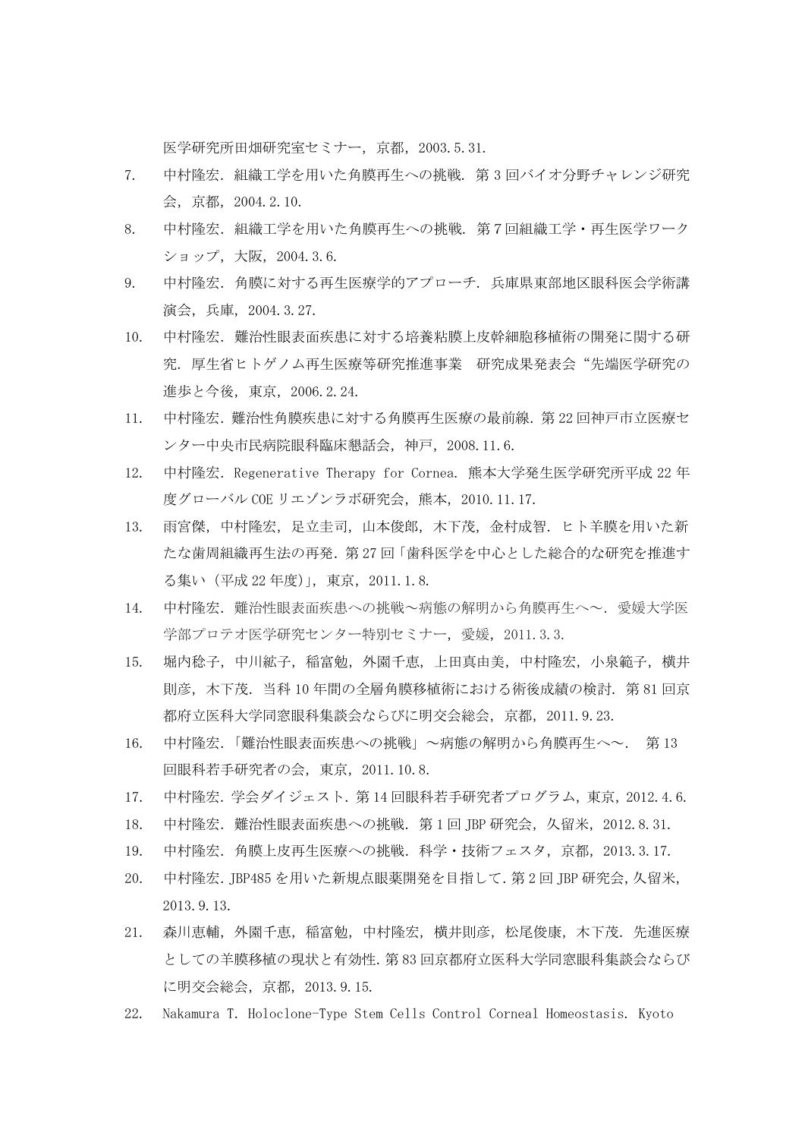医学研究所田畑研究室セミナー,京都,2003.5.31.

- 7. 中村隆宏.組織工学を用いた角膜再生への挑戦. 第 3 回バイオ分野チャレンジ研究 会,京都,2004.2.10.
- 8. 中村隆宏. 組織工学を用いた角膜再生への挑戦. 第7回組織工学・再生医学ワーク ショップ,大阪,2004.3.6.
- 9. 中村隆宏.角膜に対する再生医療学的アプローチ. 兵庫県東部地区眼科医会学術講 演会,兵庫,2004.3.27.
- 10. 中村隆宏.難治性眼表面疾患に対する培養粘膜上皮幹細胞移植術の開発に関する研 究. 厚生省ヒトゲノム再生医療等研究推進事業 研究成果発表会"先端医学研究の 進歩と今後,東京,2006.2.24.
- 11. 中村隆宏.難治性角膜疾患に対する角膜再生医療の最前線.第 22 回神戸市立医療セ ンター中央市民病院眼科臨床懇話会,神戸,2008.11.6.
- 12. 中村隆宏. Regenerative Therapy for Cornea. 熊本大学発生医学研究所平成 22 年 度グローバル COE リエゾンラボ研究会, 熊本, 2010.11.17.
- 13. 雨宮傑,中村隆宏,足立圭司,山本俊郎,木下茂,金村成智.ヒト羊膜を用いた新 たな歯周組織再生法の再発.第 27 回「歯科医学を中心とした総合的な研究を推進す る集い(平成 22 年度)」,東京,2011.1.8.
- 14. 中村隆宏.難治性眼表面疾患への挑戦~病態の解明から角膜再生へ~.愛媛大学医 学部プロテオ医学研究センター特別セミナー, 愛媛, 2011.3.3.
- 15. 堀内稔子,中川絋子,稲富勉,外園千恵,上田真由美,中村隆宏,小泉範子,横井 則彦,木下茂.当科 10 年間の全層角膜移植術における術後成績の検討.第 81 回京 都府立医科大学同窓眼科集談会ならびに明交会総会,京都,2011.9.23.
- 16. 中村隆宏.「難治性眼表面疾患への挑戦」~病態の解明から角膜再生へ~. 第 13 回眼科若手研究者の会,東京,2011.10.8.
- 17. 中村隆宏.学会ダイジェスト.第 14 回眼科若手研究者プログラム,東京,2012.4.6.
- 18. 中村隆宏.難治性眼表面疾患への挑戦.第 1 回 JBP 研究会,久留米,2012.8.31.
- 19. 中村隆宏.角膜上皮再生医療への挑戦.科学・技術フェスタ,京都,2013.3.17.
- 20. 中村隆宏.JBP485 を用いた新規点眼薬開発を目指して.第 2 回 JBP 研究会,久留米, 2013.9.13.
- 21. 森川恵輔,外園千恵,稲富勉,中村隆宏,横井則彦,松尾俊康,木下茂.先進医療 としての羊膜移植の現状と有効性.第 83 回京都府立医科大学同窓眼科集談会ならび に明交会総会,京都,2013.9.15.
- 22. Nakamura T.Holoclone-Type Stem Cells Control Corneal Homeostasis. Kyoto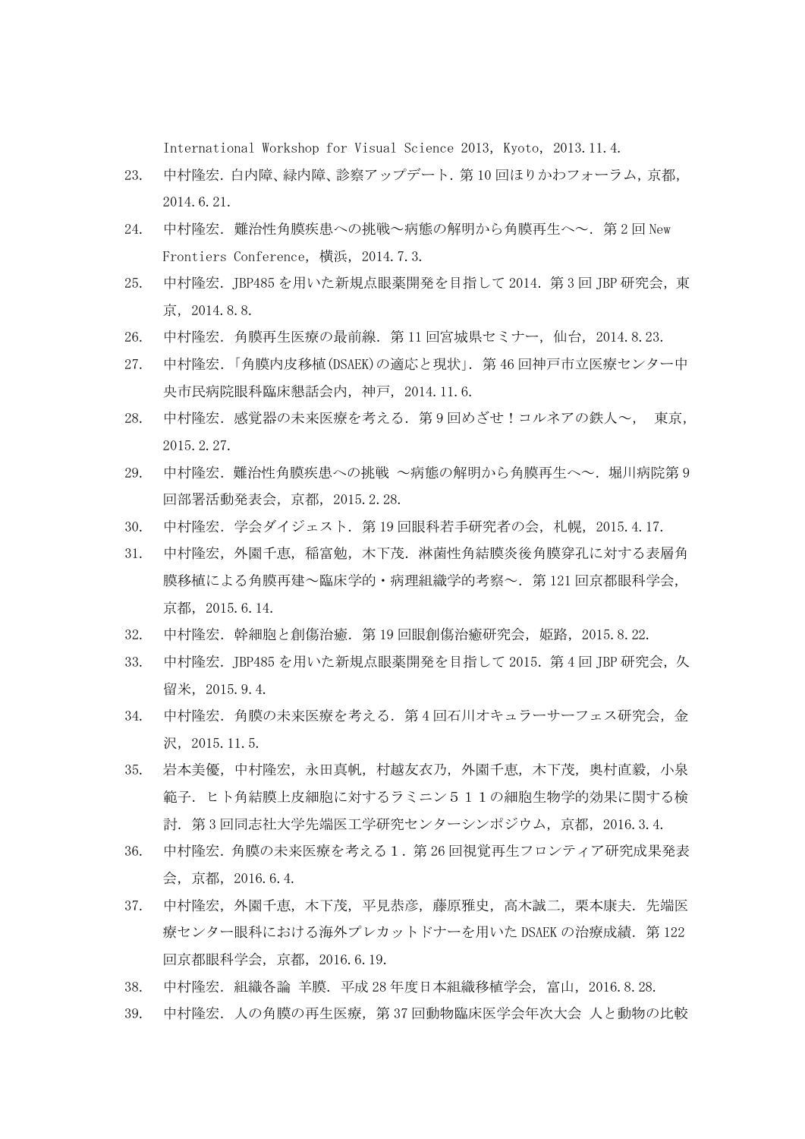International Workshop for Visual Science 2013, Kyoto, 2013.11.4.

- 23. 中村隆宏.白内障、緑内障、診察アップデート.第 10 回ほりかわフォーラム,京都, 2014.6.21.
- 24. 中村隆宏. 難治性角膜疾患への挑戦~病態の解明から角膜再生へ~. 第2回 New Frontiers Conference,横浜,2014.7.3.
- 25. 中村隆宏.JBP485 を用いた新規点眼薬開発を目指して 2014.第 3 回 JBP 研究会,東 京,2014.8.8.
- 26. 中村隆宏.角膜再生医療の最前線.第 11 回宮城県セミナー,仙台,2014.8.23.
- 27. 中村隆宏.「角膜内皮移植(DSAEK)の適応と現状」.第 46 回神戸市立医療センター中 央市民病院眼科臨床懇話会内,神戸,2014.11.6.
- 28. 中村隆宏.感覚器の未来医療を考える.第9回めざせ!コルネアの鉄人~, 東京, 2015.2.27.
- 29. 中村隆宏.難治性角膜疾患への挑戦 ~病態の解明から角膜再生へ~.堀川病院第 9 回部署活動発表会,京都,2015.2.28.
- 30. 中村隆宏.学会ダイジェスト.第 19 回眼科若手研究者の会,札幌,2015.4.17.
- 31. 中村隆宏,外園千恵,稲富勉,木下茂.淋菌性角結膜炎後角膜穿孔に対する表層角 膜移植による角膜再建~臨床学的・病理組織学的考察~.第 121 回京都眼科学会, 京都,2015.6.14.
- 32. 中村隆宏.幹細胞と創傷治癒.第 19 回眼創傷治癒研究会,姫路,2015.8.22.
- 33. 中村隆宏.JBP485 を用いた新規点眼薬開発を目指して 2015.第 4 回 JBP 研究会,久 留米,2015.9.4.
- 34. 中村隆宏.角膜の未来医療を考える.第 4 回石川オキュラーサーフェス研究会,金 沢,2015.11.5.
- 35. 岩本美優,中村隆宏,永田真帆,村越友衣乃,外園千恵,木下茂,奥村直毅,小泉 範子.ヒト角結膜上皮細胞に対するラミニン511の細胞生物学的効果に関する検 討.第 3 回同志社大学先端医工学研究センターシンポジウム,京都,2016.3.4.
- 36. 中村隆宏.角膜の未来医療を考える1.第 26 回視覚再生フロンティア研究成果発表 会,京都,2016.6.4.
- 37. 中村隆宏,外園千恵,木下茂,平見恭彦,藤原雅史,高木誠二,栗本康夫.先端医 療センター眼科における海外プレカットドナーを用いた DSAEK の治療成績. 第 122 回京都眼科学会,京都,2016.6.19.
- 38. 中村隆宏.組織各論 羊膜.平成 28 年度日本組織移植学会,富山,2016.8.28.
- 39. 中村隆宏.人の角膜の再生医療,第 37 回動物臨床医学会年次大会 人と動物の比較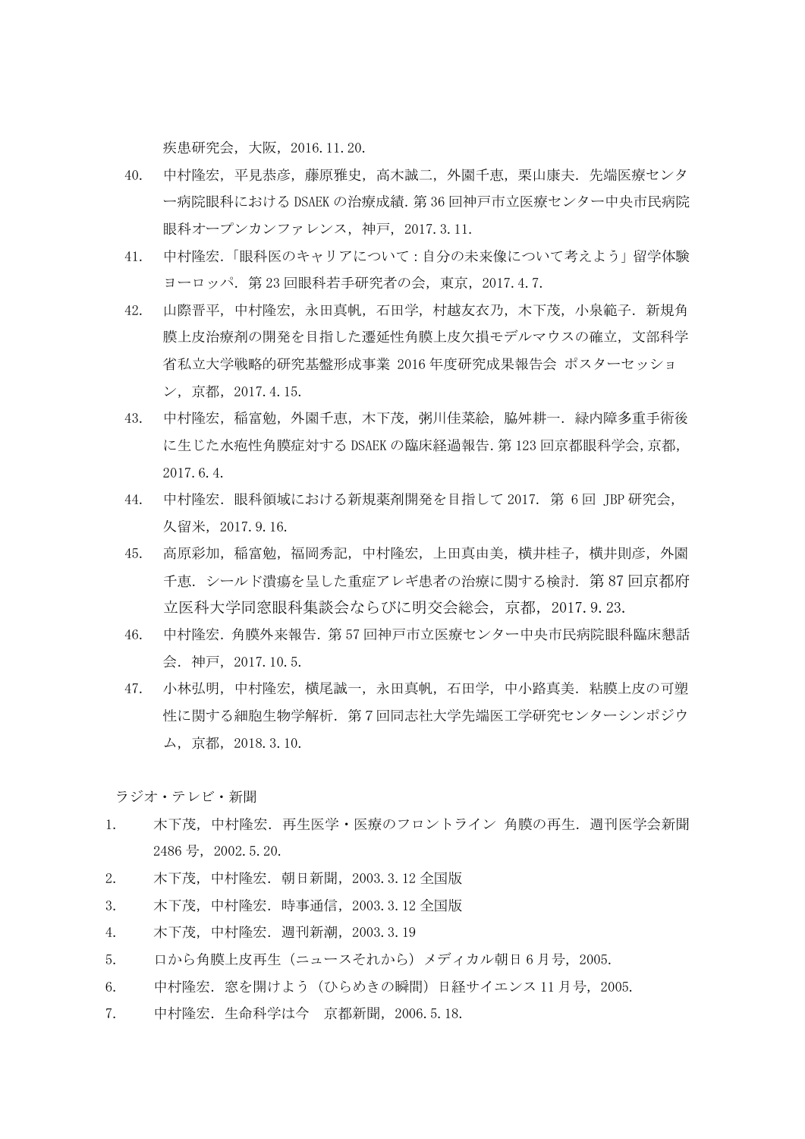疾患研究会,大阪,2016.11.20.

- 40. 中村隆宏,平見恭彦,藤原雅史,高木誠二,外園千恵,栗山康夫.先端医療センタ ー病院眼科における DSAEK の治療成績.第 36 回神戸市立医療センター中央市民病院 眼科オープンカンファレンス,神戸,2017.3.11.
- 41. 中村隆宏.「眼科医のキャリアについて:自分の未来像について考えよう」留学体験 ヨーロッパ.第 23 回眼科若手研究者の会,東京,2017.4.7.
- 42. 山際晋平,中村隆宏,永田真帆,石田学,村越友衣乃,木下茂,小泉範子.新規角 膜上皮治療剤の開発を目指した遷延性角膜上皮欠損モデルマウスの確立、文部科学 省私立大学戦略的研究基盤形成事業 2016 年度研究成果報告会 ポスターセッショ ン,京都,2017.4.15.
- 43. 中村隆宏,稲富勉,外園千恵,木下茂,粥川佳菜絵,脇舛耕一.緑内障多重手術後 に生じた水疱性角膜症対する DSAEK の臨床経過報告.第 123 回京都眼科学会,京都, 2017.6.4.
- 44. 中村隆宏.眼科領域における新規薬剤開発を目指して 2017. 第 6 回 JBP 研究会, 久留米,2017.9.16.
- 45. 高原彩加,稲富勉,福岡秀記,中村隆宏,上田真由美,横井桂子,横井則彦,外園 千恵.シールド潰瘍を呈した重症アレギ患者の治療に関する検討. 第87回京都府 立医科大学同窓眼科集談会ならびに明交会総会,京都,2017.9.23.
- 46. 中村隆宏.角膜外来報告.第 57 回神戸市立医療センター中央市民病院眼科臨床懇話 会.神戸,2017.10.5.
- 47. 小林弘明,中村隆宏,横尾誠一,永田真帆,石田学,中小路真美.粘膜上皮の可塑 性に関する細胞生物学解析.第7回同志社大学先端医工学研究センターシンポジウ ム,京都,2018.3.10.

ラジオ・テレビ・新聞

- 1. 木下茂.中村降宏.再生医学・医療のフロントライン 角膜の再生.週刊医学会新聞 2486 号,2002.5.20.
- 2. 木下茂,中村隆宏.朝日新聞,2003.3.12 全国版
- 3. 木下茂,中村隆宏.時事通信,2003.3.12 全国版
- 4. 木下茂,中村隆宏.週刊新潮,2003.3.19
- 5. 口から角膜上皮再生(ニュースそれから)メディカル朝日 6 月号,2005.
- 6. 中村隆宏.窓を開けよう(ひらめきの瞬間)日経サイエンス 11 月号,2005.
- 7. 中村隆宏. 生命科学は今 京都新聞, 2006.5.18.